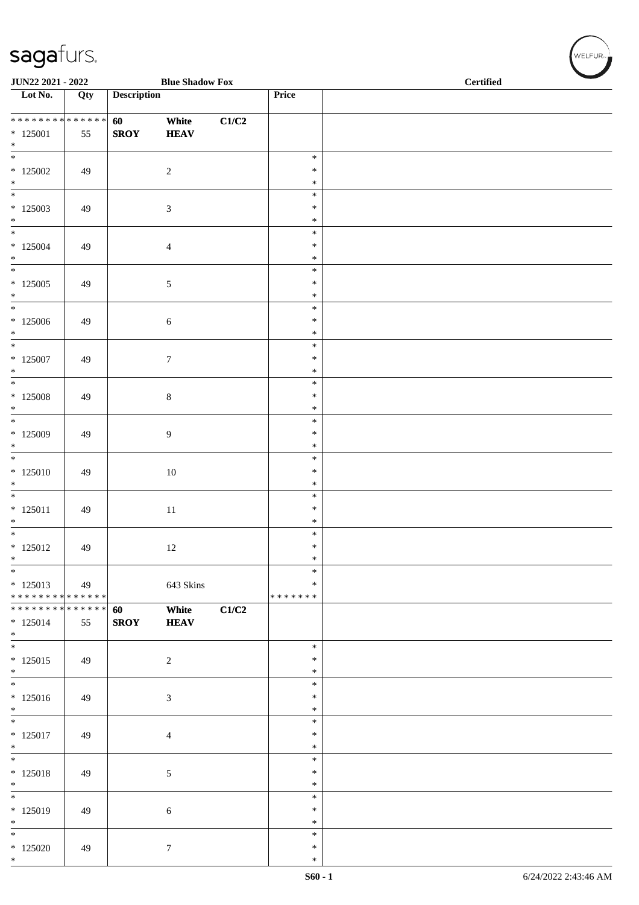| <b>JUN22 2021 - 2022</b><br><b>Blue Shadow Fox</b>  |     |                    |                      |       |                              | <b>Certified</b> |
|-----------------------------------------------------|-----|--------------------|----------------------|-------|------------------------------|------------------|
| Lot No.                                             | Qty | <b>Description</b> |                      |       | Price                        |                  |
| $*125001$<br>$*$                                    | 55  | 60<br><b>SROY</b>  | White<br><b>HEAV</b> | C1/C2 |                              |                  |
| $*125002$<br>$*$                                    | 49  |                    | $\sqrt{2}$           |       | $\ast$<br>$\ast$<br>$\ast$   |                  |
| $\overline{\phantom{0}}$<br>$*125003$<br>$*$        | 49  |                    | $\mathfrak{Z}$       |       | $\ast$<br>$\ast$<br>$\ast$   |                  |
| $*$<br>$*125004$<br>$*$                             | 49  |                    | 4                    |       | $\ast$<br>$\ast$<br>$\ast$   |                  |
| $*125005$<br>$*$                                    | 49  |                    | 5                    |       | $\ast$<br>$\ast$<br>$\ast$   |                  |
| $*125006$<br>$\ast$<br>$*$                          | 49  |                    | $\sqrt{6}$           |       | $\ast$<br>$\ast$<br>$\ast$   |                  |
| $*125007$<br>$*$<br>$\overline{\phantom{0}}$        | 49  |                    | $\tau$               |       | $\ast$<br>$\ast$<br>$\ast$   |                  |
| $*$ 125008<br>$*$<br>$\overline{\phantom{0}}$       | 49  |                    | $\,8\,$              |       | $\ast$<br>$\ast$<br>$\ast$   |                  |
| $*125009$<br>$*$                                    | 49  |                    | 9                    |       | $\ast$<br>$\ast$<br>$\ast$   |                  |
| $\overline{\ast}$<br>$*125010$<br>$*$               | 49  |                    | 10                   |       | $\ast$<br>$\ast$<br>$\ast$   |                  |
| $\overline{\phantom{0}}$<br>$* 125011$<br>$\ast$    | 49  |                    | 11                   |       | $\ast$<br>$\ast$<br>$\ast$   |                  |
| $\overline{\mathbf{r}}$<br>$*125012$<br>$\ast$      | 49  |                    | 12                   |       | $\ast$<br>$\ast$<br>$\ast$   |                  |
| $\ast$<br>$* 125013$<br>* * * * * * * * * * * * * * | 49  |                    | 643 Skins            |       | $\ast$<br>∗<br>* * * * * * * |                  |
| * * * * * * * * * * * * * * *<br>$* 125014$<br>$*$  | 55  | 60<br><b>SROY</b>  | White<br><b>HEAV</b> | C1/C2 |                              |                  |
| $*$<br>$*125015$<br>$*$                             | 49  |                    | $\sqrt{2}$           |       | $\ast$<br>$\ast$<br>$\ast$   |                  |
| $\overline{\ast}$<br>$*125016$<br>$*$               | 49  |                    | 3                    |       | $\ast$<br>$\ast$<br>$\ast$   |                  |
| $\ast$<br>$* 125017$<br>$*$                         | 49  |                    | $\overline{4}$       |       | ∗<br>$\ast$<br>$\ast$        |                  |
| $\overline{\phantom{0}}$<br>$* 125018$<br>$*$       | 49  |                    | $\sqrt{5}$           |       | $\ast$<br>$\ast$<br>$\ast$   |                  |
| $\overline{\phantom{0}}$<br>* 125019<br>$*$         | 49  |                    | $\sqrt{6}$           |       | $\ast$<br>$\ast$<br>$\ast$   |                  |
| $*$<br>$*125020$<br>$*$                             | 49  |                    | $\tau$               |       | ∗<br>$\ast$<br>$\ast$        |                  |

 $(w$ ELFUR<sub>m</sub>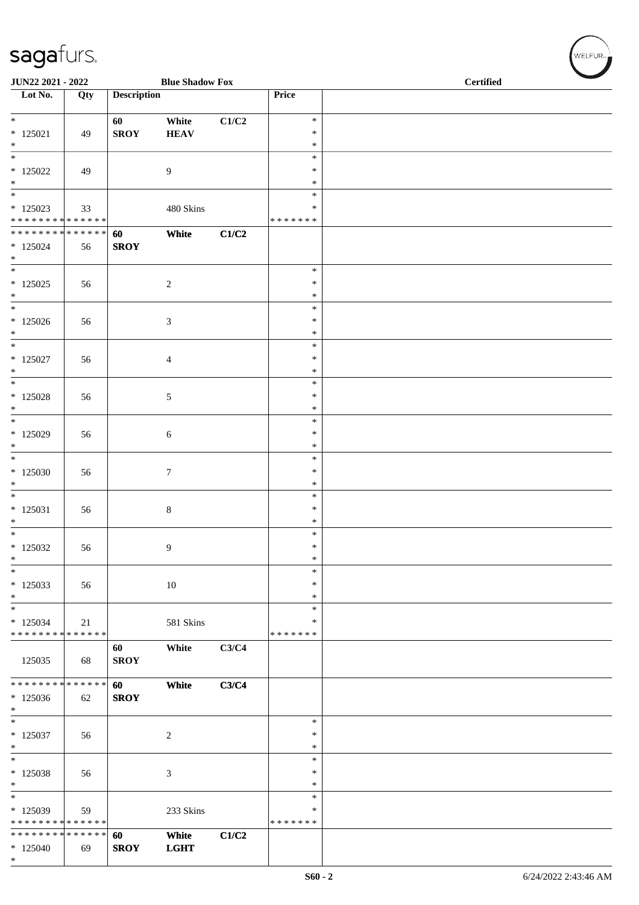| JUN22 2021 - 2022                                                 |     |                    | <b>Blue Shadow Fox</b> |       | <b>Certified</b>            |  |  |
|-------------------------------------------------------------------|-----|--------------------|------------------------|-------|-----------------------------|--|--|
| Lot No.                                                           | Qty | <b>Description</b> |                        |       | Price                       |  |  |
| $* 125021$<br>$\ast$                                              | 49  | 60<br><b>SROY</b>  | White<br><b>HEAV</b>   | C1/C2 | $\ast$<br>$\ast$<br>$\ast$  |  |  |
| $\overline{\ast}$<br>$*125022$<br>$*$<br>$\overline{\phantom{0}}$ | 49  |                    | $\overline{9}$         |       | $\ast$<br>$\ast$<br>$\ast$  |  |  |
| $*125023$<br>* * * * * * * * * * * * * *                          | 33  |                    | 480 Skins              |       | $\ast$<br>$\ast$<br>******* |  |  |
| * * * * * * * * * * * * * *<br>$*125024$<br>$*$                   | 56  | 60<br><b>SROY</b>  | White                  | C1/C2 |                             |  |  |
| $\overline{\ast}$<br>$*$ 125025<br>$*$                            | 56  |                    | $\sqrt{2}$             |       | $\ast$<br>$\ast$<br>$\ast$  |  |  |
| $*$<br>$*125026$<br>$*$                                           | 56  |                    | 3                      |       | $\ast$<br>$\ast$<br>$\ast$  |  |  |
| $*$ 125027<br>$*$                                                 | 56  |                    | $\overline{4}$         |       | $\ast$<br>$\ast$<br>$\ast$  |  |  |
| $\overline{\ast}$<br>$*$ 125028<br>$*$                            | 56  |                    | $\sqrt{5}$             |       | $\ast$<br>$\ast$<br>$\ast$  |  |  |
| $*$<br>$*$ 125029<br>$*$                                          | 56  |                    | $\sqrt{6}$             |       | $\ast$<br>$\ast$<br>$\ast$  |  |  |
| $\overline{\ast}$<br>$*125030$<br>$\ast$                          | 56  |                    | $\boldsymbol{7}$       |       | $\ast$<br>$\ast$<br>$\ast$  |  |  |
| $\overline{\phantom{0}}$<br>$* 125031$<br>$\ast$                  | 56  |                    | $8\,$                  |       | $\ast$<br>$\ast$<br>$\ast$  |  |  |
| $*$<br>$*125032$<br>$\ast$                                        | 56  |                    | 9                      |       | $\ast$<br>$\ast$<br>$\ast$  |  |  |
| $\ast$<br>$*125033$<br>$*$                                        | 56  |                    | $10\,$                 |       | $\ast$<br>$\ast$<br>$\ast$  |  |  |
| $_{*}$<br>$*125034$<br>* * * * * * * * * * * * * *                | 21  |                    | 581 Skins              |       | $\ast$<br>$\ast$<br>******* |  |  |
| 125035                                                            | 68  | 60<br><b>SROY</b>  | White                  | C3/C4 |                             |  |  |
| ******** <mark>******</mark><br>$*125036$<br>$\ast$               | 62  | 60<br><b>SROY</b>  | White                  | C3/C4 |                             |  |  |
| $\ast$<br>$*125037$<br>$\ast$                                     | 56  |                    | $\sqrt{2}$             |       | $\ast$<br>$\ast$<br>$\ast$  |  |  |
| $\ast$<br>* 125038<br>$\ast$                                      | 56  |                    | 3                      |       | $\ast$<br>$\ast$<br>$\ast$  |  |  |
| $*125039$<br>* * * * * * * * * * * * * *                          | 59  |                    | 233 Skins              |       | $\ast$<br>$\ast$<br>******* |  |  |
| * * * * * * * * * * * * * *<br>$*125040$<br>$*$                   | 69  | 60<br><b>SROY</b>  | White<br><b>LGHT</b>   | C1/C2 |                             |  |  |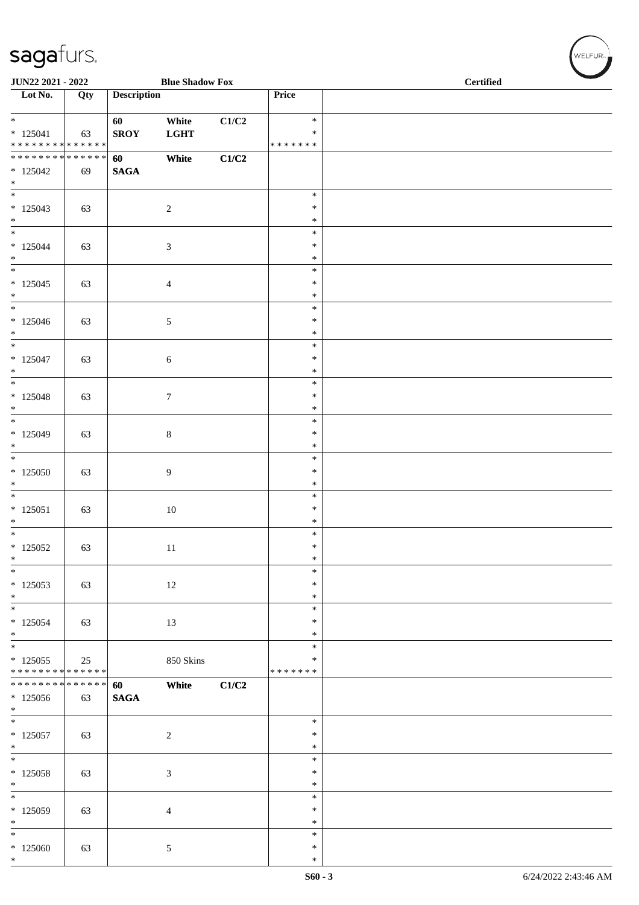| JUN22 2021 - 2022                                                    |     |                    | <b>Blue Shadow Fox</b> |       |                                   |  | Certified |  |  |
|----------------------------------------------------------------------|-----|--------------------|------------------------|-------|-----------------------------------|--|-----------|--|--|
| Lot No.                                                              | Qty | <b>Description</b> |                        |       | Price                             |  |           |  |  |
| $\overline{\ }$<br>$* 125041$<br>* * * * * * * * * * * * * *         | 63  | 60<br><b>SROY</b>  | White<br><b>LGHT</b>   | C1/C2 | $\ast$<br>$\ast$<br>* * * * * * * |  |           |  |  |
| ******** <mark>******</mark><br>$*125042$<br>$*$                     | 69  | 60<br><b>SAGA</b>  | White                  | C1/C2 |                                   |  |           |  |  |
| $\overline{\phantom{0}}$<br>$*125043$<br>$*$                         | 63  |                    | $\sqrt{2}$             |       | $\ast$<br>$\ast$<br>$\ast$        |  |           |  |  |
| $\ast$<br>$* 125044$<br>$\ast$                                       | 63  |                    | $\mathfrak{Z}$         |       | $\ast$<br>$\ast$<br>$\ast$        |  |           |  |  |
| $\overline{\phantom{0}}$<br>$* 125045$<br>$\ast$                     | 63  |                    | $\overline{4}$         |       | $\ast$<br>$\ast$<br>$\ast$        |  |           |  |  |
| $*$<br>$*125046$<br>$*$                                              | 63  |                    | $\mathfrak{S}$         |       | $\ast$<br>$\ast$<br>$\ast$        |  |           |  |  |
| $\overline{\phantom{0}}$<br>$*125047$<br>$*$                         | 63  |                    | $\sqrt{6}$             |       | $\ast$<br>$\ast$<br>$\ast$        |  |           |  |  |
| $\overline{\phantom{0}}$<br>$* 125048$<br>$*$                        | 63  |                    | $\tau$                 |       | $\ast$<br>$\ast$<br>$\ast$        |  |           |  |  |
| $*$<br>$* 125049$<br>$*$                                             | 63  |                    | $\,8\,$                |       | $\ast$<br>$\ast$<br>$\ast$        |  |           |  |  |
| $\overline{\phantom{0}}$<br>$*125050$<br>$\ast$                      | 63  |                    | $\boldsymbol{9}$       |       | $\ast$<br>$\ast$<br>$\ast$        |  |           |  |  |
| $*$<br>$* 125051$<br>$\ast$                                          | 63  |                    | $10\,$                 |       | $\ast$<br>$\ast$<br>$\ast$        |  |           |  |  |
| $\overline{\phantom{0}}$<br>$*125052$<br>$\ast$                      | 63  |                    | $11\,$                 |       | $\ast$<br>$\ast$<br>$\ast$        |  |           |  |  |
| $\overline{\phantom{a}^*}$<br>$*125053$<br>$*$                       | 63  |                    | $12\,$                 |       | $\ast$<br>$\ast$<br>$\ast$        |  |           |  |  |
| $\overline{\phantom{0}}$<br>$*125054$<br>$*$                         | 63  |                    | 13                     |       | $\ast$<br>$\ast$<br>$\ast$        |  |           |  |  |
| $\overline{\phantom{0}}$<br>$*125055$<br>* * * * * * * * * * * * * * | 25  |                    | 850 Skins              |       | $\ast$<br>$\ast$<br>* * * * * * * |  |           |  |  |
| ******** <mark>******</mark><br>$*125056$<br>$*$                     | 63  | 60<br><b>SAGA</b>  | White                  | C1/C2 |                                   |  |           |  |  |
| $\overline{\ast}$<br>$*125057$<br>$\ast$                             | 63  |                    | $\overline{c}$         |       | $\ast$<br>$\ast$<br>∗             |  |           |  |  |
| $*$<br>$*125058$<br>$\ast$                                           | 63  |                    | $\mathfrak{Z}$         |       | $\ast$<br>$\ast$<br>$\ast$        |  |           |  |  |
| $\frac{1}{*}$<br>$*125059$<br>$\ast$                                 | 63  |                    | $\overline{4}$         |       | $\ast$<br>∗<br>$\ast$             |  |           |  |  |
| $\overline{\ast}$<br>$*125060$<br>$*$                                | 63  |                    | $5\,$                  |       | $\ast$<br>$\ast$<br>$\ast$        |  |           |  |  |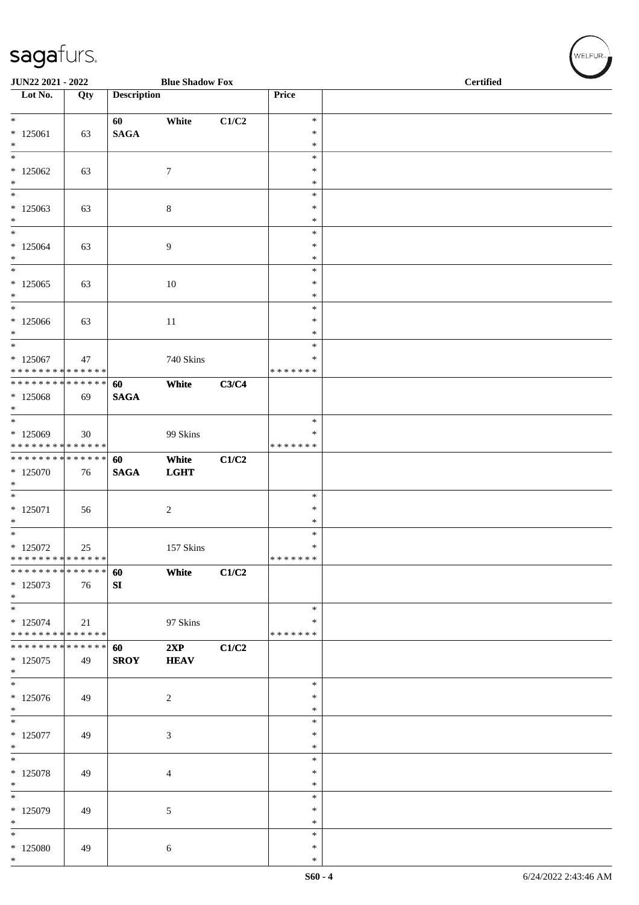| JUN22 2021 - 2022                                          |        |                    | <b>Blue Shadow Fox</b> |       |                  | <b>Certified</b> |  |
|------------------------------------------------------------|--------|--------------------|------------------------|-------|------------------|------------------|--|
| Lot No.                                                    | Qty    | <b>Description</b> |                        |       | Price            |                  |  |
| $\overline{\ast}$                                          |        | 60                 | White                  | C1/C2 | $\ast$           |                  |  |
| $*125061$                                                  | 63     | <b>SAGA</b>        |                        |       | $\ast$           |                  |  |
| $\ast$                                                     |        |                    |                        |       | $\ast$           |                  |  |
| $\ast$                                                     |        |                    |                        |       | $\ast$<br>$\ast$ |                  |  |
| $*125062$<br>$\ast$                                        | 63     |                    | $\tau$                 |       | $\ast$           |                  |  |
| $\ast$                                                     |        |                    |                        |       | $\ast$           |                  |  |
| $*125063$                                                  | 63     |                    | $\,8\,$                |       | $\ast$           |                  |  |
| $\ast$<br>$\ast$                                           |        |                    |                        |       | $\ast$<br>$\ast$ |                  |  |
| $*125064$                                                  | 63     |                    | 9                      |       | $\ast$           |                  |  |
| $\ast$                                                     |        |                    |                        |       | $\ast$           |                  |  |
| $\ast$                                                     |        |                    |                        |       | $\ast$           |                  |  |
| $*125065$<br>$\ast$                                        | 63     |                    | $10\,$                 |       | $\ast$<br>$\ast$ |                  |  |
| $\ast$                                                     |        |                    |                        |       | $\ast$           |                  |  |
| $*125066$                                                  | 63     |                    | $11\,$                 |       | $\ast$           |                  |  |
| $\ast$<br>$\overline{\phantom{a}^*}$                       |        |                    |                        |       | $\ast$           |                  |  |
| $*125067$                                                  | 47     |                    | 740 Skins              |       | $\ast$<br>∗      |                  |  |
| * * * * * * * * <mark>* * * * * * *</mark>                 |        |                    |                        |       | * * * * * * *    |                  |  |
| * * * * * * * * * * * * * *                                |        | 60                 | White                  | C3/C4 |                  |                  |  |
| $* 125068$                                                 | 69     | <b>SAGA</b>        |                        |       |                  |                  |  |
| $*$<br>$*$                                                 |        |                    |                        |       | $\ast$           |                  |  |
| $*125069$                                                  | 30     |                    | 99 Skins               |       | $\ast$           |                  |  |
| * * * * * * * * * * * * * *                                |        |                    |                        |       | * * * * * * *    |                  |  |
| ******** <mark>******</mark><br>* 125070                   |        | 60<br><b>SAGA</b>  | White<br><b>LGHT</b>   | C1/C2 |                  |                  |  |
| $\ast$                                                     | 76     |                    |                        |       |                  |                  |  |
| $*$                                                        |        |                    |                        |       | $\ast$           |                  |  |
| $* 125071$                                                 | 56     |                    | $\overline{2}$         |       | $\ast$           |                  |  |
| $\ast$<br>$\overline{\ast}$                                |        |                    |                        |       | $\ast$<br>$\ast$ |                  |  |
| $*125072$                                                  | $25\,$ |                    | 157 Skins              |       | $\ast$           |                  |  |
| * * * * * * * * * * * * * *                                |        |                    |                        |       | *******          |                  |  |
| * * * * * * * * * * * * * *                                |        | 60                 | White                  | C1/C2 |                  |                  |  |
| $*125073$<br>$*$                                           | 76     | ${\bf S}{\bf I}$   |                        |       |                  |                  |  |
| $\overline{\ast}$                                          |        |                    |                        |       | $\ast$           |                  |  |
| $* 125074$                                                 | 21     |                    | 97 Skins               |       | $\ast$           |                  |  |
| * * * * * * * * * * * * * *<br>* * * * * * * * * * * * * * |        | 60                 | 2XP                    | C1/C2 | * * * * * * *    |                  |  |
| $*125075$                                                  | 49     | <b>SROY</b>        | <b>HEAV</b>            |       |                  |                  |  |
| $\ast$                                                     |        |                    |                        |       |                  |                  |  |
| $\overline{\phantom{0}}$                                   |        |                    |                        |       | $\ast$<br>∗      |                  |  |
| $* 125076$<br>$*$                                          | 49     |                    | $\overline{c}$         |       | $\ast$           |                  |  |
| $\overline{\phantom{0}}$                                   |        |                    |                        |       | $\ast$           |                  |  |
| $*125077$                                                  | 49     |                    | 3                      |       | $\ast$           |                  |  |
| $\ast$<br>$\ast$                                           |        |                    |                        |       | ∗<br>$\ast$      |                  |  |
| $*125078$                                                  | 49     |                    | 4                      |       | $\ast$           |                  |  |
| $\ast$                                                     |        |                    |                        |       | $\ast$           |                  |  |
| $\overline{\phantom{a}^*}$                                 |        |                    |                        |       | $\ast$           |                  |  |
| $*$ 125079<br>$\ast$                                       | 49     |                    | 5                      |       | ∗<br>$\ast$      |                  |  |
| $\ast$                                                     |        |                    |                        |       | $\ast$           |                  |  |
| $*125080$                                                  | 49     |                    | $\sqrt{6}$             |       | $\ast$           |                  |  |
| $*$                                                        |        |                    |                        |       | $\ast$           |                  |  |

 $\left(\bigvee_{w \in \text{LFUR}_{\text{reg}}}$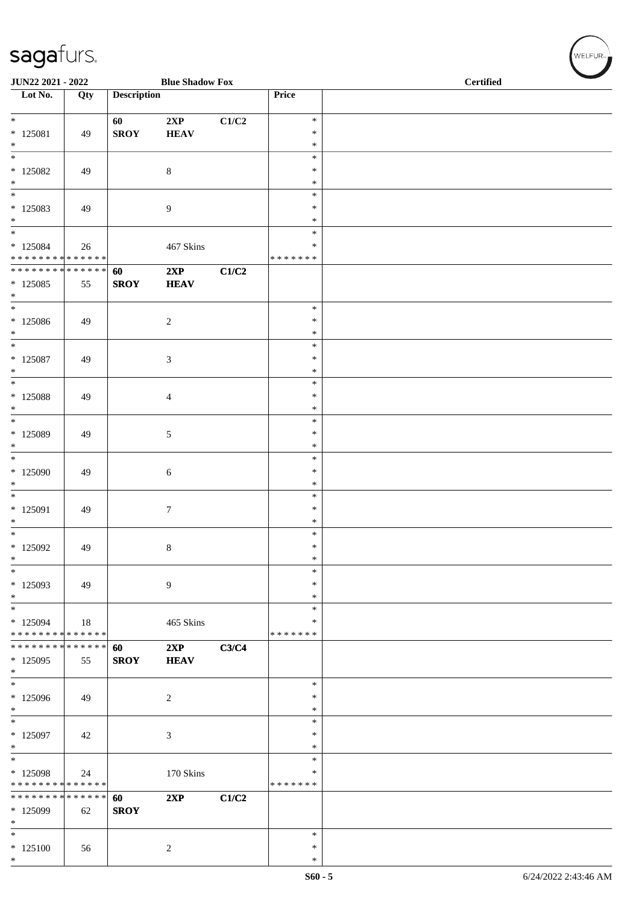| JUN22 2021 - 2022                                                                       |     |                    | <b>Blue Shadow Fox</b> |       |                                      | <b>Certified</b> |
|-----------------------------------------------------------------------------------------|-----|--------------------|------------------------|-------|--------------------------------------|------------------|
| Lot No.                                                                                 | Qty | <b>Description</b> |                        |       | Price                                |                  |
| $*$<br>$* 125081$                                                                       | 49  | 60<br><b>SROY</b>  | 2XP<br><b>HEAV</b>     | C1/C2 | $\ast$<br>$\ast$                     |                  |
| $*$<br>$\overline{\ast}$<br>$*125082$<br>$*$                                            | 49  |                    | $8\,$                  |       | $\ast$<br>$\ast$<br>$\ast$<br>$\ast$ |                  |
| $*$<br>$*125083$<br>$*$                                                                 | 49  |                    | $\overline{9}$         |       | $\ast$<br>$\ast$<br>$\ast$           |                  |
| $*$<br>$*125084$<br>* * * * * * * * * * * * * *                                         | 26  |                    | 467 Skins              |       | $\ast$<br>$\ast$<br>* * * * * * *    |                  |
| ******** <mark>******</mark><br>$*125085$<br>$*$                                        | 55  | 60<br><b>SROY</b>  | 2XP<br><b>HEAV</b>     | C1/C2 |                                      |                  |
| $\overline{\ }$<br>$*125086$<br>$\ast$                                                  | 49  |                    | $\sqrt{2}$             |       | $\ast$<br>$\ast$<br>$\ast$           |                  |
| $*$<br>$*$ 125087<br>$*$<br>$\overline{\ast}$                                           | 49  |                    | $\mathfrak{Z}$         |       | $\ast$<br>$\ast$<br>$\ast$<br>$\ast$ |                  |
| $*$ 125088<br>$*$<br>$\ast$                                                             | 49  |                    | 4                      |       | $\ast$<br>$\ast$<br>$\ast$           |                  |
| $*$ 125089<br>$\ast$<br>$*$                                                             | 49  |                    | 5                      |       | $\ast$<br>$\ast$<br>$\ast$           |                  |
| $*125090$<br>$\ast$<br>$\frac{1}{1}$                                                    | 49  |                    | $\sqrt{6}$             |       | $\ast$<br>$\ast$<br>$\ast$           |                  |
| $* 125091$<br>$*$<br>$\overline{\ast}$                                                  | 49  |                    | $\tau$                 |       | $\ast$<br>$\ast$<br>$\ast$           |                  |
| $*125092$<br>$\ast$<br>$\ast$                                                           | 49  |                    | 8                      |       | $\ast$<br>$\ast$<br>$\ast$           |                  |
| $*125093$<br>$*$<br>$\overline{\phantom{0}}$                                            | 49  |                    | $\overline{9}$         |       | $\ast$<br>$\ast$<br>$\ast$           |                  |
| $* 125094$<br>* * * * * * * * * * * * * *<br>* * * * * * * * <mark>* * * * * * *</mark> | 18  | 60                 | 465 Skins<br>2XP       | C3/C4 | ∗<br>* * * * * * *                   |                  |
| * 125095<br>$*$<br>$*$                                                                  | 55  | <b>SROY</b>        | <b>HEAV</b>            |       | $\ast$                               |                  |
| * 125096<br>$*$<br>$\ast$                                                               | 49  |                    | $\overline{c}$         |       | $\ast$<br>$\ast$<br>$\ast$           |                  |
| $* 125097$<br>$*$<br>$*$                                                                | 42  |                    | 3                      |       | $\ast$<br>$\ast$<br>$\ast$           |                  |
| $*125098$<br>* * * * * * * * * * * * * *<br>* * * * * * * * * * * * * * *               | 24  | 60                 | 170 Skins<br>2XP       | C1/C2 | ∗<br>* * * * * * *                   |                  |
| * 125099<br>$\ast$                                                                      | 62  | <b>SROY</b>        |                        |       | $\ast$                               |                  |
| $*125100$<br>$*$                                                                        | 56  |                    | 2                      |       | $\ast$<br>$\ast$                     |                  |

 $\left(\begin{smallmatrix} \mathsf{WELFLR}_{\mathbb{W}}\end{smallmatrix}\right)$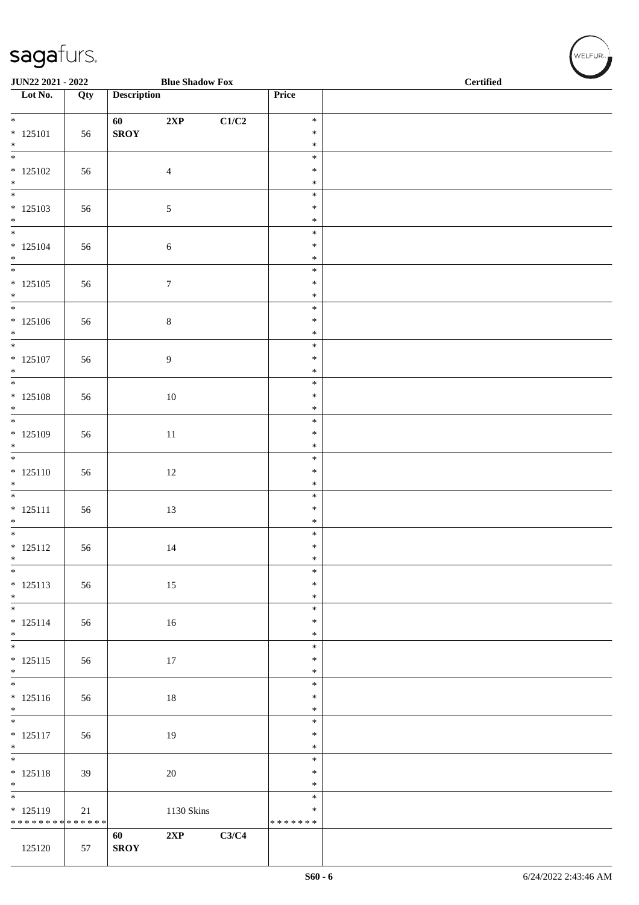| JUN22 2021 - 2022                         |     |                    | <b>Blue Shadow Fox</b> |       |                         | <b>Certified</b> |  |  |  |  |
|-------------------------------------------|-----|--------------------|------------------------|-------|-------------------------|------------------|--|--|--|--|
| Lot No.                                   | Qty | <b>Description</b> |                        |       | Price                   |                  |  |  |  |  |
| $\overline{\ }$                           |     | 60                 | 2XP                    | C1/C2 | $\ast$                  |                  |  |  |  |  |
| $* 125101$<br>$\ast$                      | 56  | ${\bf SROY}$       |                        |       | $\ast$<br>$\ast$        |                  |  |  |  |  |
| $\overline{\phantom{0}}$                  |     |                    |                        |       | $\ast$                  |                  |  |  |  |  |
| $* 125102$                                | 56  |                    | $\overline{4}$         |       | $\ast$                  |                  |  |  |  |  |
| $\ast$<br>$\overline{\phantom{0}}$        |     |                    |                        |       | $\ast$<br>$\ast$        |                  |  |  |  |  |
| $* 125103$                                | 56  |                    | $\sqrt{5}$             |       | $\ast$                  |                  |  |  |  |  |
| $*$<br>$\overline{\phantom{0}}$           |     |                    |                        |       | $\ast$<br>$\ast$        |                  |  |  |  |  |
| $* 125104$                                | 56  |                    | $\sqrt{6}$             |       | $\ast$                  |                  |  |  |  |  |
| $*$<br>$\overline{\phantom{0}}$           |     |                    |                        |       | $\ast$<br>$\ast$        |                  |  |  |  |  |
| $* 125105$                                | 56  |                    | $\boldsymbol{7}$       |       | $\ast$                  |                  |  |  |  |  |
| $*$<br>$\overline{\phantom{0}}$           |     |                    |                        |       | $\ast$                  |                  |  |  |  |  |
| $* 125106$                                | 56  |                    | $\,8\,$                |       | $\ast$<br>$\ast$        |                  |  |  |  |  |
| $\ast$                                    |     |                    |                        |       | $\ast$                  |                  |  |  |  |  |
| $\overline{\ast}$<br>$* 125107$           | 56  |                    | $\boldsymbol{9}$       |       | $\ast$<br>$\ast$        |                  |  |  |  |  |
| $\ast$                                    |     |                    |                        |       | $\ast$                  |                  |  |  |  |  |
| $\overline{\phantom{0}}$                  |     |                    |                        |       | $\ast$                  |                  |  |  |  |  |
| $* 125108$<br>$\ast$                      | 56  |                    | 10                     |       | $\ast$<br>$\ast$        |                  |  |  |  |  |
| $\overline{\phantom{0}}$                  |     |                    |                        |       | $\ast$                  |                  |  |  |  |  |
| $* 125109$<br>$\ast$                      | 56  |                    | $11\,$                 |       | $\ast$<br>$\ast$        |                  |  |  |  |  |
| $\overline{\phantom{0}}$                  |     |                    |                        |       | $\ast$                  |                  |  |  |  |  |
| $* 125110$<br>$\ast$                      | 56  |                    | $12\,$                 |       | $\ast$<br>$\ast$        |                  |  |  |  |  |
| $\overline{\phantom{0}}$                  |     |                    |                        |       | $\ast$                  |                  |  |  |  |  |
| $* 125111$                                | 56  |                    | 13                     |       | $\ast$<br>$\ast$        |                  |  |  |  |  |
| $*$<br>$\overline{\phantom{0}}$           |     |                    |                        |       | $\ast$                  |                  |  |  |  |  |
| $* 125112$                                | 56  |                    | 14                     |       | $\ast$                  |                  |  |  |  |  |
| $*$<br>$\frac{1}{*}$                      |     |                    |                        |       | $\ast$<br>$\ast$        |                  |  |  |  |  |
| $* 125113$                                | 56  |                    | $15\,$                 |       | $\ast$                  |                  |  |  |  |  |
| $\ast$<br>$\overline{\phantom{0}}$        |     |                    |                        |       | $\ast$<br>$\ast$        |                  |  |  |  |  |
| $* 125114$                                | 56  |                    | 16                     |       | $\ast$                  |                  |  |  |  |  |
| $*$<br>$\overline{\phantom{0}}$           |     |                    |                        |       | $\ast$<br>$\ast$        |                  |  |  |  |  |
| $* 125115$                                | 56  |                    | 17                     |       | $\ast$                  |                  |  |  |  |  |
| $*$<br>$\overline{\phantom{0}}$           |     |                    |                        |       | $\ast$                  |                  |  |  |  |  |
| $* 125116$                                | 56  |                    | $18\,$                 |       | $\ast$<br>$\ast$        |                  |  |  |  |  |
| $*$<br>$\overline{\phantom{0}}$           |     |                    |                        |       | $\ast$                  |                  |  |  |  |  |
| $* 125117$                                | 56  |                    | 19                     |       | $\ast$<br>$\ast$        |                  |  |  |  |  |
| $*$                                       |     |                    |                        |       | $\ast$                  |                  |  |  |  |  |
| $\overline{\phantom{a}^*}$<br>$* 125118$  | 39  |                    | 20                     |       | $\ast$<br>$\ast$        |                  |  |  |  |  |
| $*$                                       |     |                    |                        |       | $\ast$                  |                  |  |  |  |  |
| $\overline{\phantom{a}^*}$                |     |                    |                        |       | $\ast$                  |                  |  |  |  |  |
| $* 125119$<br>* * * * * * * * * * * * * * | 21  |                    | 1130 Skins             |       | $\ast$<br>* * * * * * * |                  |  |  |  |  |
|                                           |     | 60                 | 2XP                    | C3/C4 |                         |                  |  |  |  |  |
| 125120                                    | 57  | <b>SROY</b>        |                        |       |                         |                  |  |  |  |  |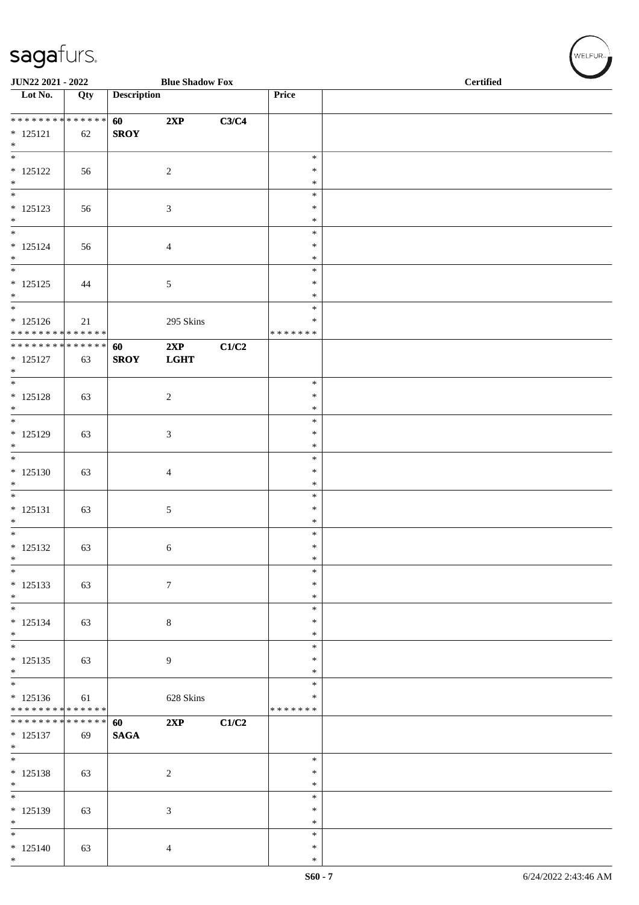|                                                          | JUN22 2021 - 2022<br><b>Blue Shadow Fox</b> |                    |                    |       |                    | <b>Certified</b> |  |
|----------------------------------------------------------|---------------------------------------------|--------------------|--------------------|-------|--------------------|------------------|--|
| Lot No.                                                  | Qty                                         | <b>Description</b> |                    |       | Price              |                  |  |
| * * * * * * * * * * * * * *                              |                                             | 60                 | 2XP                | C3/C4 |                    |                  |  |
| $* 125121$                                               | 62                                          | <b>SROY</b>        |                    |       |                    |                  |  |
| $*$<br>$\overline{\ast}$                                 |                                             |                    |                    |       | $\ast$             |                  |  |
| $* 125122$                                               | 56                                          |                    | $\overline{2}$     |       | $\ast$             |                  |  |
| $\ast$<br>$\overline{\ast}$                              |                                             |                    |                    |       | $\ast$<br>$\ast$   |                  |  |
| $* 125123$                                               | 56                                          |                    | $\mathfrak{Z}$     |       | $\ast$             |                  |  |
| $*$<br>$\ast$                                            |                                             |                    |                    |       | $\ast$<br>$\ast$   |                  |  |
| $* 125124$                                               | 56                                          |                    | $\overline{4}$     |       | $\ast$             |                  |  |
| $*$<br>$\overline{\phantom{0}}$                          |                                             |                    |                    |       | $\ast$<br>$\ast$   |                  |  |
| $* 125125$                                               | 44                                          |                    | $5\phantom{.0}$    |       | $\ast$             |                  |  |
| $\ast$<br>$*$                                            |                                             |                    |                    |       | $\ast$             |                  |  |
| $* 125126$                                               | $21\,$                                      |                    | 295 Skins          |       | $\ast$<br>∗        |                  |  |
| * * * * * * * * * * * * * *                              |                                             |                    |                    |       | * * * * * * *      |                  |  |
| * * * * * * * * <mark>* * * * * * *</mark><br>$* 125127$ | 63                                          | 60<br><b>SROY</b>  | 2XP<br><b>LGHT</b> | C1/C2 |                    |                  |  |
| $*$                                                      |                                             |                    |                    |       |                    |                  |  |
| $*$<br>$* 125128$                                        | 63                                          |                    | $\sqrt{2}$         |       | $\ast$<br>$\ast$   |                  |  |
| $*$                                                      |                                             |                    |                    |       | $\ast$             |                  |  |
| $*$<br>$* 125129$                                        | 63                                          |                    | $\mathfrak{Z}$     |       | $\ast$<br>$\ast$   |                  |  |
| $*$                                                      |                                             |                    |                    |       | $\ast$             |                  |  |
| $\overline{\phantom{0}}$                                 |                                             |                    |                    |       | $\ast$<br>$\ast$   |                  |  |
| $* 125130$<br>$\ast$                                     | 63                                          |                    | $\overline{4}$     |       | $\ast$             |                  |  |
| $*$                                                      |                                             |                    |                    |       | $\ast$             |                  |  |
| $* 125131$<br>$\ast$                                     | 63                                          |                    | $5\,$              |       | $\ast$<br>$\ast$   |                  |  |
| $\overline{\phantom{0}}$                                 |                                             |                    |                    |       | $\ast$             |                  |  |
| $* 125132$<br>$\ast$                                     | 63                                          |                    | $\sqrt{6}$         |       | $\ast$<br>$\ast$   |                  |  |
| $\frac{1}{*}$                                            |                                             |                    |                    |       | $\ast$             |                  |  |
| $* 125133$<br>$*$                                        | 63                                          |                    | $\boldsymbol{7}$   |       | $\ast$<br>$\ast$   |                  |  |
| $*$                                                      |                                             |                    |                    |       | $\ast$             |                  |  |
| $* 125134$<br>$*$                                        | 63                                          |                    | $\,8\,$            |       | $\ast$<br>$\ast$   |                  |  |
| $*$                                                      |                                             |                    |                    |       | $\ast$             |                  |  |
| $* 125135$<br>$*$                                        | 63                                          |                    | 9                  |       | $\ast$<br>$\ast$   |                  |  |
| $\overline{\phantom{0}}$                                 |                                             |                    |                    |       | $\ast$             |                  |  |
| $* 125136$<br>* * * * * * * * * * * * * *                | 61                                          |                    | 628 Skins          |       | *<br>* * * * * * * |                  |  |
| * * * * * * * * <mark>* * * * * * *</mark>               |                                             | 60                 | 2XP                | C1/C2 |                    |                  |  |
| $* 125137$<br>$*$                                        | 69                                          | <b>SAGA</b>        |                    |       |                    |                  |  |
| $\overline{\ast}$                                        |                                             |                    |                    |       | $\ast$             |                  |  |
| $* 125138$<br>$*$                                        | 63                                          |                    | 2                  |       | $\ast$<br>$\ast$   |                  |  |
| $\overline{\phantom{0}}$                                 |                                             |                    |                    |       | $\ast$             |                  |  |
| $* 125139$                                               | 63                                          |                    | $\mathfrak{Z}$     |       | *                  |                  |  |
| $\ast$<br>$\overline{\phantom{0}}$                       |                                             |                    |                    |       | $\ast$<br>$\ast$   |                  |  |
| $* 125140$                                               | 63                                          |                    | $\overline{4}$     |       | $\ast$             |                  |  |
| $*$                                                      |                                             |                    |                    |       | $\ast$             |                  |  |

 $(w$ ELFUR-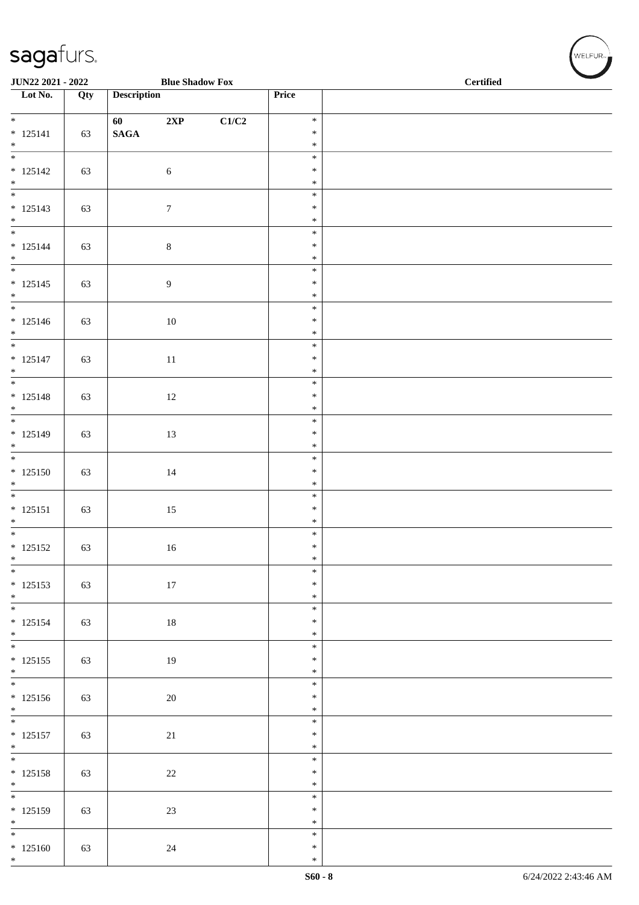| JUN22 2021 - 2022                  |     |                    | <b>Blue Shadow Fox</b> |       |                  | <b>Certified</b> |  |  |  |  |
|------------------------------------|-----|--------------------|------------------------|-------|------------------|------------------|--|--|--|--|
| $\overline{\phantom{1}}$ Lot No.   | Qty | <b>Description</b> |                        |       | Price            |                  |  |  |  |  |
| $\overline{\phantom{0}}$           |     | 60                 | 2XP                    | C1/C2 | $\ast$           |                  |  |  |  |  |
| $* 125141$<br>$*$                  | 63  | $\mathbf{SAGA}$    |                        |       | $\ast$<br>$\ast$ |                  |  |  |  |  |
| $\overline{\phantom{0}}$           |     |                    |                        |       | $\ast$           |                  |  |  |  |  |
| $* 125142$                         | 63  |                    | $\sqrt{6}$             |       | $\ast$<br>$\ast$ |                  |  |  |  |  |
| $*$<br>$*$                         |     |                    |                        |       | $\ast$           |                  |  |  |  |  |
| $* 125143$                         | 63  |                    | $\boldsymbol{7}$       |       | $\ast$<br>$\ast$ |                  |  |  |  |  |
| $*$                                |     |                    |                        |       | $\ast$           |                  |  |  |  |  |
| $* 125144$                         | 63  |                    | $\,8\,$                |       | $\ast$<br>$\ast$ |                  |  |  |  |  |
| $*$<br>$\overline{\phantom{0}}$    |     |                    |                        |       | $\ast$           |                  |  |  |  |  |
| $* 125145$                         | 63  |                    | $\boldsymbol{9}$       |       | $\ast$           |                  |  |  |  |  |
| $*$<br>$\overline{\phantom{0}}$    |     |                    |                        |       | $\ast$<br>$\ast$ |                  |  |  |  |  |
| $* 125146$                         | 63  |                    | $10\,$                 |       | $\ast$           |                  |  |  |  |  |
| $*$<br>$\overline{\phantom{0}}$    |     |                    |                        |       | $\ast$<br>$\ast$ |                  |  |  |  |  |
| $* 125147$                         | 63  |                    | $11\,$                 |       | $\ast$           |                  |  |  |  |  |
| $*$<br>$\overline{\phantom{0}}$    |     |                    |                        |       | $\ast$<br>$\ast$ |                  |  |  |  |  |
| $* 125148$                         | 63  |                    | $12\,$                 |       | $\ast$           |                  |  |  |  |  |
| $*$<br>$*$                         |     |                    |                        |       | $\ast$<br>$\ast$ |                  |  |  |  |  |
| $* 125149$                         | 63  |                    | 13                     |       | $\ast$           |                  |  |  |  |  |
| $*$   *                            |     |                    |                        |       | $\ast$<br>$\ast$ |                  |  |  |  |  |
| $* 125150$                         | 63  |                    | $14\,$                 |       | $\ast$           |                  |  |  |  |  |
| $\ast$<br>$\overline{\phantom{0}}$ |     |                    |                        |       | $\ast$<br>$\ast$ |                  |  |  |  |  |
| $* 125151$                         | 63  |                    | $15\,$                 |       | $\ast$           |                  |  |  |  |  |
| $\ast$<br>$\overline{\phantom{0}}$ |     |                    |                        |       | $\ast$<br>$\ast$ |                  |  |  |  |  |
| $* 125152$                         | 63  |                    | 16                     |       | $\ast$           |                  |  |  |  |  |
| $*$<br>$\overline{\phantom{0}}$    |     |                    |                        |       | $\ast$<br>$\ast$ |                  |  |  |  |  |
| $* 125153$                         | 63  |                    | $17\,$                 |       | $\ast$           |                  |  |  |  |  |
| $*$                                |     |                    |                        |       | $\ast$<br>$\ast$ |                  |  |  |  |  |
| $* 125154$                         | 63  |                    | $18\,$                 |       | $\ast$           |                  |  |  |  |  |
| $*$                                |     |                    |                        |       | $\ast$<br>$\ast$ |                  |  |  |  |  |
| $* 125155$                         | 63  |                    | 19                     |       | $\ast$           |                  |  |  |  |  |
| $*$<br>$\overline{\phantom{0}}$    |     |                    |                        |       | $\ast$<br>$\ast$ |                  |  |  |  |  |
| $* 125156$                         | 63  |                    | $20\,$                 |       | $\ast$           |                  |  |  |  |  |
| $*$                                |     |                    |                        |       | $\ast$<br>$\ast$ |                  |  |  |  |  |
| $* 125157$                         | 63  |                    | $21\,$                 |       | $\ast$           |                  |  |  |  |  |
| $*$<br>$\overline{\ }$             |     |                    |                        |       | $\ast$<br>$\ast$ |                  |  |  |  |  |
| $* 125158$                         | 63  |                    | $22\,$                 |       | $\ast$           |                  |  |  |  |  |
| $*$<br>$\overline{\phantom{0}}$    |     |                    |                        |       | $\ast$<br>$\ast$ |                  |  |  |  |  |
| $* 125159$                         | 63  |                    | 23                     |       | $\ast$           |                  |  |  |  |  |
| $*$<br>$\overline{\phantom{0}}$    |     |                    |                        |       | $\ast$<br>$\ast$ |                  |  |  |  |  |
| $* 125160$<br>$*$                  | 63  |                    | 24                     |       | $\ast$           |                  |  |  |  |  |
|                                    |     |                    |                        |       | $\ast$           |                  |  |  |  |  |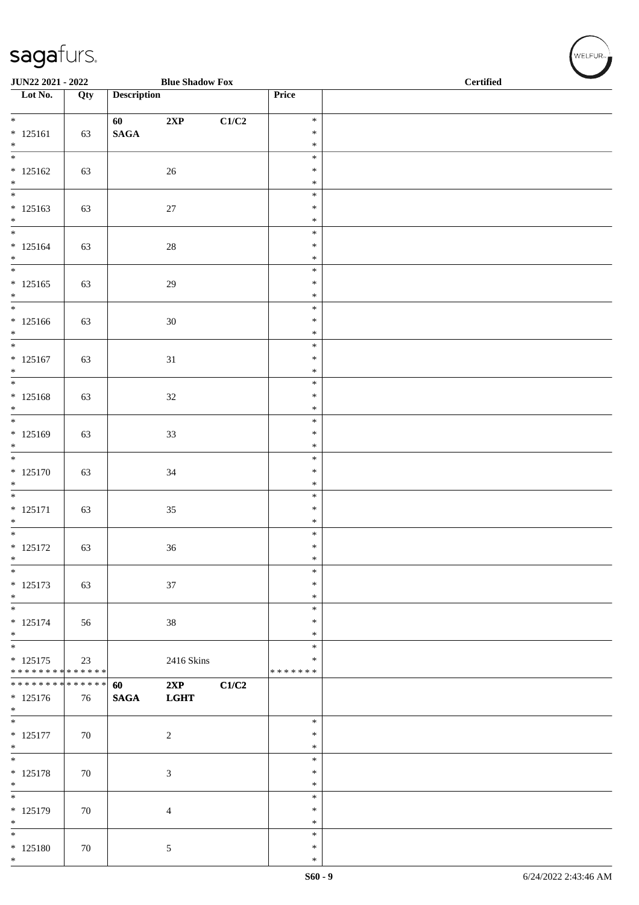| JUN22 2021 - 2022                      |     |                    | <b>Blue Shadow Fox</b> |                           |                  | <b>Certified</b> |
|----------------------------------------|-----|--------------------|------------------------|---------------------------|------------------|------------------|
| $\overline{\phantom{1}}$ Lot No.       | Qty | <b>Description</b> |                        |                           | Price            |                  |
| $\ast$                                 |     | 60                 | 2XP                    | $\mathbf{C1}/\mathbf{C2}$ | $\ast$           |                  |
| $* 125161$                             | 63  | $\mathbf{SAGA}$    |                        |                           | $\ast$           |                  |
| $\ast$<br>$\frac{1}{*}$                |     |                    |                        |                           | $\ast$<br>$\ast$ |                  |
| $* 125162$                             | 63  |                    | 26                     |                           | $\ast$           |                  |
| $\ast$<br>$\overline{\phantom{a}^*}$   |     |                    |                        |                           | $\ast$<br>$\ast$ |                  |
| $*125163$                              | 63  |                    | 27                     |                           | $\ast$           |                  |
| $\ast$<br>$\overline{\ast}$            |     |                    |                        |                           | $\ast$<br>$\ast$ |                  |
| $* 125164$                             | 63  |                    | $28\,$                 |                           | $\ast$           |                  |
| $\ast$<br>$\frac{1}{*}$                |     |                    |                        |                           | $\ast$<br>$\ast$ |                  |
| $* 125165$                             | 63  |                    | $29\,$                 |                           | $\ast$           |                  |
| $\ast$<br>$\overline{\phantom{0}}$     |     |                    |                        |                           | $\ast$           |                  |
| $* 125166$                             | 63  |                    | $30\,$                 |                           | $\ast$<br>$\ast$ |                  |
| $\ast$                                 |     |                    |                        |                           | $\ast$           |                  |
| $\ast$<br>$* 125167$                   | 63  |                    | $31\,$                 |                           | $\ast$<br>$\ast$ |                  |
| $\ast$                                 |     |                    |                        |                           | $\ast$           |                  |
| $\frac{1}{1}$                          |     |                    |                        |                           | $\ast$<br>$\ast$ |                  |
| $* 125168$<br>$\ast$                   | 63  |                    | $32\,$                 |                           | $\ast$           |                  |
| $\overline{\phantom{0}}$               |     |                    |                        |                           | $\ast$           |                  |
| $* 125169$<br>$\ast$                   | 63  |                    | 33                     |                           | $\ast$<br>$\ast$ |                  |
| $\overline{\phantom{a}^*}$             |     |                    |                        |                           | $\ast$           |                  |
| $* 125170$<br>$\ast$                   | 63  |                    | $34\,$                 |                           | $\ast$<br>$\ast$ |                  |
| $\overline{\phantom{0}}$               |     |                    |                        |                           | $\ast$           |                  |
| $* 125171$                             | 63  |                    | $35\,$                 |                           | $\ast$<br>$\ast$ |                  |
| $\ast$<br>$\overline{\phantom{0}}$     |     |                    |                        |                           | $\ast$           |                  |
| $* 125172$                             | 63  |                    | $36\,$                 |                           | $\ast$           |                  |
| $\ast$<br>$\ast$                       |     |                    |                        |                           | $\ast$<br>$\ast$ |                  |
| $* 125173$                             | 63  |                    | $37\,$                 |                           | $\ast$           |                  |
| $\ast$<br>$\overline{\phantom{a}^*}$   |     |                    |                        |                           | $\ast$<br>$\ast$ |                  |
| $* 125174$                             | 56  |                    | 38                     |                           | $\ast$           |                  |
| $\ast$<br>$\overline{\phantom{0}}$     |     |                    |                        |                           | ∗                |                  |
| $* 125175$                             | 23  |                    | 2416 Skins             |                           | $\ast$<br>∗      |                  |
| * * * * * * * * * * * * * *            |     |                    |                        |                           | * * * * * * *    |                  |
| **************<br>$* 125176$           | 76  | 60<br><b>SAGA</b>  | 2XP<br><b>LGHT</b>     | C1/C2                     |                  |                  |
| $\ast$                                 |     |                    |                        |                           |                  |                  |
| $\overline{\phantom{0}}$<br>$* 125177$ | 70  |                    | $\sqrt{2}$             |                           | $\ast$<br>$\ast$ |                  |
| $\ast$                                 |     |                    |                        |                           | *                |                  |
| $\overline{\phantom{a}^*}$             |     |                    |                        |                           | $\ast$<br>$\ast$ |                  |
| $* 125178$<br>$\ast$                   | 70  |                    | $\sqrt{3}$             |                           | $\ast$           |                  |
| $\overline{\phantom{0}}$               |     |                    |                        |                           | $\ast$           |                  |
| $* 125179$<br>$\ast$                   | 70  |                    | $\overline{4}$         |                           | $\ast$<br>$\ast$ |                  |
| $\overline{\phantom{0}}$               |     |                    |                        |                           | $\ast$           |                  |
| $* 125180$<br>$\ast$                   | 70  |                    | $\sqrt{5}$             |                           | $\ast$<br>$\ast$ |                  |
|                                        |     |                    |                        |                           |                  |                  |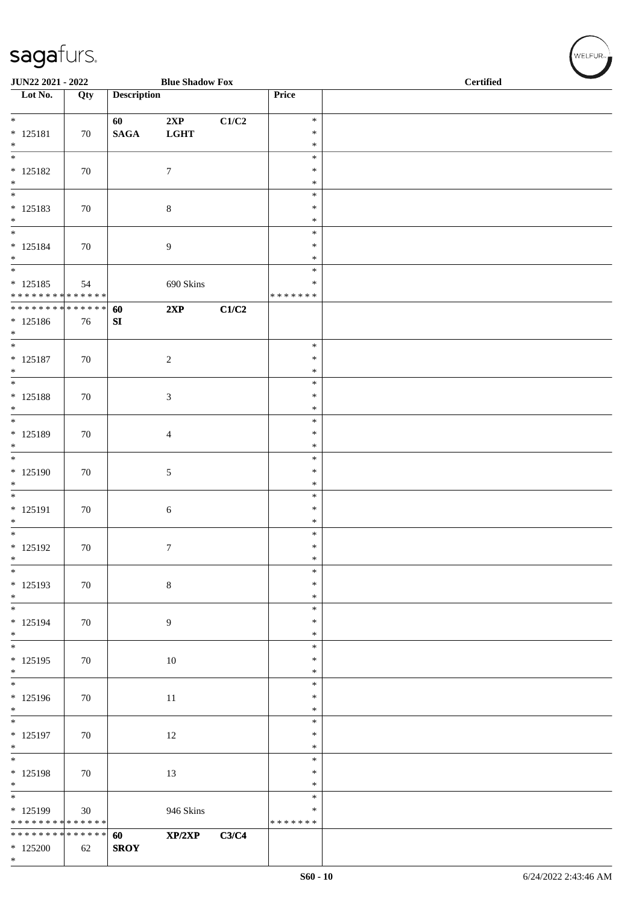| JUN22 2021 - 2022                                                    |                   |                    | <b>Blue Shadow Fox</b> |       |                                      | <b>Certified</b> |  |  |  |
|----------------------------------------------------------------------|-------------------|--------------------|------------------------|-------|--------------------------------------|------------------|--|--|--|
| Lot No.                                                              | Qty               | <b>Description</b> |                        |       | Price                                |                  |  |  |  |
| $\overline{\phantom{0}}$<br>$* 125181$<br>$\ast$                     | 70                | 60<br><b>SAGA</b>  | 2XP<br><b>LGHT</b>     | C1/C2 | $\ast$<br>$\ast$<br>$\ast$           |                  |  |  |  |
| $\overline{\phantom{a}^*}$<br>$* 125182$<br>$*$                      | 70                |                    | $\boldsymbol{7}$       |       | $\ast$<br>$\ast$<br>$\ast$           |                  |  |  |  |
| $\overline{\phantom{a}^*}$<br>$* 125183$<br>$\ast$<br>$\frac{1}{1}$  | 70                |                    | $\,8\,$                |       | $\ast$<br>$\ast$<br>$\ast$           |                  |  |  |  |
| $* 125184$<br>$\ast$<br>$_{\ast}^{-}$                                | 70                |                    | 9                      |       | $\ast$<br>$\ast$<br>$\ast$<br>$\ast$ |                  |  |  |  |
| $* 125185$<br>******** <mark>******</mark>                           | 54                |                    | 690 Skins              |       | $\ast$<br>* * * * * * *              |                  |  |  |  |
| * * * * * * * * * * * * * * *<br>$* 125186$<br>$*$                   | 76                | 60<br>SI           | 2XP                    | C1/C2 |                                      |                  |  |  |  |
| $\overline{\ast}$<br>$* 125187$<br>$*$<br>$\overline{\phantom{0}}$   | 70                |                    | $\sqrt{2}$             |       | $\ast$<br>$\ast$<br>$\ast$           |                  |  |  |  |
| $* 125188$<br>$\ast$                                                 | 70                |                    | $\mathfrak{Z}$         |       | $\ast$<br>$\ast$<br>$\ast$           |                  |  |  |  |
| $\ast$<br>* 125189<br>$\ast$<br>$\overline{\phantom{0}}$             | 70                |                    | $\overline{4}$         |       | $\ast$<br>$\ast$<br>$\ast$           |                  |  |  |  |
| $*125190$<br>$\ast$                                                  | 70                |                    | $\sqrt{5}$             |       | $\ast$<br>$\ast$<br>$\ast$           |                  |  |  |  |
| $\overline{\phantom{a}^*}$<br>* 125191<br>$\ast$                     | 70                |                    | $\sqrt{6}$             |       | $\ast$<br>$\ast$<br>$\ast$           |                  |  |  |  |
| $\overline{\phantom{0}}$<br>$* 125192$<br>$\ast$                     | 70                |                    | $\boldsymbol{7}$       |       | $\ast$<br>$\ast$<br>$\ast$           |                  |  |  |  |
| $\ast$<br>* 125193<br>$*$                                            | 70                |                    | $\,8\,$                |       | $\ast$<br>$\ast$<br>$\ast$           |                  |  |  |  |
| $\overline{\phantom{a}^*}$<br>$* 125194$<br>$*$                      | 70                |                    | $\overline{9}$         |       | $\ast$<br>$\ast$<br>$\ast$           |                  |  |  |  |
| $\overline{\ast}$<br>$* 125195$<br>$*$                               | 70                |                    | 10                     |       | $\ast$<br>$\ast$<br>$\ast$           |                  |  |  |  |
| $\frac{1}{*}$<br>$* 125196$<br>$\ast$                                | 70                |                    | 11                     |       | $\ast$<br>$\ast$<br>$\ast$           |                  |  |  |  |
| $\overline{\phantom{0}}$<br>$* 125197$<br>$\ast$                     | 70                |                    | 12                     |       | $\ast$<br>$\ast$<br>$\ast$           |                  |  |  |  |
| $\overline{\phantom{a}^*}$<br>* 125198<br>$\ast$                     | 70                |                    | 13                     |       | $\ast$<br>$\ast$<br>$\ast$           |                  |  |  |  |
| $\overline{\phantom{0}}$<br>* 125199<br>******** <mark>******</mark> | 30                |                    | 946 Skins              |       | $\ast$<br>$\ast$<br>* * * * * * *    |                  |  |  |  |
| * * * * * * * *<br>$*125200$<br>$*$                                  | * * * * * *<br>62 | 60<br><b>SROY</b>  | XP/2XP                 | C3/C4 |                                      |                  |  |  |  |

WELFUR-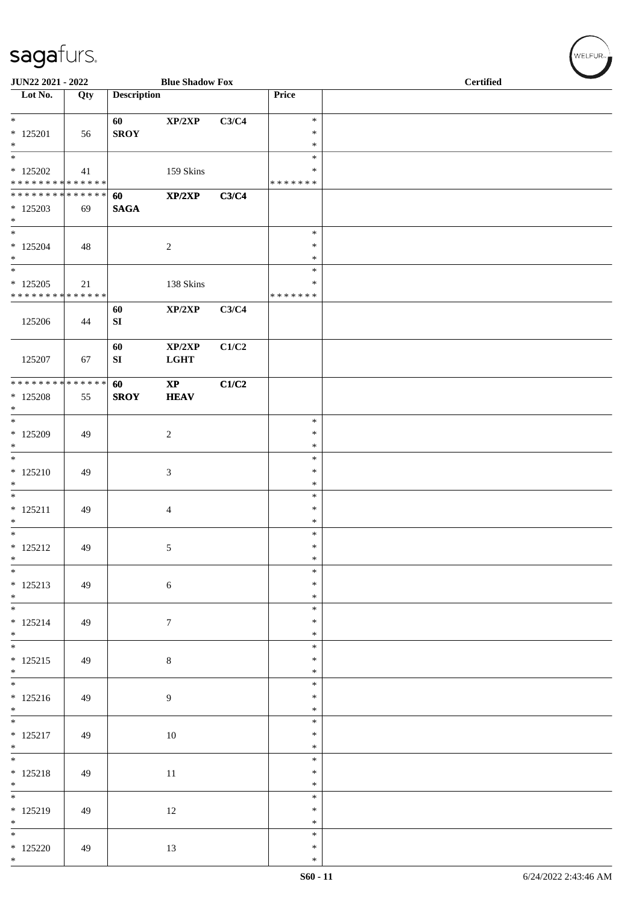| JUN22 2021 - 2022                                                              |     |                        | <b>Blue Shadow Fox</b>                |       |                                      | <b>Certified</b> |
|--------------------------------------------------------------------------------|-----|------------------------|---------------------------------------|-------|--------------------------------------|------------------|
| $\overline{\phantom{1}}$ Lot No.                                               | Qty | <b>Description</b>     |                                       |       | Price                                |                  |
| $*$<br>$*125201$<br>$\ast$                                                     | 56  | 60<br><b>SROY</b>      | XP/2XP                                | C3/C4 | $\ast$<br>∗<br>$\ast$                |                  |
| $\overline{\phantom{a}^*}$<br>$*125202$<br>* * * * * * * * * * * * * *         | 41  |                        | 159 Skins                             |       | $\ast$<br>$\ast$<br>* * * * * * *    |                  |
| * * * * * * * * * * * * * *<br>$*125203$<br>$\ast$<br>$\overline{\phantom{0}}$ | 69  | 60<br><b>SAGA</b>      | XP/2XP                                | C3/C4 |                                      |                  |
| $*125204$<br>$*$<br>$\overline{\ast}$                                          | 48  |                        | $\sqrt{2}$                            |       | $\ast$<br>$\ast$<br>$\ast$<br>$\ast$ |                  |
| $*125205$<br>* * * * * * * * * * * * * *                                       | 21  |                        | 138 Skins                             |       | $\ast$<br>* * * * * * *              |                  |
| 125206                                                                         | 44  | 60<br>${\bf S}{\bf I}$ | $\mathbf{XP}/2\mathbf{XP}$            | C3/C4 |                                      |                  |
| 125207                                                                         | 67  | 60<br>SI               | XP/2XP<br>$_{\rm LGHT}$               | C1/C2 |                                      |                  |
| * * * * * * * * * * * * * *<br>$*125208$<br>$*$                                | 55  | 60<br><b>SROY</b>      | $\mathbf{X}\mathbf{P}$<br><b>HEAV</b> | C1/C2 |                                      |                  |
| $\overline{\ast}$<br>$*125209$<br>$\ast$                                       | 49  |                        | $\sqrt{2}$                            |       | $\ast$<br>$\ast$<br>$\ast$           |                  |
| $*$<br>$* 125210$<br>$\ast$                                                    | 49  |                        | $\mathfrak{Z}$                        |       | $\ast$<br>$\ast$<br>$\ast$           |                  |
| $\ast$<br>$* 125211$<br>$*$                                                    | 49  |                        | $\overline{4}$                        |       | $\ast$<br>$\ast$<br>$\ast$           |                  |
| $\overline{\phantom{0}}$<br>$* 125212$<br>$\ast$                               | 49  |                        | 5 <sub>5</sub>                        |       | $\ast$<br>$\ast$<br>$\ast$           |                  |
| $\ast$<br>$* 125213$<br>$*$                                                    | 49  |                        | $\sqrt{6}$                            |       | $\ast$<br>$\ast$<br>$\ast$           |                  |
| $* 125214$<br>$*$                                                              | 49  |                        | $7\phantom{.0}$                       |       | $\ast$<br>$\ast$<br>$\ast$           |                  |
| $* 125215$<br>$*$                                                              | 49  |                        | $8\,$                                 |       | $\ast$<br>$\ast$<br>$\ast$           |                  |
| $* 125216$<br>$*$                                                              | 49  |                        | $\overline{9}$                        |       | $\ast$<br>$\ast$<br>$\ast$           |                  |
| $\overline{\phantom{0}}$<br>$* 125217$<br>$*$                                  | 49  |                        | $10\,$                                |       | $\ast$<br>$\ast$<br>$\ast$           |                  |
| $* 125218$<br>$*$                                                              | 49  |                        | $11\,$                                |       | *<br>$\ast$<br>$\ast$                |                  |
| $* 125219$<br>$\ast$                                                           | 49  |                        | 12                                    |       | $\ast$<br>$\ast$<br>$\ast$           |                  |
| $\overline{\ast}$<br>$*125220$<br>$*$                                          | 49  |                        | 13                                    |       | $\ast$<br>$\ast$<br>$\ast$           |                  |

WELFUR<sub>"</sub>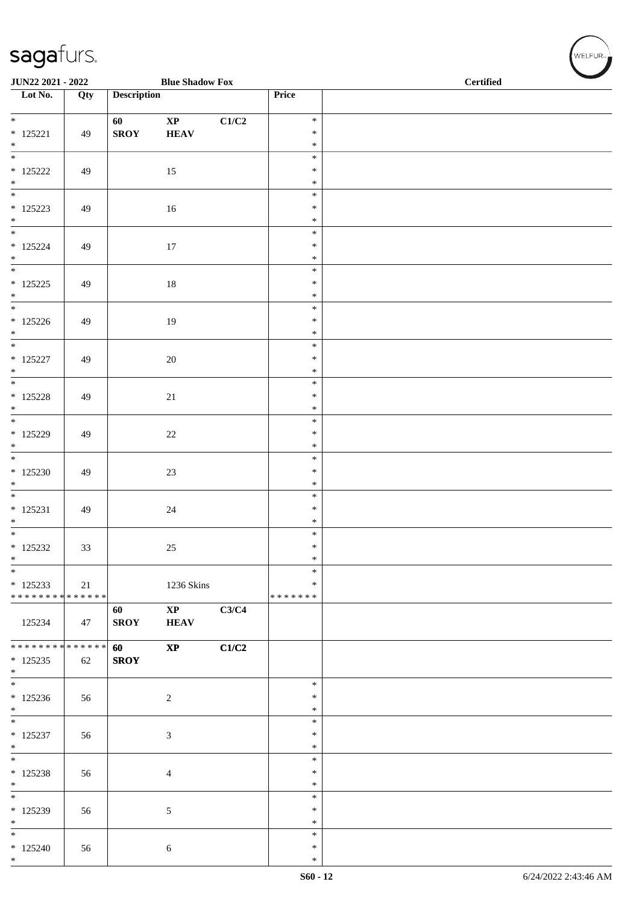| JUN22 2021 - 2022                                    |     | $\mathcal{L}^{\mathcal{L}}$ | <b>Blue Shadow Fox</b>       |       |                            | <b>Certified</b> |
|------------------------------------------------------|-----|-----------------------------|------------------------------|-------|----------------------------|------------------|
| $\overline{\phantom{1}}$ Lot No.                     | Qty | <b>Description</b>          |                              |       | Price                      |                  |
| $* 125221$<br>$\ast$                                 | 49  | 60<br><b>SROY</b>           | $\mathbf{XP}$<br><b>HEAV</b> | C1/C2 | $\ast$<br>$\ast$<br>$\ast$ |                  |
| $\overline{\phantom{a}^*}$<br>$*$ 125222<br>$\ast$   | 49  |                             | 15                           |       | $\ast$<br>$\ast$<br>$\ast$ |                  |
| $\overline{\phantom{a}^*}$<br>$* 125223$<br>$*$ $*$  | 49  |                             | 16                           |       | $\ast$<br>$\ast$<br>$\ast$ |                  |
| $* 125224$<br>$\ast$                                 | 49  |                             | 17                           |       | $\ast$<br>$\ast$<br>$\ast$ |                  |
| $\overline{\phantom{0}}$<br>$* 125225$<br>$\ast$     | 49  |                             | 18                           |       | $\ast$<br>$\ast$<br>$\ast$ |                  |
| $\overline{\phantom{0}}$<br>$*125226$<br>$\ast$      | 49  |                             | 19                           |       | $\ast$<br>$\ast$<br>$\ast$ |                  |
| $\overline{\phantom{0}}$<br>$* 125227$<br>$\ast$     | 49  |                             | 20                           |       | $\ast$<br>$\ast$<br>$\ast$ |                  |
| $\overline{\phantom{0}}$<br>$*$ 125228<br>$*$        | 49  |                             | $21\,$                       |       | $\ast$<br>$\ast$<br>$\ast$ |                  |
| $\ast$<br>$*$ 125229<br>$*$                          | 49  |                             | $22\,$                       |       | $\ast$<br>$\ast$<br>$\ast$ |                  |
| $\overline{\phantom{a}^*}$<br>$*125230$<br>$\ast$    | 49  |                             | 23                           |       | $\ast$<br>$\ast$<br>$\ast$ |                  |
| $\overline{\phantom{0}}$<br>$* 125231$<br>$\ast$     | 49  |                             | $24\,$                       |       | $\ast$<br>$\ast$<br>$\ast$ |                  |
| * 125232<br>$\ast$                                   | 33  |                             | 25                           |       | $\ast$<br>$\ast$<br>$\ast$ |                  |
| $\ast$<br>$*125233$<br>* * * * * * * * * * * * * * * | 21  |                             | 1236 Skins                   |       | *<br>∗<br>* * * * * * *    |                  |
| 125234                                               | 47  | 60<br><b>SROY</b>           | $\mathbf{XP}$<br><b>HEAV</b> | C3/C4 |                            |                  |
| ******** <mark>******</mark><br>$* 125235$<br>$*$    | 62  | 60<br><b>SROY</b>           | $\bold{XP}$                  | C1/C2 |                            |                  |
| $\overline{\phantom{0}}$<br>$*125236$<br>$*$         | 56  |                             | $\overline{c}$               |       | $\ast$<br>$\ast$<br>∗      |                  |
| $\overline{\phantom{0}}$<br>$* 125237$<br>$\ast$     | 56  |                             | $\mathfrak{Z}$               |       | $\ast$<br>$\ast$<br>$\ast$ |                  |
| $\ast$<br>* 125238<br>$*$                            | 56  |                             | 4                            |       | $\ast$<br>$\ast$<br>$\ast$ |                  |
| $\overline{\phantom{a}^*}$<br>* 125239<br>$\ast$     | 56  |                             | $\mathfrak{S}$               |       | $\ast$<br>$\ast$<br>∗      |                  |
| $\overline{\phantom{a}^*}$<br>$*125240$<br>$*$       | 56  |                             | $\sqrt{6}$                   |       | $\ast$<br>$\ast$<br>$\ast$ |                  |

 $\left(\bigvee_{w \in \text{LFUR}_{\text{reg}}}$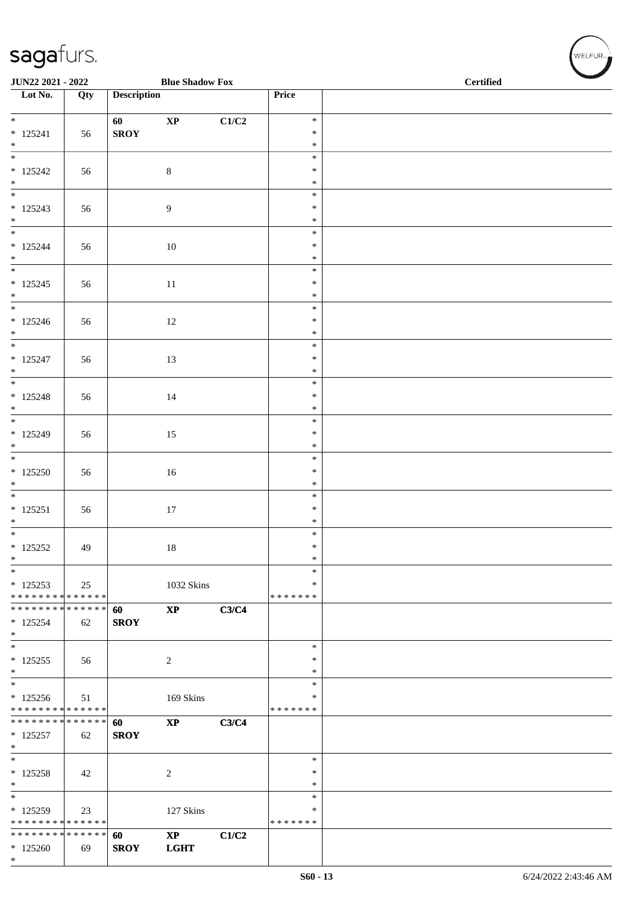| JUN22 2021 - 2022                                          |     |                    | <b>Blue Shadow Fox</b> |       | <b>Certified</b>   |  |  |
|------------------------------------------------------------|-----|--------------------|------------------------|-------|--------------------|--|--|
| $\overline{\phantom{1}}$ Lot No.                           | Qty | <b>Description</b> |                        |       | Price              |  |  |
| $*$                                                        |     | 60                 | $\bold{XP}$            | C1/C2 | $\ast$             |  |  |
| $* 125241$                                                 | 56  | <b>SROY</b>        |                        |       | $\ast$             |  |  |
| $\ast$<br>$_{\ast}$                                        |     |                    |                        |       | $\ast$<br>$\ast$   |  |  |
| $* 125242$                                                 | 56  |                    | $\,8\,$                |       | $\ast$             |  |  |
| $\ast$<br>$*$                                              |     |                    |                        |       | $\ast$<br>$\ast$   |  |  |
| $*125243$                                                  | 56  |                    | $\boldsymbol{9}$       |       | $\ast$             |  |  |
| $\ast$<br>$\frac{1}{*}$                                    |     |                    |                        |       | $\ast$             |  |  |
| $* 125244$                                                 | 56  |                    | 10                     |       | $\ast$<br>$\ast$   |  |  |
| $\ast$                                                     |     |                    |                        |       | $\ast$             |  |  |
| $\overline{\phantom{a}^*}$                                 |     |                    |                        |       | $\ast$             |  |  |
| $* 125245$<br>$\ast$                                       | 56  |                    | $11\,$                 |       | $\ast$<br>$\ast$   |  |  |
| $\ast$                                                     |     |                    |                        |       | $\ast$             |  |  |
| $*125246$<br>$\ast$                                        | 56  |                    | $12\,$                 |       | $\ast$<br>$\ast$   |  |  |
| $\frac{1}{*}$                                              |     |                    |                        |       | $\ast$             |  |  |
| $* 125247$<br>$\ast$                                       | 56  |                    | 13                     |       | $\ast$<br>$\ast$   |  |  |
| $\overline{\phantom{0}}$                                   |     |                    |                        |       | $\ast$             |  |  |
| $* 125248$                                                 | 56  |                    | 14                     |       | $\ast$             |  |  |
| $\ast$<br>$\overline{\phantom{0}}$                         |     |                    |                        |       | $\ast$<br>$\ast$   |  |  |
| $*125249$                                                  | 56  |                    | 15                     |       | $\ast$             |  |  |
| $\ast$<br>$\frac{1}{*}$                                    |     |                    |                        |       | $\ast$<br>$\ast$   |  |  |
| $*125250$                                                  | 56  |                    | 16                     |       | $\ast$             |  |  |
| $\ast$<br>$\overline{\phantom{0}}$                         |     |                    |                        |       | $\ast$             |  |  |
| $* 125251$                                                 | 56  |                    | $17\,$                 |       | $\ast$<br>$\ast$   |  |  |
| $\ast$                                                     |     |                    |                        |       | $\ast$             |  |  |
| $\ast$<br>$*$ 125252                                       |     |                    |                        |       | $\ast$<br>$\ast$   |  |  |
| $\ast$                                                     | 49  |                    | 18                     |       | $\ast$             |  |  |
| $\ast$                                                     |     |                    |                        |       | *                  |  |  |
| $*125253$<br>* * * * * * * * * * * * * * *                 | 25  |                    | 1032 Skins             |       | ∗<br>* * * * * * * |  |  |
| * * * * * * * * * * * * * *                                |     | 60                 | $\bold{XP}$            | C3/C4 |                    |  |  |
| $*125254$<br>$\ast$                                        | 62  | <b>SROY</b>        |                        |       |                    |  |  |
| $\ast$                                                     |     |                    |                        |       | $\ast$             |  |  |
| $* 125255$<br>$\ast$                                       | 56  |                    | $\overline{2}$         |       | ∗<br>$\ast$        |  |  |
| $\overline{\phantom{a}^*}$                                 |     |                    |                        |       | $\ast$             |  |  |
| $*125256$                                                  | 51  |                    | 169 Skins              |       | *                  |  |  |
| * * * * * * * * * * * * * *<br>* * * * * * * * * * * * * * |     | 60                 | $\bold{XP}$            | C3/C4 | * * * * * * *      |  |  |
| $* 125257$                                                 | 62  | <b>SROY</b>        |                        |       |                    |  |  |
| $\ast$<br>$*$                                              |     |                    |                        |       | $\ast$             |  |  |
| $* 125258$                                                 | 42  |                    | $\overline{c}$         |       | $\ast$             |  |  |
| $\ast$<br>$\overline{\phantom{a}^*}$                       |     |                    |                        |       | $\ast$             |  |  |
| $*125259$                                                  | 23  |                    | 127 Skins              |       | $\ast$<br>*        |  |  |
| * * * * * * * * * * * * * * *                              |     |                    |                        |       | * * * * * * *      |  |  |
| * * * * * * * * * * * * * * *<br>$*125260$                 |     | 60                 | $\mathbf{X}\mathbf{P}$ | C1/C2 |                    |  |  |
| $*$                                                        | 69  | <b>SROY</b>        | <b>LGHT</b>            |       |                    |  |  |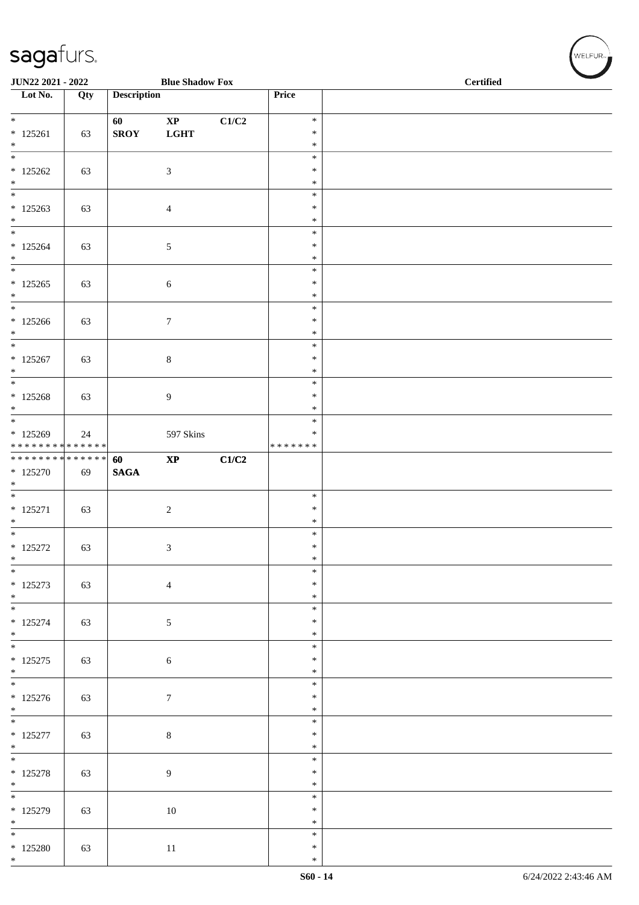| JUN22 2021 - 2022                                                         |     | a sa sa            | <b>Blue Shadow Fox</b>                |       |                                      | <b>Certified</b> |
|---------------------------------------------------------------------------|-----|--------------------|---------------------------------------|-------|--------------------------------------|------------------|
| $\overline{\phantom{1}}$ Lot No.                                          | Qty | <b>Description</b> |                                       |       | Price                                |                  |
| $\overline{\ast}$<br>$* 125261$<br>$\ast$                                 | 63  | 60<br><b>SROY</b>  | $\mathbf{X}\mathbf{P}$<br><b>LGHT</b> | C1/C2 | $\ast$<br>$\ast$<br>$\ast$           |                  |
| $*$<br>$*125262$<br>$\ast$<br>$\overline{\phantom{0}}$                    | 63  |                    | $\ensuremath{\mathfrak{Z}}$           |       | $\ast$<br>$\ast$<br>$\ast$           |                  |
| $* 125263$<br>$*$<br>$\overline{\ast}$                                    | 63  |                    | $\overline{4}$                        |       | $\ast$<br>$\ast$<br>$\ast$<br>$\ast$ |                  |
| $* 125264$<br>$\ast$<br>$\overline{\ast}$                                 | 63  |                    | 5                                     |       | $\ast$<br>$\ast$<br>$\ast$           |                  |
| $*125265$<br>$\ast$<br>$\overline{\phantom{0}}$                           | 63  |                    | 6                                     |       | $\ast$<br>$\ast$<br>$\ast$           |                  |
| $*125266$<br>$\ast$<br>$\ast$                                             | 63  |                    | $\boldsymbol{7}$                      |       | $\ast$<br>$\ast$<br>$\ast$           |                  |
| $* 125267$<br>$*$<br>$\overline{\phantom{0}}$                             | 63  |                    | $8\,$                                 |       | $\ast$<br>$\ast$<br>$\ast$           |                  |
| $* 125268$<br>$*$<br>$\overline{\phantom{0}}$                             | 63  |                    | $\overline{9}$                        |       | $\ast$<br>$\ast$<br>$\ast$           |                  |
| $* 125269$<br>* * * * * * * * * * * * * *<br>******** <mark>******</mark> | 24  |                    | 597 Skins                             |       | $\ast$<br>* * * * * * *              |                  |
| $*125270$<br>$*$<br>$\ast$                                                | 69  | 60<br><b>SAGA</b>  | $\bold{XP}$                           | C1/C2 | $\ast$                               |                  |
| $* 125271$<br>$\ast$<br>$\overline{\ast}$                                 | 63  |                    | $\sqrt{2}$                            |       | $\ast$<br>$\ast$<br>$\ast$           |                  |
| * 125272<br>$\ast$<br>$*$                                                 | 63  |                    | 3                                     |       | $\ast$<br>$\ast$<br>$\ast$           |                  |
| $* 125273$<br>$*$                                                         | 63  |                    | $\overline{4}$                        |       | $\ast$<br>$\ast$<br>$\ast$           |                  |
| $* 125274$<br>$*$                                                         | 63  |                    | $\mathfrak{S}$                        |       | $\ast$<br>$\ast$<br>$\ast$           |                  |
| $* 125275$<br>$*$                                                         | 63  |                    | $\sqrt{6}$                            |       | $\ast$<br>$\ast$<br>$\ast$           |                  |
| $* 125276$<br>$*$<br>$\overline{\phantom{0}}$                             | 63  |                    | $\boldsymbol{7}$                      |       | $\ast$<br>$\ast$<br>$\ast$           |                  |
| $* 125277$<br>$*$ $*$                                                     | 63  |                    | $8\,$                                 |       | $\ast$<br>$\ast$                     |                  |
| $* 125278$<br>$*$<br>$\overline{\phantom{0}}$                             | 63  |                    | $\overline{9}$                        |       | $\ast$<br>$\ast$<br>$\ast$           |                  |
| $* 125279$<br>$*$<br>$\overline{\phantom{0}}$                             | 63  |                    | $10\,$                                |       | $\ast$<br>$\ast$<br>$\ast$           |                  |
| $*$ 125280<br>$*$                                                         | 63  |                    | $11\,$                                |       | $\ast$<br>$\ast$<br>$\ast$           |                  |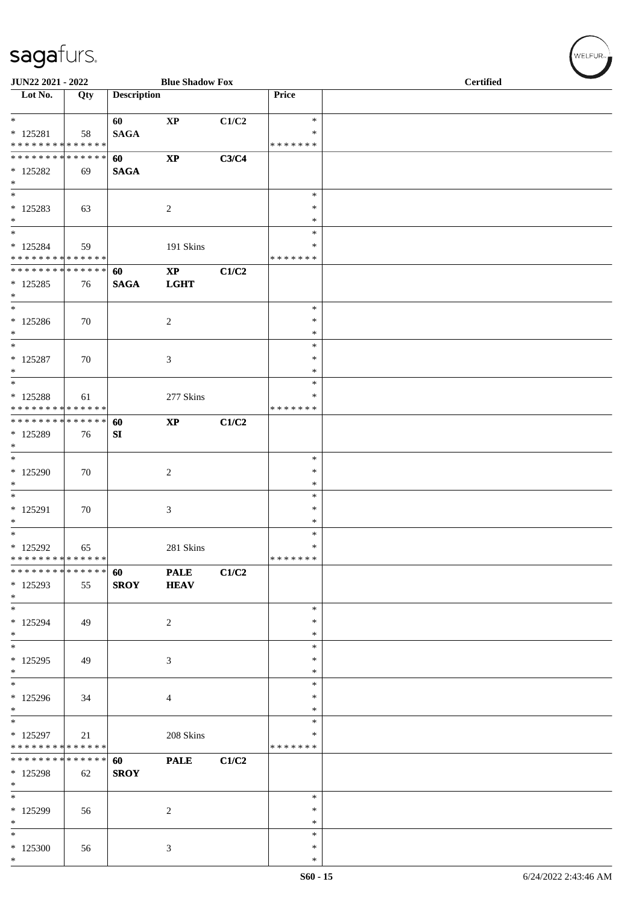| JUN22 2021 - 2022                                           |             |                    | <b>Blue Shadow Fox</b> |       |                    | <b>Certified</b> |
|-------------------------------------------------------------|-------------|--------------------|------------------------|-------|--------------------|------------------|
| Lot No.                                                     | Qty         | <b>Description</b> |                        |       | Price              |                  |
| $\ast$                                                      |             | 60                 | $\mathbf{X}\mathbf{P}$ | C1/C2 | $\ast$             |                  |
| $* 125281$                                                  | 58          | <b>SAGA</b>        |                        |       | $\ast$             |                  |
| * * * * * * * * * * * * * *                                 |             |                    |                        |       | * * * * * * *      |                  |
| * * * * * * * * * * * * * *                                 |             | 60                 | $\mathbf{X}\mathbf{P}$ | C3/C4 |                    |                  |
| $* 125282$                                                  | 69          | <b>SAGA</b>        |                        |       |                    |                  |
| $\ast$<br>$\overline{\phantom{0}}$                          |             |                    |                        |       | $\ast$             |                  |
| $*125283$                                                   | 63          |                    | $\overline{c}$         |       | $\ast$             |                  |
| $\ast$                                                      |             |                    |                        |       | $\ast$             |                  |
| $\overline{\ast}$                                           |             |                    |                        |       | $\ast$             |                  |
| $* 125284$                                                  | 59          |                    | 191 Skins              |       | $\ast$             |                  |
| ******** <mark>******</mark>                                |             |                    |                        |       | * * * * * * *      |                  |
| **************                                              |             | 60                 | $\mathbf{X}\mathbf{P}$ | C1/C2 |                    |                  |
| $*125285$                                                   | 76          | <b>SAGA</b>        | <b>LGHT</b>            |       |                    |                  |
| $\ast$<br>$\overline{\phantom{1}}$                          |             |                    |                        |       | $\ast$             |                  |
| $*125286$                                                   | 70          |                    | $\overline{c}$         |       | $\ast$             |                  |
| $\ast$                                                      |             |                    |                        |       | $\ast$             |                  |
| $\ast$                                                      |             |                    |                        |       | $\ast$             |                  |
| $* 125287$                                                  | 70          |                    | $\mathfrak{Z}$         |       | $\ast$             |                  |
| $\ast$                                                      |             |                    |                        |       | $\ast$             |                  |
| $\overline{\phantom{a}^*}$                                  |             |                    |                        |       | $\ast$             |                  |
| * 125288                                                    | 61          |                    | 277 Skins              |       | ∗                  |                  |
| * * * * * * * * * * * * * *<br>******** <mark>******</mark> |             |                    |                        |       | * * * * * * *      |                  |
| * 125289                                                    | 76          | 60<br>SI           | $\mathbf{XP}$          | C1/C2 |                    |                  |
| $*$                                                         |             |                    |                        |       |                    |                  |
| $\ast$                                                      |             |                    |                        |       | $\ast$             |                  |
| $*125290$                                                   | 70          |                    | $\sqrt{2}$             |       | $\ast$             |                  |
| $\ast$                                                      |             |                    |                        |       | $\ast$             |                  |
| $\overline{\phantom{a}^*}$                                  |             |                    |                        |       | $\ast$             |                  |
| $* 125291$                                                  | 70          |                    | $\mathfrak{Z}$         |       | $\ast$             |                  |
| $\ast$<br>$\overline{\phantom{a}^*}$                        |             |                    |                        |       | $\ast$<br>$\ast$   |                  |
| * 125292                                                    | 65          |                    | 281 Skins              |       | $\ast$             |                  |
| **************                                              |             |                    |                        |       | * * * * * * *      |                  |
| * * * * * * * *                                             | * * * * * * | 60                 | <b>PALE</b>            | C1/C2 |                    |                  |
| * 125293                                                    | 55          | <b>SROY</b>        | <b>HEAV</b>            |       |                    |                  |
| $*$                                                         |             |                    |                        |       |                    |                  |
| $\overline{\phantom{0}}$                                    |             |                    |                        |       | $\ast$             |                  |
| $*125294$<br>$*$                                            | 49          |                    | $\overline{c}$         |       | $\ast$             |                  |
| $\overline{\phantom{0}}$                                    |             |                    |                        |       | $\ast$<br>$\ast$   |                  |
| $*125295$                                                   | 49          |                    | $\mathfrak{Z}$         |       | $\ast$             |                  |
| $*$                                                         |             |                    |                        |       | $\ast$             |                  |
| $\ast$                                                      |             |                    |                        |       | $\ast$             |                  |
| $*125296$                                                   | 34          |                    | 4                      |       | $\ast$             |                  |
| $*$<br>$\overline{\phantom{0}}$                             |             |                    |                        |       | $\ast$             |                  |
|                                                             |             |                    |                        |       | $\ast$             |                  |
| $*125297$<br>* * * * * * * * * * * * * *                    | 21          |                    | 208 Skins              |       | ∗<br>* * * * * * * |                  |
| * * * * * * * * * * * * * * *                               |             | 60                 | <b>PALE</b>            | C1/C2 |                    |                  |
| * 125298                                                    | 62          | <b>SROY</b>        |                        |       |                    |                  |
| $*$                                                         |             |                    |                        |       |                    |                  |
| $*$                                                         |             |                    |                        |       | $\ast$             |                  |
| * 125299                                                    | 56          |                    | $\overline{2}$         |       | ∗                  |                  |
| $\ast$<br>$\overline{\phantom{0}}$                          |             |                    |                        |       | $\ast$             |                  |
|                                                             |             |                    |                        |       | $\ast$             |                  |
| $*125300$<br>$*$                                            | 56          |                    | $\mathfrak{Z}$         |       | $\ast$<br>$\ast$   |                  |
|                                                             |             |                    |                        |       |                    |                  |

WELFUR<sub>\*</sub>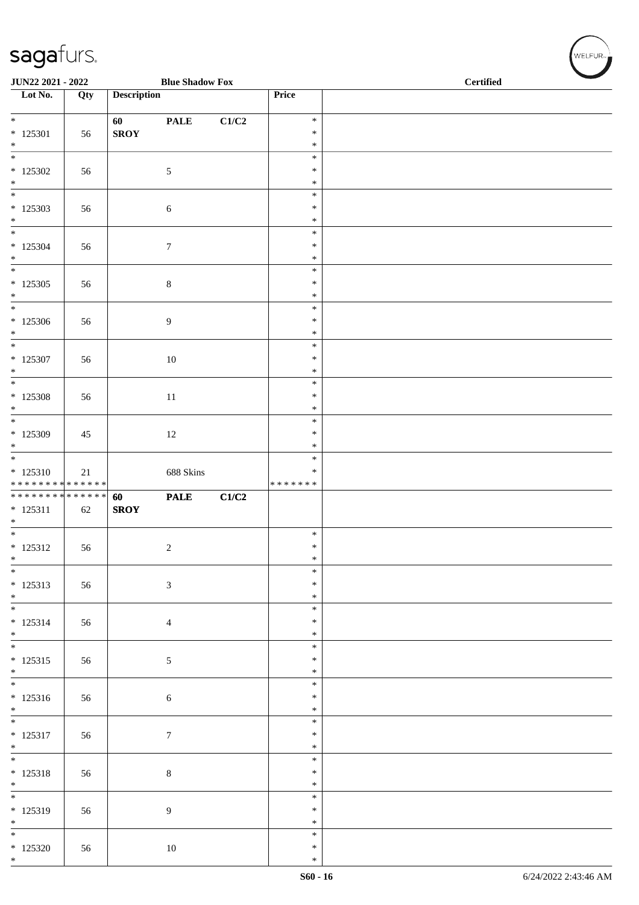| JUN22 2021 - 2022                         |     |                    | <b>Blue Shadow Fox</b> |                           |                         | <b>Certified</b> |
|-------------------------------------------|-----|--------------------|------------------------|---------------------------|-------------------------|------------------|
| $\overline{\phantom{1}}$ Lot No.          | Qty | <b>Description</b> |                        |                           | Price                   |                  |
|                                           |     |                    |                        |                           |                         |                  |
| $*$                                       |     | 60                 | <b>PALE</b>            | $\mathbf{C1}/\mathbf{C2}$ | $\ast$                  |                  |
| $*$ 125301                                | 56  | <b>SROY</b>        |                        |                           | $\ast$                  |                  |
| $\ast$<br>$_{\ast}$                       |     |                    |                        |                           | $\ast$<br>$\ast$        |                  |
| $*125302$                                 | 56  |                    | $\sqrt{5}$             |                           | $\ast$                  |                  |
| $\ast$                                    |     |                    |                        |                           | $\ast$                  |                  |
| $\overline{\phantom{a}^*}$                |     |                    |                        |                           | $\ast$                  |                  |
| $*125303$                                 | 56  |                    | $\sqrt{6}$             |                           | $\ast$                  |                  |
| $\ast$<br>$_{\ast}$                       |     |                    |                        |                           | $\ast$                  |                  |
| $*125304$                                 |     |                    |                        |                           | $\ast$<br>$\ast$        |                  |
| $\ast$                                    | 56  |                    | $\boldsymbol{7}$       |                           | $\ast$                  |                  |
| $\overline{\phantom{a}^*}$                |     |                    |                        |                           | $\ast$                  |                  |
| $*125305$                                 | 56  |                    | $\,8\,$                |                           | $\ast$                  |                  |
| $\ast$                                    |     |                    |                        |                           | $\ast$                  |                  |
| $\overline{\phantom{0}}$                  |     |                    |                        |                           | $\ast$                  |                  |
| $*125306$<br>$\ast$                       | 56  |                    | $\overline{9}$         |                           | $\ast$<br>$\ast$        |                  |
| $\overline{\phantom{a}}$                  |     |                    |                        |                           | $\ast$                  |                  |
| $*$ 125307                                | 56  |                    | $10\,$                 |                           | $\ast$                  |                  |
| $\ast$                                    |     |                    |                        |                           | $\ast$                  |                  |
| $\overline{\phantom{a}^*}$                |     |                    |                        |                           | $\ast$                  |                  |
| $*125308$                                 | 56  |                    | 11                     |                           | $\ast$                  |                  |
| $\ast$<br>$\overline{\ast}$               |     |                    |                        |                           | $\ast$<br>$\ast$        |                  |
| $*125309$                                 | 45  |                    | $12\,$                 |                           | $\ast$                  |                  |
| $\ast$                                    |     |                    |                        |                           | $\ast$                  |                  |
| $\overline{\phantom{0}}$                  |     |                    |                        |                           | $\ast$                  |                  |
| $* 125310$<br>* * * * * * * * * * * * * * | 21  |                    | 688 Skins              |                           | $\ast$<br>* * * * * * * |                  |
| **************                            |     | 60                 | <b>PALE</b>            | C1/C2                     |                         |                  |
| $* 125311$                                | 62  | <b>SROY</b>        |                        |                           |                         |                  |
| $\ast$                                    |     |                    |                        |                           |                         |                  |
| $\overline{\ast}$                         |     |                    |                        |                           | $\ast$                  |                  |
| $* 125312$                                | 56  |                    | $\sqrt{2}$             |                           | $\ast$                  |                  |
| $\ast$<br>$\overline{\phantom{0}}$        |     |                    |                        |                           | $\ast$<br>$\ast$        |                  |
| $* 125313$                                | 56  |                    | $\sqrt{3}$             |                           | $\ast$                  |                  |
|                                           |     |                    |                        |                           | $\ast$                  |                  |
| $*$ $*$                                   |     |                    |                        |                           | $\ast$                  |                  |
| $* 125314$                                | 56  |                    | $\overline{4}$         |                           | $\ast$                  |                  |
| $*$<br>$\overline{\phantom{0}}$           |     |                    |                        |                           | $\ast$                  |                  |
| $* 125315$                                | 56  |                    | $\sqrt{5}$             |                           | $\ast$<br>$\ast$        |                  |
| $\ast$                                    |     |                    |                        |                           | $\ast$                  |                  |
| $\overline{\phantom{0}}$                  |     |                    |                        |                           | $\ast$                  |                  |
| $* 125316$                                | 56  |                    | $6\,$                  |                           | $\ast$                  |                  |
| $\ast$<br>$\overline{\phantom{0}}$        |     |                    |                        |                           | $\ast$                  |                  |
| $* 125317$                                |     |                    |                        |                           | $\ast$<br>$\ast$        |                  |
| $\ast$                                    | 56  |                    | $\tau$                 |                           | $\ast$                  |                  |
| $\overline{\phantom{a}^*}$                |     |                    |                        |                           | $\ast$                  |                  |
| $* 125318$                                | 56  |                    | $\,8\,$                |                           | $\ast$                  |                  |
| $*$                                       |     |                    |                        |                           | $\ast$                  |                  |
| $\overline{\ast}$                         |     |                    |                        |                           | $\ast$                  |                  |
| * 125319                                  | 56  |                    | $\boldsymbol{9}$       |                           | $\ast$<br>$\ast$        |                  |
| $*$ $*$                                   |     |                    |                        |                           | $\ast$                  |                  |
| $*125320$                                 | 56  |                    | 10                     |                           | $\ast$                  |                  |
| $*$                                       |     |                    |                        |                           | $\ast$                  |                  |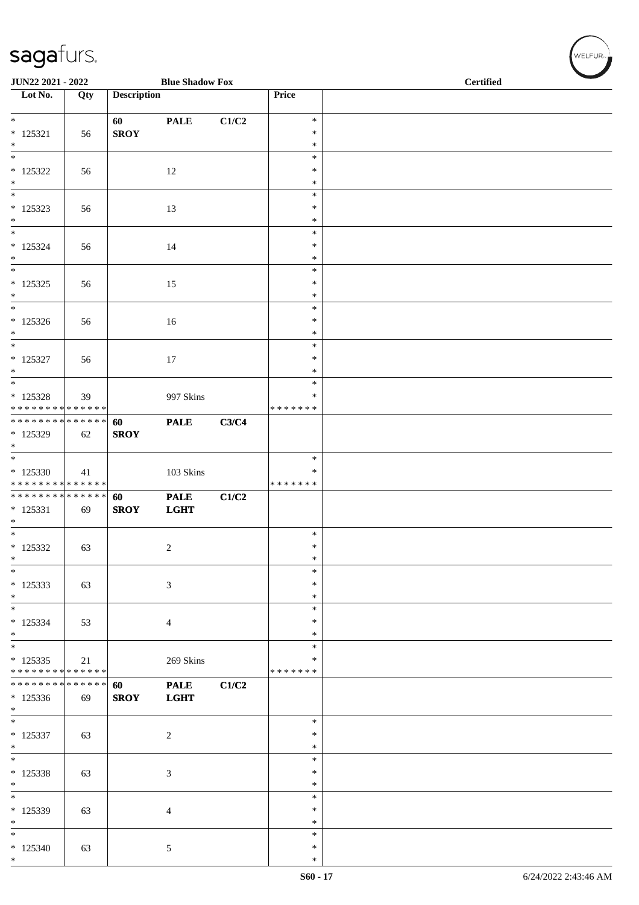| JUN22 2021 - 2022                                                     |     |                    | <b>Blue Shadow Fox</b>     |       |                                   | <b>Certified</b> |  |
|-----------------------------------------------------------------------|-----|--------------------|----------------------------|-------|-----------------------------------|------------------|--|
| $\overline{\phantom{1}}$ Lot No.                                      | Qty | <b>Description</b> |                            |       | Price                             |                  |  |
| $\ast$<br>$*$ 125321                                                  | 56  | 60<br><b>SROY</b>  | <b>PALE</b>                | C1/C2 | $\ast$<br>$\ast$                  |                  |  |
| $\ast$<br>$\overline{\phantom{a}^*}$<br>$*$ 125322                    | 56  |                    | 12                         |       | $\ast$<br>$\ast$<br>$\ast$        |                  |  |
| $\ast$<br>$\ast$                                                      |     |                    |                            |       | $\ast$<br>$\ast$                  |                  |  |
| $* 125323$<br>$\ast$<br>$_{\ast}$                                     | 56  |                    | 13                         |       | $\ast$<br>$\ast$                  |                  |  |
| $* 125324$<br>$\ast$                                                  | 56  |                    | 14                         |       | $\ast$<br>∗<br>$\ast$             |                  |  |
| $_{\ast}^{-}$<br>$* 125325$<br>$\ast$                                 | 56  |                    | 15                         |       | $\ast$<br>$\ast$<br>$\ast$        |                  |  |
| $\overline{\phantom{a}^*}$<br>$*125326$<br>$\ast$                     | 56  |                    | 16                         |       | $\ast$<br>$\ast$<br>$\ast$        |                  |  |
| $\ast$<br>$*$ 125327<br>$\ast$                                        | 56  |                    | 17                         |       | $\ast$<br>$\ast$<br>$\ast$        |                  |  |
| $\ast$<br>$* 125328$<br>* * * * * * * * * * * * * *                   | 39  |                    | 997 Skins                  |       | $\ast$<br>$\ast$<br>* * * * * * * |                  |  |
| ******** <mark>******</mark><br>$*125329$<br>$\ast$                   | 62  | 60<br><b>SROY</b>  | <b>PALE</b>                | C3/C4 |                                   |                  |  |
| $\overline{\ast}$<br>$*125330$<br>* * * * * * * * * * * * * *         | 41  |                    | $103$ Skins                |       | $\ast$<br>∗<br>* * * * * * *      |                  |  |
| **************<br>$* 125331$<br>$\ast$                                | 69  | 60<br><b>SROY</b>  | <b>PALE</b><br><b>LGHT</b> | C1/C2 |                                   |                  |  |
| $\overline{\phantom{a}^*}$<br>$* 125332$<br>$\ast$                    | 63  |                    | $\overline{c}$             |       | $\ast$<br>$\ast$<br>$\ast$        |                  |  |
| $\ast$<br>$*125333$<br>$\ast$                                         | 63  |                    | $\sqrt{3}$                 |       | $\ast$<br>*<br>$\ast$             |                  |  |
| $\overline{\phantom{0}}$<br>$* 125334$<br>$*$                         | 53  |                    | $\overline{4}$             |       | $\ast$<br>$\ast$<br>$\ast$        |                  |  |
| $\overline{\phantom{0}}$<br>$* 125335$<br>* * * * * * * * * * * * * * | 21  |                    | 269 Skins                  |       | *<br>*<br>* * * * * * *           |                  |  |
| * * * * * * * * * * * * * *<br>$*125336$<br>$\ast$                    | 69  | 60<br><b>SROY</b>  | <b>PALE</b><br><b>LGHT</b> | C1/C2 |                                   |                  |  |
| $\overline{\phantom{a}^*}$<br>$* 125337$<br>$\ast$                    | 63  |                    | $\overline{2}$             |       | $\ast$<br>$\ast$<br>$\ast$        |                  |  |
| $\overline{\phantom{0}}$<br>$* 125338$<br>$\ast$                      | 63  |                    | $\mathfrak{Z}$             |       | *<br>$\ast$<br>$\ast$             |                  |  |
| $\overline{\phantom{a}^*}$<br>* 125339<br>$\ast$                      | 63  |                    | $\overline{4}$             |       | $\ast$<br>$\ast$<br>*             |                  |  |
| $_{\ast}$<br>$*125340$<br>$*$                                         | 63  |                    | $\sqrt{5}$                 |       | $\ast$<br>$\ast$<br>$\ast$        |                  |  |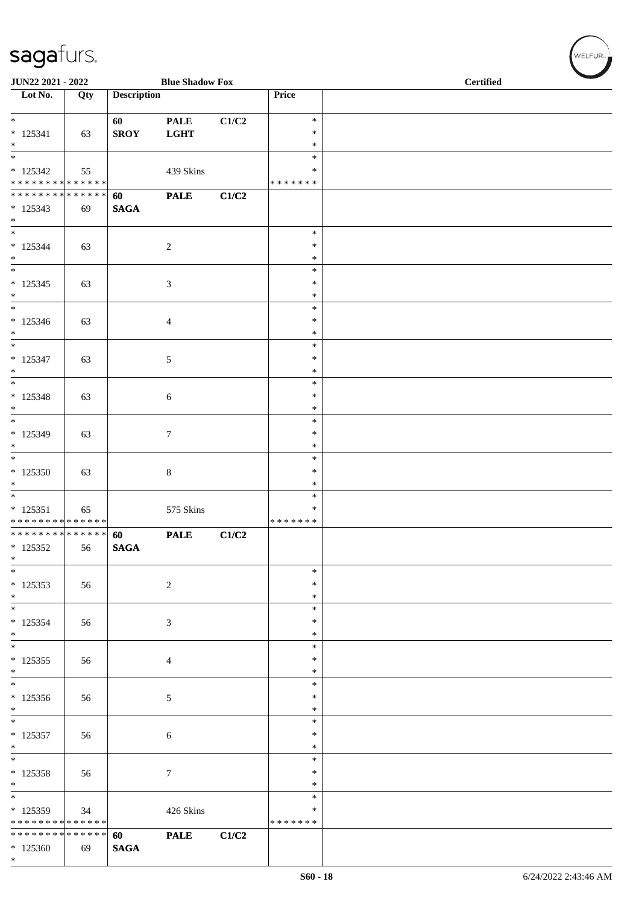| JUN22 2021 - 2022                                                         |     |                       | <b>Blue Shadow Fox</b>     |       |                                      | <b>Certified</b> |
|---------------------------------------------------------------------------|-----|-----------------------|----------------------------|-------|--------------------------------------|------------------|
| Lot No.                                                                   | Qty | <b>Description</b>    |                            |       | Price                                |                  |
| $* 125341$<br>$\ast$                                                      | 63  | 60<br><b>SROY</b>     | <b>PALE</b><br><b>LGHT</b> | C1/C2 | $\ast$<br>$\ast$<br>$\ast$           |                  |
| $\overline{\phantom{0}}$<br>$* 125342$<br>* * * * * * * * * * * * * *     | 55  |                       | 439 Skins                  |       | $\ast$<br>$\ast$<br>* * * * * * *    |                  |
| ******** <mark>******</mark><br>$* 125343$<br>$*$                         | 69  | 60<br><b>SAGA</b>     | <b>PALE</b>                | C1/C2 |                                      |                  |
| $*$<br>$* 125344$<br>$\ast$<br>$\overline{\phantom{0}}$                   | 63  |                       | $\overline{2}$             |       | $\ast$<br>$\ast$<br>$\ast$<br>$\ast$ |                  |
| $* 125345$<br>$*$<br>$\overline{\phantom{0}}$                             | 63  |                       | 3                          |       | $\ast$<br>$\ast$<br>$\ast$           |                  |
| $* 125346$<br>$\ast$<br>$\overline{\phantom{0}}$                          | 63  |                       | $\overline{4}$             |       | $\ast$<br>$\ast$<br>$\ast$           |                  |
| $* 125347$<br>$*$<br>$\overline{\phantom{0}}$                             | 63  |                       | $5\phantom{.0}$            |       | $\ast$<br>$\ast$<br>$\ast$           |                  |
| $* 125348$<br>$*$<br>$*$                                                  | 63  |                       | 6                          |       | $\ast$<br>$\ast$<br>$\ast$           |                  |
| $* 125349$<br>$*$<br>$*$                                                  | 63  |                       | $\tau$                     |       | $\ast$<br>$\ast$<br>$\ast$           |                  |
| $*125350$<br>$\ast$<br>$\overline{\phantom{0}}$                           | 63  |                       | $\,8\,$                    |       | $\ast$<br>$\ast$<br>$\ast$           |                  |
| $* 125351$<br>* * * * * * * * * * * * * *<br>******** <mark>******</mark> | 65  | 60                    | 575 Skins<br><b>PALE</b>   | C1/C2 | ∗<br>* * * * * * *                   |                  |
| $*125352$<br>$\ast$<br>$\ast$                                             | 56  | <b>SAGA</b>           |                            |       | $\ast$                               |                  |
| $*125353$<br>$*$<br>$\overline{\phantom{0}}$                              | 56  |                       | $\sqrt{2}$                 |       | $\ast$<br>$\ast$<br>$\ast$           |                  |
| $* 125354$<br>$*$                                                         | 56  |                       | $\mathfrak{Z}$             |       | ∗<br>$\ast$<br>$\ast$                |                  |
| $* 125355$<br>$*$<br>$*$                                                  | 56  |                       | $\overline{4}$             |       | $\ast$<br>$\ast$<br>$\ast$           |                  |
| $* 125356$<br>$*$<br>$\overline{\phantom{0}}$                             | 56  |                       | $\mathfrak{S}$             |       | $\ast$<br>$\ast$<br>$\ast$           |                  |
| $* 125357$<br>$*$<br>$*$                                                  | 56  |                       | 6                          |       | ∗<br>$\ast$<br>$\ast$                |                  |
| $* 125358$<br>$*$<br>$\overline{\ast}$                                    | 56  |                       | $7\phantom{.0}$            |       | ∗<br>*<br>$\ast$                     |                  |
| * 125359<br>* * * * * * * * * * * * * *<br>* * * * * * * * * * * * * *    | 34  |                       | 426 Skins                  |       | $\ast$<br>* * * * * * *              |                  |
| $*125360$<br>$*$                                                          | 69  | 60<br>$\mathbf{SAGA}$ | <b>PALE</b>                | C1/C2 |                                      |                  |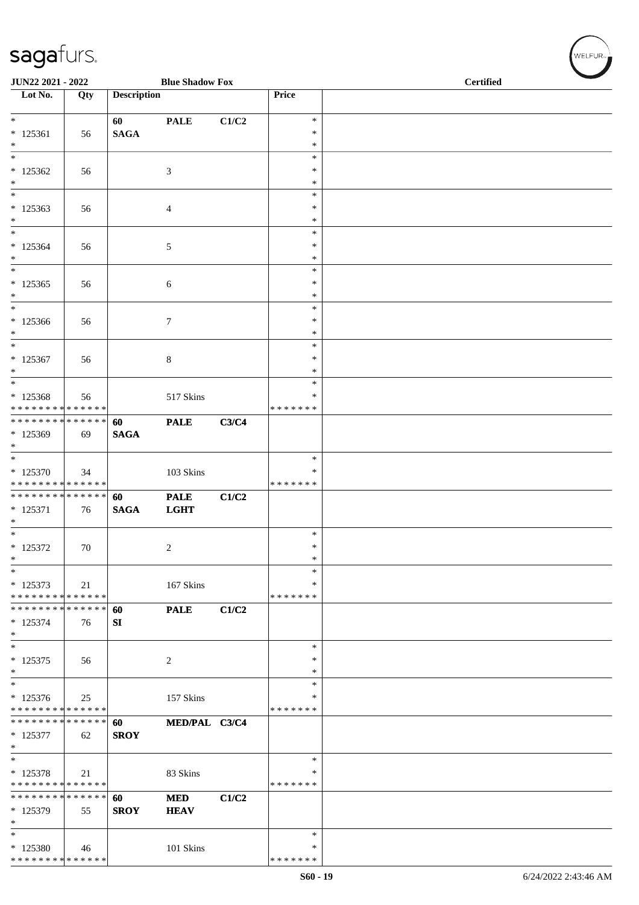| JUN22 2021 - 2022                                          |        |                    | <b>Blue Shadow Fox</b> |       |                    | <b>Certified</b> |
|------------------------------------------------------------|--------|--------------------|------------------------|-------|--------------------|------------------|
| Lot No.                                                    | Qty    | <b>Description</b> |                        |       | Price              |                  |
| $\ast$                                                     |        | 60                 | <b>PALE</b>            | C1/C2 | $\ast$             |                  |
| $* 125361$                                                 | 56     | <b>SAGA</b>        |                        |       | $\ast$             |                  |
| $\ast$                                                     |        |                    |                        |       | $\ast$             |                  |
| $\ast$<br>$*125362$                                        |        |                    |                        |       | $\ast$<br>*        |                  |
| $\ast$                                                     | 56     |                    | $\mathfrak{Z}$         |       | *                  |                  |
| $\ast$                                                     |        |                    |                        |       | $\ast$             |                  |
| $*125363$                                                  | 56     |                    | $\overline{4}$         |       | $\ast$             |                  |
| $\ast$<br>$\ast$                                           |        |                    |                        |       | $\ast$<br>$\ast$   |                  |
| $*125364$                                                  | 56     |                    | 5                      |       | $\ast$             |                  |
| $\ast$                                                     |        |                    |                        |       | $\ast$             |                  |
| $\ast$                                                     |        |                    |                        |       | $\ast$             |                  |
| $*125365$<br>$\ast$                                        | 56     |                    | 6                      |       | $\ast$<br>$\ast$   |                  |
| $\ast$                                                     |        |                    |                        |       | $\ast$             |                  |
| $*125366$                                                  | 56     |                    | $\tau$                 |       | $\ast$             |                  |
| $\ast$<br>$\ast$                                           |        |                    |                        |       | $\ast$             |                  |
| $*125367$                                                  | 56     |                    | $\,8\,$                |       | $\ast$<br>$\ast$   |                  |
| $\ast$                                                     |        |                    |                        |       | $\ast$             |                  |
| $\ast$                                                     |        |                    |                        |       | $\ast$             |                  |
| $* 125368$                                                 | 56     |                    | 517 Skins              |       | *<br>* * * * * * * |                  |
| * * * * * * * * * * * * * *<br>* * * * * * * * * * * * * * |        | 60                 | <b>PALE</b>            | C3/C4 |                    |                  |
| * 125369                                                   | 69     | <b>SAGA</b>        |                        |       |                    |                  |
| $\ast$                                                     |        |                    |                        |       |                    |                  |
| $\ast$<br>* 125370                                         |        |                    |                        |       | $\ast$<br>*        |                  |
| * * * * * * * * * * * * * *                                | 34     |                    | 103 Skins              |       | * * * * * * *      |                  |
| * * * * * * * * * * * * * *                                |        | 60                 | <b>PALE</b>            | C1/C2 |                    |                  |
| $* 125371$                                                 | 76     | <b>SAGA</b>        | <b>LGHT</b>            |       |                    |                  |
| $\ast$<br>$\overline{\phantom{1}}$                         |        |                    |                        |       | $\ast$             |                  |
| $* 125372$                                                 | $70\,$ |                    | $\overline{c}$         |       | $\ast$             |                  |
| $\ast$                                                     |        |                    |                        |       | $\ast$             |                  |
| $\ast$                                                     |        |                    |                        |       | $\ast$             |                  |
| $* 125373$<br>* * * * * * * * * * * * * *                  | 21     |                    | 167 Skins              |       | *<br>* * * * * * * |                  |
| * * * * * * * * * * * * * *                                |        | 60                 | <b>PALE</b>            | C1/C2 |                    |                  |
| $* 125374$                                                 | 76     | SI                 |                        |       |                    |                  |
| $\ast$<br>$\ast$                                           |        |                    |                        |       | $\ast$             |                  |
| $* 125375$                                                 | 56     |                    | $\overline{c}$         |       | ∗                  |                  |
| $\ast$                                                     |        |                    |                        |       | $\ast$             |                  |
| $\ast$                                                     |        |                    |                        |       | $\ast$             |                  |
| $* 125376$<br>* * * * * * * * * * * * * *                  | 25     |                    | 157 Skins              |       | ∗<br>* * * * * * * |                  |
| * * * * * * * * * * * * * *                                |        | 60                 | MED/PAL C3/C4          |       |                    |                  |
| $* 125377$                                                 | 62     | <b>SROY</b>        |                        |       |                    |                  |
| $\ast$                                                     |        |                    |                        |       |                    |                  |
| $\overline{\ast}$                                          |        |                    |                        |       | $\ast$<br>∗        |                  |
| * 125378<br>* * * * * * * * * * * * * *                    | 21     |                    | 83 Skins               |       | * * * * * * *      |                  |
| * * * * * * * * * * * * * *                                |        | 60                 | <b>MED</b>             | C1/C2 |                    |                  |
| * 125379                                                   | 55     | <b>SROY</b>        | <b>HEAV</b>            |       |                    |                  |
| $\ast$<br>$\ast$                                           |        |                    |                        |       | $\ast$             |                  |
| * 125380                                                   | 46     |                    | 101 Skins              |       | ∗                  |                  |
| * * * * * * * * * * * * * *                                |        |                    |                        |       | * * * * * * *      |                  |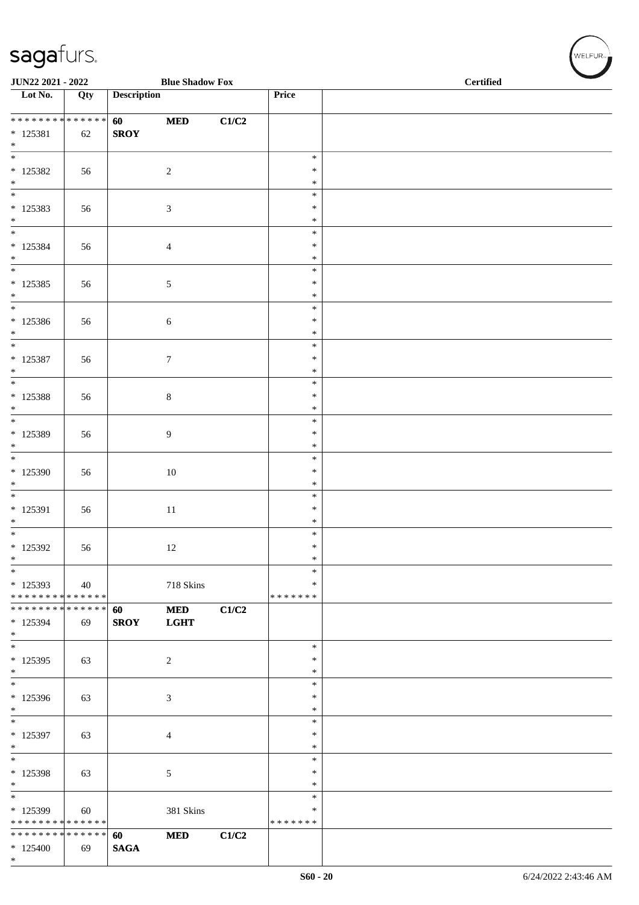|                                          | JUN22 2021 - 2022<br><b>Blue Shadow Fox</b> |                    |                  |       |                         | <b>Certified</b> |
|------------------------------------------|---------------------------------------------|--------------------|------------------|-------|-------------------------|------------------|
| $\overline{\phantom{1}}$ Lot No.         | Qty                                         | <b>Description</b> |                  |       | Price                   |                  |
| * * * * * * * * * * * * * *              |                                             | 60                 | <b>MED</b>       | C1/C2 |                         |                  |
| $* 125381$<br>$\ast$                     | 62                                          | <b>SROY</b>        |                  |       |                         |                  |
| $\overline{\phantom{0}}$                 |                                             |                    |                  |       | $\ast$                  |                  |
| $*$ 125382<br>$*$                        | 56                                          |                    | $\overline{2}$   |       | $\ast$<br>$\ast$        |                  |
| $\overline{\phantom{0}}$                 |                                             |                    |                  |       | $\ast$                  |                  |
| $* 125383$                               | 56                                          |                    | $\mathfrak{Z}$   |       | $\ast$                  |                  |
| $*$<br>$*$                               |                                             |                    |                  |       | $\ast$<br>$\ast$        |                  |
| $* 125384$                               | 56                                          |                    | $\overline{4}$   |       | $\ast$                  |                  |
| $\ast$<br>$\frac{1}{1}$                  |                                             |                    |                  |       | $\ast$<br>$\ast$        |                  |
| $* 125385$                               | 56                                          |                    | $5\phantom{.0}$  |       | ∗                       |                  |
| $\ast$                                   |                                             |                    |                  |       | $\ast$                  |                  |
| $\overline{\phantom{0}}$<br>$* 125386$   | 56                                          |                    | $\sqrt{6}$       |       | $\ast$<br>$\ast$        |                  |
| $*$                                      |                                             |                    |                  |       | $\ast$                  |                  |
| $\overline{\phantom{a}^*}$               |                                             |                    |                  |       | $\ast$                  |                  |
| $* 125387$<br>$*$                        | 56                                          |                    | $\boldsymbol{7}$ |       | $\ast$<br>$\ast$        |                  |
| $\overline{\phantom{0}}$                 |                                             |                    |                  |       | $\ast$                  |                  |
| $* 125388$<br>$*$                        | 56                                          |                    | $\,8\,$          |       | $\ast$<br>$\ast$        |                  |
| $*$                                      |                                             |                    |                  |       | $\ast$                  |                  |
| $*$ 125389                               | 56                                          |                    | 9                |       | $\ast$                  |                  |
| $\ast$<br>$\overline{\phantom{0}}$       |                                             |                    |                  |       | $\ast$<br>$\ast$        |                  |
| $*125390$                                | 56                                          |                    | $10\,$           |       | $\ast$                  |                  |
| $\ast$<br>$\overline{\phantom{0}}$       |                                             |                    |                  |       | $\ast$                  |                  |
| * 125391                                 | 56                                          |                    | $11\,$           |       | $\ast$<br>$\ast$        |                  |
| $\ast$                                   |                                             |                    |                  |       | $\ast$                  |                  |
|                                          |                                             |                    |                  |       | $\ast$<br>$\ast$        |                  |
| $*$ 125392<br>$\ast$                     | 56                                          |                    | 12               |       | $\ast$                  |                  |
| $\ast$                                   |                                             |                    |                  |       | $\ast$                  |                  |
| $*125393$<br>* * * * * * * * * * * * * * | 40                                          |                    | 718 Skins        |       | $\ast$<br>* * * * * * * |                  |
| * * * * * * * * * * * * * *              |                                             | 60                 | <b>MED</b>       | C1/C2 |                         |                  |
| * 125394<br>$*$                          | 69                                          | <b>SROY</b>        | <b>LGHT</b>      |       |                         |                  |
| $*$                                      |                                             |                    |                  |       | $\ast$                  |                  |
| * 125395<br>$*$                          | 63                                          |                    | $\overline{c}$   |       | $\ast$<br>*             |                  |
| $\ast$                                   |                                             |                    |                  |       | $\ast$                  |                  |
| * 125396<br>$\ast$                       | 63                                          |                    | $\mathfrak{Z}$   |       | $\ast$<br>$\ast$        |                  |
| $\overline{\phantom{0}}$                 |                                             |                    |                  |       | $\ast$                  |                  |
| * 125397                                 | 63                                          |                    | $\overline{4}$   |       | *                       |                  |
| $\ast$<br>$\ast$                         |                                             |                    |                  |       | $\ast$<br>$\ast$        |                  |
| * 125398                                 | 63                                          |                    | $5\,$            |       | $\ast$                  |                  |
| $\ast$<br>$\overline{\ast}$              |                                             |                    |                  |       | *                       |                  |
| * 125399                                 | 60                                          |                    | 381 Skins        |       | $\ast$<br>*             |                  |
| * * * * * * * * * * * * * *              |                                             |                    |                  |       | * * * * * * *           |                  |
| * * * * * * * * * * * * * *              |                                             | 60                 | $\bf MED$        | C1/C2 |                         |                  |
| $*125400$<br>$*$                         | 69                                          | <b>SAGA</b>        |                  |       |                         |                  |

 $(w$ ELFUR-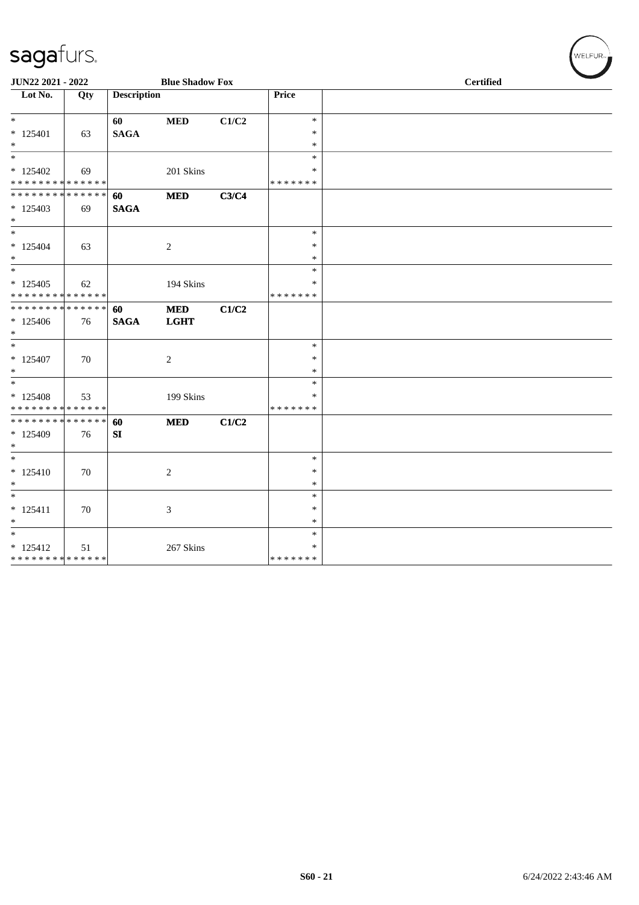| JUN22 2021 - 2022                                                          |     |                       | <b>Blue Shadow Fox</b>    |       |                                   | <b>Certified</b> |  |
|----------------------------------------------------------------------------|-----|-----------------------|---------------------------|-------|-----------------------------------|------------------|--|
| $\overline{\text{Lot No.}}$                                                | Qty | <b>Description</b>    |                           |       | Price                             |                  |  |
| $\overline{\phantom{0}}$<br>$* 125401$<br>$*$                              | 63  | 60<br>$\mathbf{SAGA}$ | $\bf MED$                 | C1/C2 | $\ast$<br>$\ast$<br>$\ast$        |                  |  |
| $\ast$<br>$*125402$                                                        | 69  |                       | 201 Skins                 |       | $\ast$<br>*                       |                  |  |
| * * * * * * * * * * * * * *<br>* * * * * * * * * * * * * * *<br>$* 125403$ | 69  | 60<br><b>SAGA</b>     | <b>MED</b>                | C3/C4 | * * * * * * *                     |                  |  |
| $*$<br>$\ast$<br>$* 125404$<br>$*$                                         | 63  |                       | $\overline{2}$            |       | $\ast$<br>$\ast$<br>$\ast$        |                  |  |
| $*$<br>$*125405$<br>* * * * * * * * * * * * * *                            | 62  |                       | 194 Skins                 |       | $\ast$<br>∗<br>* * * * * * *      |                  |  |
| **************<br>$*125406$<br>$\ast$                                      | 76  | 60<br><b>SAGA</b>     | <b>MED</b><br><b>LGHT</b> | C1/C2 |                                   |                  |  |
| $\overline{\phantom{0}}$<br>$* 125407$<br>$*$                              | 70  |                       | $\overline{2}$            |       | $\ast$<br>$\ast$<br>$\ast$        |                  |  |
| $\ast$<br>$*125408$<br>* * * * * * * * * * * * * *                         | 53  |                       | 199 Skins                 |       | $\ast$<br>*<br>* * * * * * *      |                  |  |
| **************<br>* 125409<br>$*$                                          | 76  | 60<br>SI              | <b>MED</b>                | C1/C2 |                                   |                  |  |
| $\ast$<br>$* 125410$<br>$*$                                                | 70  |                       | $\sqrt{2}$                |       | $\ast$<br>$\ast$<br>$\ast$        |                  |  |
| $*$<br>$* 125411$<br>$\ast$                                                | 70  |                       | 3                         |       | $\ast$<br>$\ast$<br>$\ast$        |                  |  |
| $*$<br>$* 125412$<br>* * * * * * * * * * * * * *                           | 51  |                       | 267 Skins                 |       | $\ast$<br>$\ast$<br>* * * * * * * |                  |  |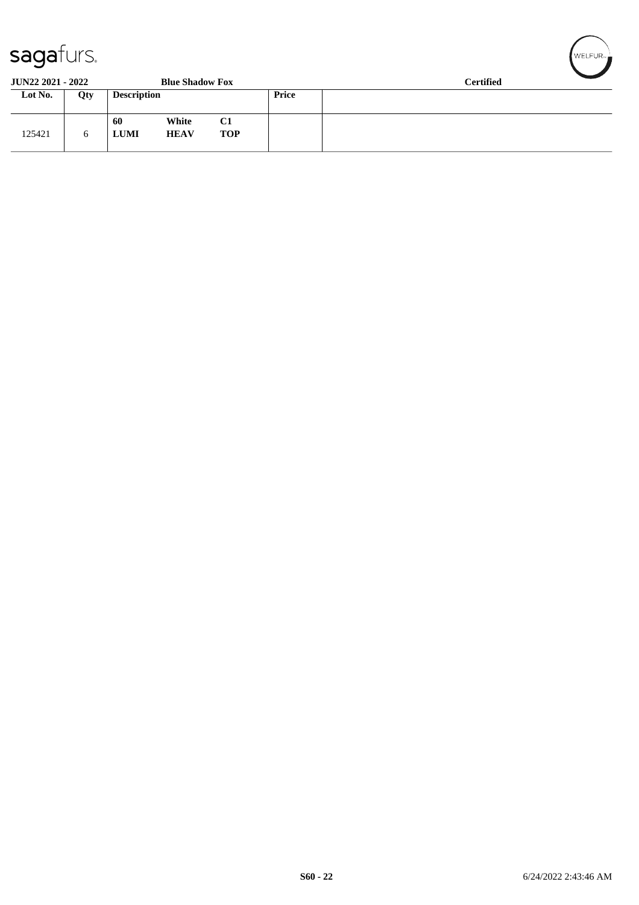| sagaturs.                |     |                                           |                  |       |                  |  |
|--------------------------|-----|-------------------------------------------|------------------|-------|------------------|--|
| <b>JUN22 2021 - 2022</b> |     | <b>Blue Shadow Fox</b>                    |                  |       | <b>Certified</b> |  |
| Lot No.                  | Qty | <b>Description</b>                        |                  | Price |                  |  |
| 125421                   | 6   | White<br>60<br><b>LUMI</b><br><b>HEAV</b> | C1<br><b>TOP</b> |       |                  |  |

WELFUR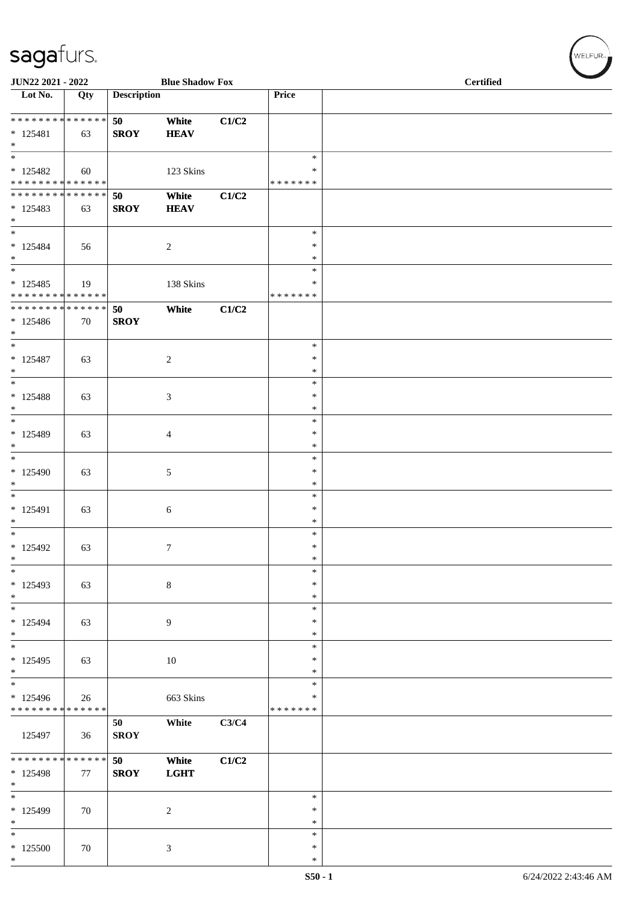| JUN22 2021 - 2022                                            |     |                    | <b>Blue Shadow Fox</b> |       |                                      | <b>Certified</b> |
|--------------------------------------------------------------|-----|--------------------|------------------------|-------|--------------------------------------|------------------|
| Lot No.                                                      | Qty | <b>Description</b> |                        |       | Price                                |                  |
| **************<br>$* 125481$<br>$\ast$                       | 63  | 50<br><b>SROY</b>  | White<br><b>HEAV</b>   | C1/C2 |                                      |                  |
| $_{\ast}$<br>$* 125482$<br>* * * * * * * * * * * * * *       | 60  |                    | 123 Skins              |       | $\ast$<br>$\ast$<br>* * * * * * *    |                  |
| **************<br>$* 125483$<br>$\ast$<br>$\overline{\ast}$  | 63  | 50<br><b>SROY</b>  | White<br><b>HEAV</b>   | C1/C2 |                                      |                  |
| $* 125484$<br>$\ast$<br>$\overline{\phantom{1}}$             | 56  |                    | $\overline{c}$         |       | $\ast$<br>$\ast$<br>$\ast$<br>$\ast$ |                  |
| $* 125485$<br>******** <mark>******</mark>                   | 19  |                    | $138~\mathrm{Skins}$   |       | $\ast$<br>* * * * * * *              |                  |
| ******** <mark>******</mark><br>$*125486$<br>$\ast$          | 70  | 50<br><b>SROY</b>  | White                  | C1/C2 |                                      |                  |
| $\overline{\ast}$<br>$* 125487$<br>$\ast$                    | 63  |                    | $\overline{c}$         |       | $\ast$<br>$\ast$<br>$\ast$           |                  |
| $\overline{\phantom{1}}$<br>$* 125488$<br>$\ast$             | 63  |                    | 3                      |       | $\ast$<br>$\ast$<br>$\ast$           |                  |
| $\ast$<br>$* 125489$<br>$\ast$                               | 63  |                    | 4                      |       | $\ast$<br>$\ast$<br>$\ast$           |                  |
| $\ast$<br>$*125490$<br>$\ast$                                | 63  |                    | $\sqrt{5}$             |       | $\ast$<br>$\ast$<br>$\ast$           |                  |
| $\ast$<br>$* 125491$<br>$\ast$                               | 63  |                    | $\sqrt{6}$             |       | $\ast$<br>$\ast$<br>$\ast$           |                  |
| $\ast$<br>$*125492$<br>$\ast$                                | 63  |                    | $\tau$                 |       | $\ast$<br>$\ast$<br>$\ast$           |                  |
| $\ast$<br>$*125493$<br>$\ast$                                | 63  |                    | $\,8\,$                |       | $\ast$<br>$\ast$<br>$\ast$           |                  |
| $\overline{\phantom{a}}$<br>$* 125494$<br>$*$                | 63  |                    | $\overline{9}$         |       | $\ast$<br>$\ast$<br>$\ast$           |                  |
| $_{\ast}$<br>$* 125495$<br>$*$                               | 63  |                    | $10\,$                 |       | $\ast$<br>$\ast$<br>$\ast$           |                  |
| $\overline{\ast}$<br>* 125496<br>* * * * * * * * * * * * * * | 26  |                    | 663 Skins              |       | $\ast$<br>$\ast$<br>* * * * * * *    |                  |
| 125497                                                       | 36  | 50<br><b>SROY</b>  | White                  | C3/C4 |                                      |                  |
| ******** <mark>******</mark><br>* 125498<br>$\ast$           | 77  | 50<br><b>SROY</b>  | White<br><b>LGHT</b>   | C1/C2 |                                      |                  |
| $\ast$<br>* 125499<br>$\ast$                                 | 70  |                    | $\sqrt{2}$             |       | $\ast$<br>$\ast$<br>$\ast$           |                  |
| $\overline{\phantom{a}}$<br>$*125500$<br>$*$                 | 70  |                    | $\mathfrak{Z}$         |       | $\ast$<br>$\ast$<br>$\ast$           |                  |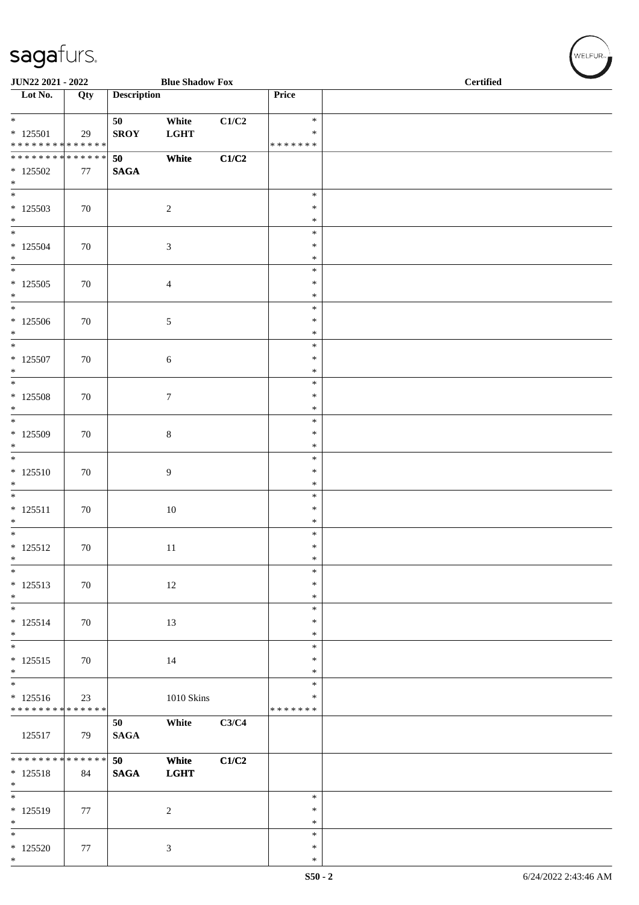| JUN22 2021 - 2022                                                  |        |                    | <b>Blue Shadow Fox</b> |                           |                                   | <b>Certified</b> |
|--------------------------------------------------------------------|--------|--------------------|------------------------|---------------------------|-----------------------------------|------------------|
| $\overline{\phantom{1}}$ Lot No.                                   | Qty    | <b>Description</b> |                        |                           | Price                             |                  |
| $\overline{\ }$<br>$*$ 125501<br>******** <mark>******</mark>      | 29     | 50<br><b>SROY</b>  | White<br><b>LGHT</b>   | $\mathbf{C1}/\mathbf{C2}$ | $\ast$<br>$\ast$<br>* * * * * * * |                  |
| ******** <mark>******</mark><br>$*125502$<br>$\ast$                | 77     | 50<br><b>SAGA</b>  | White                  | C1/C2                     |                                   |                  |
| $\overline{\phantom{a}^*}$<br>$*125503$<br>$*$ $*$                 | 70     |                    | $\sqrt{2}$             |                           | $\ast$<br>$\ast$<br>$\ast$        |                  |
| $*125504$<br>$\ast$                                                | 70     |                    | $\sqrt{3}$             |                           | $\ast$<br>$\ast$<br>$\ast$        |                  |
| $\overline{\ast}$<br>$*125505$<br>$\ast$                           | 70     |                    | $\overline{4}$         |                           | $\ast$<br>$\ast$<br>$\ast$        |                  |
| $_{\ast}$<br>$*125506$<br>$\ast$<br>$_{\ast}^{-}$                  | 70     |                    | $\sqrt{5}$             |                           | $\ast$<br>∗<br>$\ast$             |                  |
| $* 125507$<br>$\ast$<br>$_{\ast}^{-}$                              | 70     |                    | $\sqrt{6}$             |                           | $\ast$<br>$\ast$<br>$\ast$        |                  |
| $*125508$<br>$*$                                                   | 70     |                    | $\boldsymbol{7}$       |                           | $\ast$<br>$\ast$<br>$\ast$        |                  |
| $\overline{\phantom{a}^*}$<br>$*125509$<br>$\ast$                  | 70     |                    | $\,8\,$                |                           | $\ast$<br>$\ast$<br>$\ast$        |                  |
| $\overline{\ast}$<br>$* 125510$<br>$\ast$                          | 70     |                    | 9                      |                           | $\ast$<br>$\ast$<br>$\ast$        |                  |
| $\ast$<br>$* 125511$<br>$\ast$                                     | 70     |                    | 10                     |                           | $\ast$<br>$\ast$<br>$\ast$        |                  |
| $\overline{\phantom{0}}$<br>$* 125512$<br>$\ast$                   | 70     |                    | 11                     |                           | $\ast$<br>$\ast$<br>$\ast$        |                  |
| $\ast$<br>$* 125513$<br>$\ast$                                     | $70\,$ |                    | 12                     |                           | $\ast$<br>*<br>$\ast$             |                  |
| $\overline{\phantom{1}}$<br>$* 125514$<br>$*$<br>$\overline{\ast}$ | 70     |                    | 13                     |                           | $\ast$<br>$\ast$<br>$\ast$        |                  |
| $* 125515$<br>$\ast$<br>$\overline{\phantom{a}^*}$                 | 70     |                    | 14                     |                           | $\ast$<br>$\ast$<br>$\ast$        |                  |
| $* 125516$<br>* * * * * * * * * * * * * *                          | 23     |                    | 1010 Skins             |                           | $\ast$<br>$\ast$<br>* * * * * * * |                  |
| 125517                                                             | 79     | 50<br><b>SAGA</b>  | White                  | C3/C4                     |                                   |                  |
| ******** <mark>******</mark><br>$* 125518$<br>$\ast$               | 84     | 50<br><b>SAGA</b>  | White<br><b>LGHT</b>   | C1/C2                     |                                   |                  |
| $_{\ast}$<br>* 125519<br>$\ast$                                    | 77     |                    | $\overline{c}$         |                           | $\ast$<br>$\ast$<br>$\ast$        |                  |
| $_{\ast}^{-}$<br>$*125520$<br>$*$                                  | 77     |                    | $\mathfrak{Z}$         |                           | $\ast$<br>$\ast$<br>$\ast$        |                  |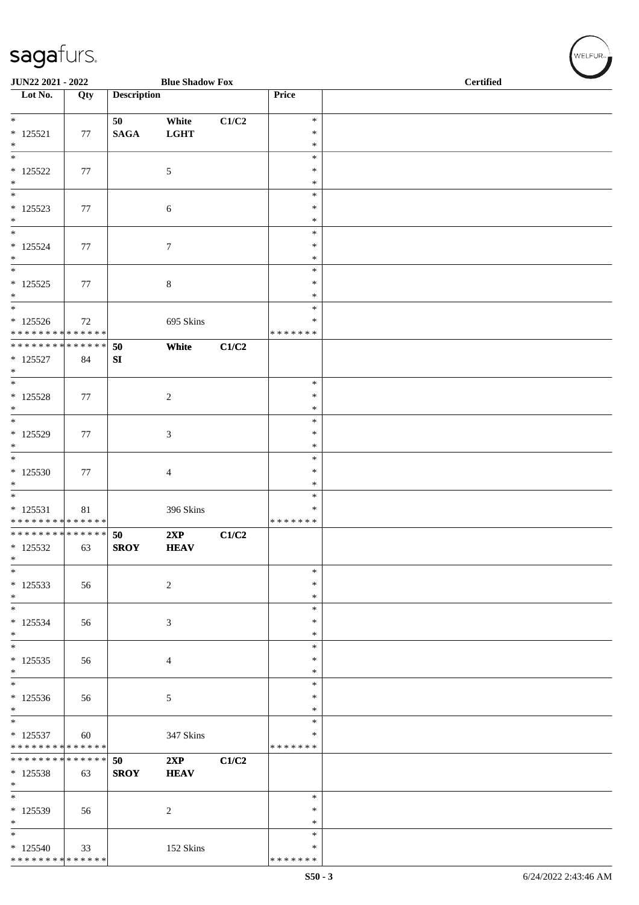| JUN22 2021 - 2022                                                        |     |                        | <b>Blue Shadow Fox</b> |       |                                   | <b>Certified</b> |  |  |  |
|--------------------------------------------------------------------------|-----|------------------------|------------------------|-------|-----------------------------------|------------------|--|--|--|
| Lot No.                                                                  | Qty | <b>Description</b>     |                        |       | Price                             |                  |  |  |  |
| $\ast$<br>$* 125521$<br>$\ast$                                           | 77  | 50<br>$\mathbf{SAGA}$  | White<br><b>LGHT</b>   | C1/C2 | $\ast$<br>$\ast$<br>$\ast$        |                  |  |  |  |
| $\overline{\ast}$<br>$* 125522$<br>$\ast$                                | 77  |                        | $\mathfrak{S}$         |       | $\ast$<br>$\ast$<br>$\ast$        |                  |  |  |  |
| $\ast$<br>$* 125523$<br>$\ast$                                           | 77  |                        | $\sqrt{6}$             |       | $\ast$<br>$\ast$<br>$\ast$        |                  |  |  |  |
| $\ast$<br>$* 125524$<br>$\ast$                                           | 77  |                        | $\tau$                 |       | $\ast$<br>*<br>$\ast$             |                  |  |  |  |
| $_{\ast}$<br>$* 125525$<br>$\ast$                                        | 77  |                        | $\,8\,$                |       | $\ast$<br>$\ast$<br>$\ast$        |                  |  |  |  |
| $\ast$<br>$* 125526$<br>* * * * * * * * * * * * * * *                    | 72  |                        | 695 Skins              |       | $\ast$<br>*<br>* * * * * * *      |                  |  |  |  |
| ******** <mark>******</mark><br>$* 125527$<br>$\ast$                     | 84  | 50<br>${\bf S}{\bf I}$ | White                  | C1/C2 |                                   |                  |  |  |  |
| $\ast$<br>$* 125528$<br>$\ast$                                           | 77  |                        | $\sqrt{2}$             |       | $\ast$<br>$\ast$<br>$\ast$        |                  |  |  |  |
| $\ast$<br>* 125529<br>$\ast$<br>$\overline{\ast}$                        | 77  |                        | $\mathfrak{Z}$         |       | $\ast$<br>$\ast$<br>$\ast$        |                  |  |  |  |
| $*125530$<br>$\ast$<br>$\overline{\phantom{a}^*}$                        | 77  |                        | $\overline{4}$         |       | $\ast$<br>*<br>$\ast$             |                  |  |  |  |
| $* 125531$<br>* * * * * * * * * * * * * *                                | 81  |                        | 396 Skins              |       | $\ast$<br>$\ast$<br>* * * * * * * |                  |  |  |  |
| **************<br>$*125532$<br>$\ast$<br>$\ast$                          | 63  | 50<br><b>SROY</b>      | 2XP<br><b>HEAV</b>     | C1/C2 | $\ast$                            |                  |  |  |  |
| $* 125533$<br>$\ast$<br>$\overline{\phantom{0}}$                         | 56  |                        | $\sqrt{2}$             |       | ∗<br>$\ast$                       |                  |  |  |  |
| $* 125534$<br>$\ast$<br>$\ast$                                           | 56  |                        | 3                      |       | $\ast$<br>$\ast$<br>$\ast$        |                  |  |  |  |
| $* 125535$<br>$\ast$<br>$\overline{\phantom{a}^*}$                       | 56  |                        | $\overline{4}$         |       | *<br>$\ast$<br>$\ast$<br>$\ast$   |                  |  |  |  |
| $*125536$<br>$\ast$<br>$_{\ast}$                                         | 56  |                        | $\sqrt{5}$             |       | $\ast$<br>∗                       |                  |  |  |  |
| $* 125537$<br>* * * * * * * * * * * * * *<br>* * * * * * * * * * * * * * | 60  |                        | 347 Skins              |       | $\ast$<br>$\ast$<br>* * * * * * * |                  |  |  |  |
| $*125538$<br>$\ast$<br>$\overline{\phantom{0}}$                          | 63  | 50<br><b>SROY</b>      | 2XP<br><b>HEAV</b>     | C1/C2 | $\ast$                            |                  |  |  |  |
| * 125539<br>$\ast$<br>$\overline{\ast}$                                  | 56  |                        | $\overline{c}$         |       | $\ast$<br>*                       |                  |  |  |  |
| $*125540$<br>* * * * * * * * * * * * * *                                 | 33  |                        | 152 Skins              |       | $\ast$<br>$\ast$<br>* * * * * * * |                  |  |  |  |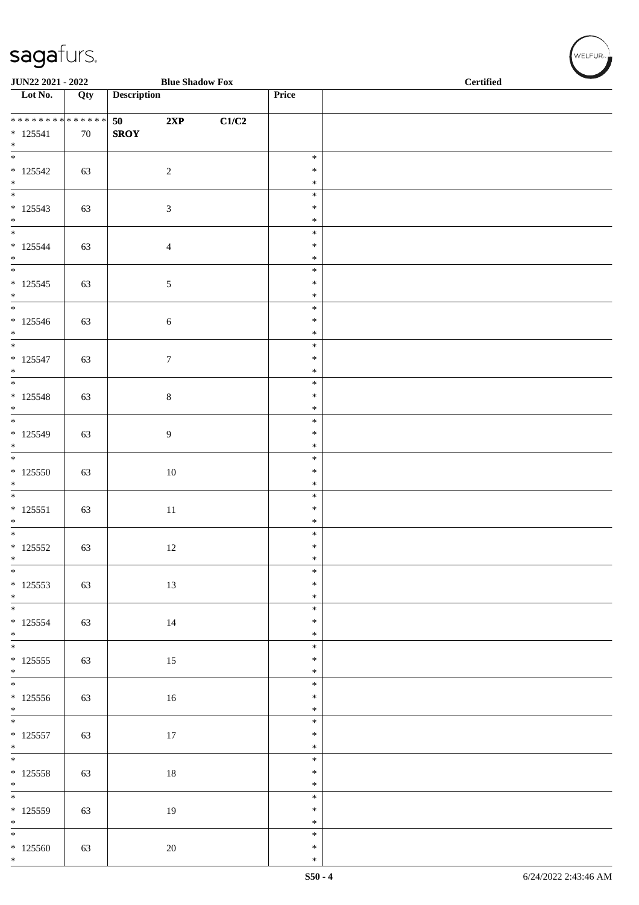|                                                       | JUN22 2021 - 2022<br><b>Blue Shadow Fox</b> |                    |                  |       |                  | <b>Certified</b> |
|-------------------------------------------------------|---------------------------------------------|--------------------|------------------|-------|------------------|------------------|
| $\overline{\phantom{1}}$ Lot No.                      | Qty                                         | <b>Description</b> |                  |       | Price            |                  |
| * * * * * * * * * * * * * *                           |                                             | 50                 | 2XP              | C1/C2 |                  |                  |
| $* 125541$<br>$\ast$                                  | 70                                          | <b>SROY</b>        |                  |       |                  |                  |
| $\overline{\ast}$                                     |                                             |                    |                  |       | $\ast$           |                  |
| $* 125542$                                            | 63                                          |                    | $\overline{2}$   |       | $\ast$<br>$\ast$ |                  |
| $*$                                                   |                                             |                    |                  |       | $\ast$           |                  |
| $* 125543$<br>$\ast$                                  | 63                                          |                    | $\mathfrak{Z}$   |       | $\ast$<br>$\ast$ |                  |
| $\overline{\phantom{0}}$                              |                                             |                    |                  |       | $\ast$           |                  |
| $* 125544$<br>$\ast$                                  | 63                                          |                    | $\overline{4}$   |       | $\ast$<br>$\ast$ |                  |
| $\frac{1}{*}$                                         |                                             |                    |                  |       | $\ast$           |                  |
| $* 125545$<br>$\ast$                                  | 63                                          |                    | $5\phantom{.0}$  |       | $\ast$<br>$\ast$ |                  |
| $\overline{\phantom{0}}$                              |                                             |                    |                  |       | $\ast$           |                  |
| $* 125546$<br>$*$                                     | 63                                          |                    | $\sqrt{6}$       |       | $\ast$<br>$\ast$ |                  |
| $\overline{\phantom{0}}$                              |                                             |                    |                  |       | $\ast$           |                  |
| $* 125547$<br>$*$                                     | 63                                          |                    | $\boldsymbol{7}$ |       | $\ast$<br>$\ast$ |                  |
| $\overline{\phantom{0}}$                              |                                             |                    |                  |       | $\ast$           |                  |
| $* 125548$<br>$*$                                     | 63                                          |                    | $\,8\,$          |       | $\ast$<br>$\ast$ |                  |
| $\overline{\ast}$                                     |                                             |                    |                  |       | $\ast$           |                  |
| $* 125549$<br>$\ast$                                  | 63                                          |                    | $\overline{9}$   |       | $\ast$<br>$\ast$ |                  |
| $\overline{\ast}$                                     |                                             |                    |                  |       | $\ast$           |                  |
| $*125550$                                             | 63                                          |                    | $10\,$           |       | $\ast$<br>$\ast$ |                  |
| $*$<br>$*$                                            |                                             |                    |                  |       | $\ast$           |                  |
| $* 125551$<br>$\ast$                                  | 63                                          |                    | $11\,$           |       | $\ast$<br>$\ast$ |                  |
|                                                       |                                             |                    |                  |       | $\ast$           |                  |
| $* 125552$<br>$\ast$                                  | 63                                          |                    | 12               |       | $\ast$<br>$\ast$ |                  |
| $\overline{\phantom{0}}$                              |                                             |                    |                  |       | $\ast$           |                  |
| $* 125553$                                            | 63                                          |                    | 13               |       | $\ast$<br>$\ast$ |                  |
| $\begin{array}{c}\n * \\  * \\  \hline\n \end{array}$ |                                             |                    |                  |       | $\ast$           |                  |
| $* 125554$<br>$*$                                     | 63                                          |                    | $14\,$           |       | $\ast$<br>$\ast$ |                  |
| $\overline{\ast}$                                     |                                             |                    |                  |       | $\ast$           |                  |
| $* 125555$<br>$*$                                     | 63                                          |                    | 15               |       | $\ast$<br>$\ast$ |                  |
| $\overline{\phantom{0}}$                              |                                             |                    |                  |       | $\ast$           |                  |
| $* 125556$<br>$*$                                     | 63                                          |                    | $16\,$           |       | $\ast$<br>$\ast$ |                  |
|                                                       |                                             |                    |                  |       | $\ast$           |                  |
| $* 125557$<br>$*$                                     | 63                                          |                    | 17               |       | $\ast$<br>$\ast$ |                  |
|                                                       |                                             |                    |                  |       | $\ast$<br>$\ast$ |                  |
| $* 125558$<br>$*$                                     | 63                                          |                    | $18\,$           |       | $\ast$           |                  |
| $\overline{\ast}$                                     |                                             |                    |                  |       | $\ast$           |                  |
| $* 125559$<br>$\ast$                                  | 63                                          |                    | $19\,$           |       | $\ast$<br>$\ast$ |                  |
| $\overline{\phantom{0}}$                              |                                             |                    |                  |       | $\ast$           |                  |
| $*125560$<br>$*$                                      | 63                                          |                    | 20               |       | $\ast$<br>$\ast$ |                  |

 $(\forall ELFUR_{\approx})$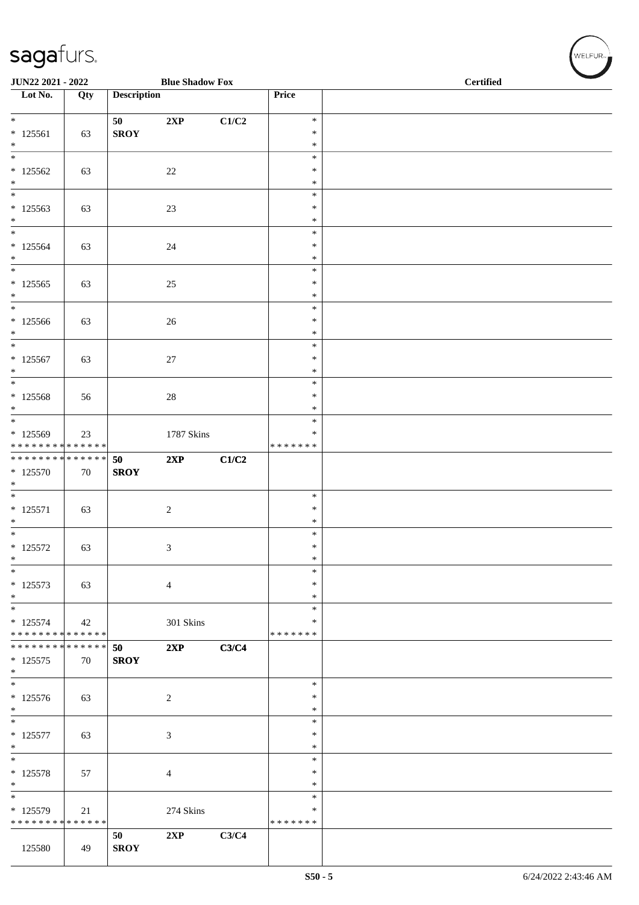| JUN22 2021 - 2022                            |     |                    | <b>Blue Shadow Fox</b> |       |                                   | Certified |  |  |  |  |
|----------------------------------------------|-----|--------------------|------------------------|-------|-----------------------------------|-----------|--|--|--|--|
| $\overline{\phantom{1}}$ Lot No.             | Qty | <b>Description</b> |                        |       | Price                             |           |  |  |  |  |
| $*$                                          |     | 50                 | 2XP                    | C1/C2 | $\ast$                            |           |  |  |  |  |
| $* 125561$<br>$\ast$                         | 63  | <b>SROY</b>        |                        |       | $\ast$<br>$\ast$                  |           |  |  |  |  |
| $\ast$<br>$*125562$                          | 63  |                    | $22\,$                 |       | $\ast$<br>$\ast$                  |           |  |  |  |  |
| $*$<br>$\overline{\phantom{0}}$              |     |                    |                        |       | $\ast$<br>$\ast$                  |           |  |  |  |  |
| $*125563$<br>$\ast$                          | 63  |                    | 23                     |       | $\ast$<br>$\ast$                  |           |  |  |  |  |
| $\overline{\ast}$<br>$* 125564$<br>$*$       | 63  |                    | $24\,$                 |       | $\ast$<br>$\ast$<br>$\ast$        |           |  |  |  |  |
| $\overline{\phantom{a}^*}$                   |     |                    |                        |       | $\ast$                            |           |  |  |  |  |
| $* 125565$<br>$*$                            | 63  |                    | $25\,$                 |       | $\ast$<br>$\ast$                  |           |  |  |  |  |
| $\overline{\phantom{0}}$<br>$*125566$<br>$*$ | 63  |                    | $26\,$                 |       | $\ast$<br>$\ast$<br>$\ast$        |           |  |  |  |  |
| $*$                                          |     |                    |                        |       | $\ast$                            |           |  |  |  |  |
| $* 125567$<br>$\ast$                         | 63  |                    | $27\,$                 |       | $\ast$<br>$\ast$                  |           |  |  |  |  |
| $\overline{\phantom{0}}$<br>$* 125568$       | 56  |                    | $28\,$                 |       | $\ast$<br>$\ast$                  |           |  |  |  |  |
| $\ast$<br>$\overline{\phantom{0}}$           |     |                    |                        |       | $\ast$                            |           |  |  |  |  |
| $*125569$<br>* * * * * * * * * * * * * *     | 23  |                    | 1787 Skins             |       | $\ast$<br>$\ast$<br>* * * * * * * |           |  |  |  |  |
| * * * * * * * * * * * * * *<br>$*125570$     | 70  | 50<br><b>SROY</b>  | 2XP                    | C1/C2 |                                   |           |  |  |  |  |
| $\ast$<br>$\overline{\phantom{0}}$           |     |                    |                        |       |                                   |           |  |  |  |  |
| $* 125571$                                   | 63  |                    | $\boldsymbol{2}$       |       | $\ast$<br>$\ast$                  |           |  |  |  |  |
| $\ast$<br>$*$                                |     |                    |                        |       | $\ast$<br>$\ast$                  |           |  |  |  |  |
| $* 125572$<br>$\ast$                         | 63  |                    | $\mathfrak{Z}$         |       | $\ast$<br>$\ast$                  |           |  |  |  |  |
| $\ast$                                       |     |                    |                        |       | $\ast$                            |           |  |  |  |  |
| $* 125573$<br>$\ast$                         | 63  |                    | $\overline{4}$         |       | $\ast$<br>$\ast$                  |           |  |  |  |  |
| $\frac{1}{1}$<br>$* 125574$                  | 42  |                    | $301~\rm Skins$        |       | $\ast$<br>∗                       |           |  |  |  |  |
| * * * * * * * * * * * * * *                  |     |                    |                        |       | * * * * * * *                     |           |  |  |  |  |
| **************<br>$* 125575$<br>$\ast$       | 70  | 50<br><b>SROY</b>  | 2XP                    | C3/C4 |                                   |           |  |  |  |  |
| $\ast$<br>$* 125576$                         | 63  |                    | $\overline{2}$         |       | $\ast$<br>$\ast$                  |           |  |  |  |  |
| $\ast$<br>$\overline{\phantom{a}^*}$         |     |                    |                        |       | $\ast$<br>$\ast$                  |           |  |  |  |  |
| $* 125577$<br>$\ast$                         | 63  |                    | $\mathfrak{Z}$         |       | ∗<br>$\ast$                       |           |  |  |  |  |
| $\overline{\ast}$<br>$* 125578$              |     |                    |                        |       | $\ast$<br>$\ast$                  |           |  |  |  |  |
| $\ast$                                       | 57  |                    | $\overline{4}$         |       | $\ast$                            |           |  |  |  |  |
| $\ast$<br>* 125579                           | 21  |                    | 274 Skins              |       | $\ast$<br>$\ast$                  |           |  |  |  |  |
| * * * * * * * * * * * * * *                  |     |                    |                        |       | * * * * * * *                     |           |  |  |  |  |
| 125580                                       | 49  | 50<br><b>SROY</b>  | 2XP                    | C3/C4 |                                   |           |  |  |  |  |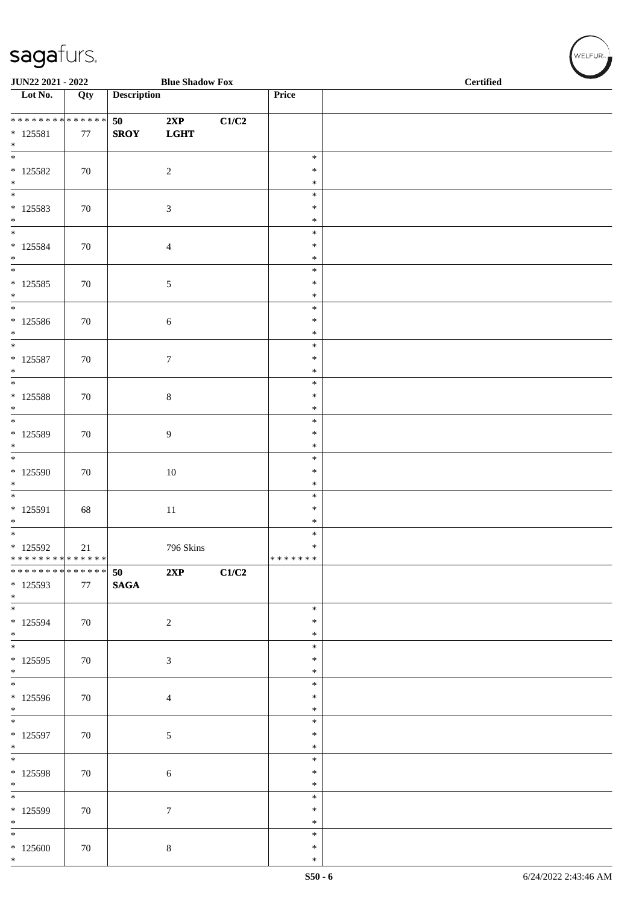| JUN22 2021 - 2022                                                      |     |                    | <b>Blue Shadow Fox</b>      |       |                                      | <b>Certified</b> |
|------------------------------------------------------------------------|-----|--------------------|-----------------------------|-------|--------------------------------------|------------------|
| Lot No.                                                                | Qty | <b>Description</b> |                             |       | Price                                |                  |
| * * * * * * * * * * * * * *<br>$* 125581$<br>$\ast$                    | 77  | 50<br><b>SROY</b>  | 2XP<br><b>LGHT</b>          | C1/C2 |                                      |                  |
| $\overline{\phantom{0}}$<br>$* 125582$<br>$\ast$                       | 70  |                    | $\sqrt{2}$                  |       | $\ast$<br>$\ast$<br>$\ast$           |                  |
| $\overline{\phantom{0}}$<br>$* 125583$<br>$*$<br>$\overline{\ast}$     | 70  |                    | $\ensuremath{\mathfrak{Z}}$ |       | $\ast$<br>$\ast$<br>$\ast$           |                  |
| $* 125584$<br>$*$<br>$\overline{\phantom{0}}$                          | 70  |                    | $\overline{4}$              |       | $\ast$<br>$\ast$<br>$\ast$<br>$\ast$ |                  |
| $* 125585$<br>$\ast$<br>$*$                                            | 70  |                    | 5                           |       | $\ast$<br>$\ast$<br>$\ast$           |                  |
| $*125586$<br>$\ast$<br>$\overline{\ast}$                               | 70  |                    | $\sqrt{6}$                  |       | $\ast$<br>$\ast$<br>$\ast$           |                  |
| $* 125587$<br>$\ast$<br>$\overline{\phantom{0}}$                       | 70  |                    | $\boldsymbol{7}$            |       | $\ast$<br>$\ast$<br>$\ast$           |                  |
| $*$ 125588<br>$\ast$<br>$\overline{\phantom{0}}$                       | 70  |                    | $\,8\,$                     |       | $\ast$<br>$\ast$<br>$\ast$           |                  |
| $* 125589$<br>$\ast$<br>$*$                                            | 70  |                    | $\overline{9}$              |       | $\ast$<br>$\ast$<br>$\ast$           |                  |
| $*125590$<br>$\ast$<br>$\ast$                                          | 70  |                    | 10                          |       | $\ast$<br>$\ast$<br>$\ast$           |                  |
| $* 125591$<br>$\ast$<br>$\overline{\phantom{0}}$                       | 68  |                    | 11                          |       | $\ast$<br>$\ast$<br>$\ast$           |                  |
| * 125592<br>* * * * * * * * * * * * * *<br>* * * * * * * * * * * * * * | 21  | 50                 | 796 Skins<br>2XP            | C1/C2 | $\ast$<br>* * * * * * *              |                  |
| $*125593$<br>$*$                                                       | 77  | <b>SAGA</b>        |                             |       | $\ast$                               |                  |
| * 125594<br>$*$<br>$\overline{\phantom{0}}$                            | 70  |                    | $\sqrt{2}$                  |       | $\ast$<br>$\ast$<br>$\ast$           |                  |
| $* 125595$<br>$*$<br>$\overline{\phantom{0}}$                          | 70  |                    | $\mathfrak{Z}$              |       | $\ast$<br>$\ast$<br>$\ast$           |                  |
| $* 125596$<br>$*$                                                      | 70  |                    | $\overline{4}$              |       | $\ast$<br>$\ast$<br>$\ast$           |                  |
| $* 125597$<br>$*$<br>$\overline{\phantom{0}}$                          | 70  |                    | $\mathfrak{S}$              |       | $\ast$<br>$\ast$                     |                  |
| $* 125598$<br>$\ast$<br>$\overline{\phantom{0}}$                       | 70  |                    | $\sqrt{6}$                  |       | $\ast$<br>$\ast$<br>$\ast$           |                  |
| * 125599<br>$\ast$<br>$\overline{\phantom{0}}$                         | 70  |                    | $\boldsymbol{7}$            |       | $\ast$<br>$\ast$<br>$\ast$           |                  |
| $*125600$<br>$*$                                                       | 70  |                    | $\,8\,$                     |       | $\ast$<br>$\ast$<br>$\ast$           |                  |

WELFUR<sub>T</sub>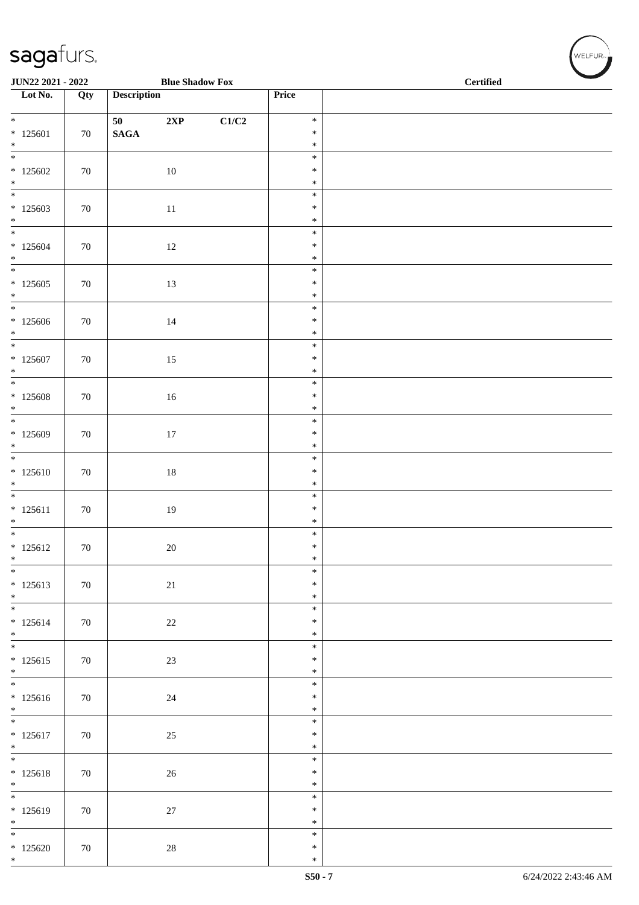| JUN22 2021 - 2022                    |        |                    | <b>Blue Shadow Fox</b> |       |                  | <b>Certified</b> |  |
|--------------------------------------|--------|--------------------|------------------------|-------|------------------|------------------|--|
| $\overline{\phantom{1}}$ Lot No.     | Qty    | <b>Description</b> |                        |       | Price            |                  |  |
| $\overline{\ast}$                    |        | 50                 | 2XP                    | C1/C2 | $\ast$           |                  |  |
| $*125601$                            | 70     | $\mathbf{SAGA}$    |                        |       | $\ast$           |                  |  |
| $\ast$<br>$\frac{1}{1}$              |        |                    |                        |       | $\ast$<br>$\ast$ |                  |  |
| $*125602$                            | 70     |                    | 10                     |       | $\ast$           |                  |  |
| $\ast$<br>$\overline{\ast}$          |        |                    |                        |       | $\ast$<br>$\ast$ |                  |  |
| $*125603$                            | 70     |                    | $11\,$                 |       | $\ast$           |                  |  |
| $\ast$<br>$\overline{\phantom{a}^*}$ |        |                    |                        |       | $\ast$<br>$\ast$ |                  |  |
| $*125604$                            | 70     |                    | $12\,$                 |       | $\ast$           |                  |  |
| $\ast$<br>$\overline{\phantom{0}}$   |        |                    |                        |       | $\ast$<br>$\ast$ |                  |  |
| $*125605$                            | $70\,$ |                    | $13\,$                 |       | $\ast$           |                  |  |
| $*$<br>$\overline{\phantom{0}}$      |        |                    |                        |       | $\ast$<br>$\ast$ |                  |  |
| $*125606$                            | 70     |                    | $14\,$                 |       | $\ast$           |                  |  |
| $\ast$<br>$\overline{\ast}$          |        |                    |                        |       | $\ast$<br>$\ast$ |                  |  |
| $*125607$                            | 70     |                    | $15\,$                 |       | $\ast$           |                  |  |
| $\ast$<br>$\overline{\phantom{0}}$   |        |                    |                        |       | $\ast$<br>$\ast$ |                  |  |
| $\underset{*}{*}$ 125608             | 70     |                    | 16                     |       | $\ast$           |                  |  |
|                                      |        |                    |                        |       | $\ast$<br>$\ast$ |                  |  |
| $*125609$                            | $70\,$ |                    | $17\,$                 |       | $\ast$           |                  |  |
| $\ast$<br>$\overline{\phantom{0}}$   |        |                    |                        |       | $\ast$<br>$\ast$ |                  |  |
| $* 125610$                           | 70     |                    | $18\,$                 |       | $\ast$           |                  |  |
| $\ast$<br>$\frac{1}{1}$              |        |                    |                        |       | $\ast$<br>$\ast$ |                  |  |
| $* 125611$                           | 70     |                    | $19\,$                 |       | $\ast$           |                  |  |
| $\ast$                               |        |                    |                        |       | $\ast$           |                  |  |
| $* 125612$                           | 70     |                    | $20\,$                 |       | $\ast$<br>$\ast$ |                  |  |
| $\ast$                               |        |                    |                        |       | $\ast$           |                  |  |
| $\ast$<br>$* 125613$                 | 70     |                    | $21\,$                 |       | $\ast$<br>$\ast$ |                  |  |
| $*$<br>$\overline{\phantom{0}}$      |        |                    |                        |       | $\ast$           |                  |  |
| $* 125614$                           | 70     |                    | $22\,$                 |       | $\ast$<br>$\ast$ |                  |  |
| $*$<br>$\overline{\ }$               |        |                    |                        |       | $\ast$           |                  |  |
| $* 125615$                           | 70     |                    | $23\,$                 |       | $\ast$<br>$\ast$ |                  |  |
| $*$<br>$\overline{\phantom{0}}$      |        |                    |                        |       | $\ast$           |                  |  |
| $* 125616$                           | 70     |                    | $24\,$                 |       | $\ast$<br>$\ast$ |                  |  |
| $*$<br>$\overline{\phantom{0}}$      |        |                    |                        |       | $\ast$           |                  |  |
| $* 125617$                           | 70     |                    | $25\,$                 |       | $\ast$<br>$\ast$ |                  |  |
| $*$<br>$\overline{\phantom{0}}$      |        |                    |                        |       | $\ast$           |                  |  |
| $* 125618$                           | 70     |                    | $26\,$                 |       | $\ast$<br>$\ast$ |                  |  |
| $*$                                  |        |                    |                        |       | $\ast$           |                  |  |
| $\overline{\ast}$<br>$* 125619$      | 70     |                    | $27\,$                 |       | $\ast$<br>$\ast$ |                  |  |
| $\ast$<br>$\frac{1}{1}$              |        |                    |                        |       | $\ast$           |                  |  |
| $*125620$                            | 70     |                    | $28\,$                 |       | $\ast$<br>$\ast$ |                  |  |
| $*$                                  |        |                    |                        |       | $\ast$           |                  |  |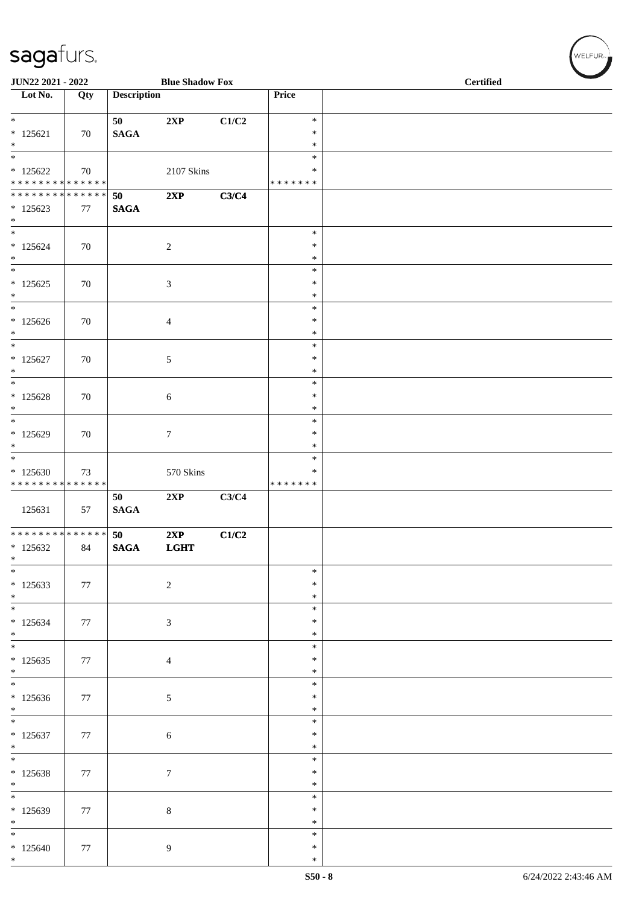| JUN22 2021 - 2022                                                      |     |                       | <b>Blue Shadow Fox</b>      |       |                                   | <b>Certified</b> |
|------------------------------------------------------------------------|-----|-----------------------|-----------------------------|-------|-----------------------------------|------------------|
| Lot No.                                                                | Qty | <b>Description</b>    |                             |       | Price                             |                  |
| $\ast$<br>$* 125621$<br>$\ast$                                         | 70  | 50<br>$\mathbf{SAGA}$ | 2XP                         | C1/C2 | $\ast$<br>$\ast$<br>$\ast$        |                  |
| $\overline{\phantom{a}^*}$<br>$*125622$<br>* * * * * * * * * * * * * * | 70  |                       | 2107 Skins                  |       | $\ast$<br>$\ast$<br>* * * * * * * |                  |
| **************<br>$*125623$<br>$\ast$                                  | 77  | 50<br><b>SAGA</b>     | 2XP                         | C3/C4 |                                   |                  |
| $\overline{\phantom{a}^*}$<br>$*125624$<br>$\ast$                      | 70  |                       | $\overline{c}$              |       | $\ast$<br>$\ast$<br>$\ast$        |                  |
| $\overline{\ast}$<br>$*125625$<br>$\ast$                               | 70  |                       | $\ensuremath{\mathfrak{Z}}$ |       | $\ast$<br>$\ast$<br>$\ast$        |                  |
| $\ast$<br>$*125626$<br>$\ast$<br>$\overline{\ast}$                     | 70  |                       | $\overline{4}$              |       | $\ast$<br>$\ast$<br>$\ast$        |                  |
| $*125627$<br>$\ast$<br>$_{\ast}^{-}$                                   | 70  |                       | $\sqrt{5}$                  |       | $\ast$<br>$\ast$<br>$\ast$        |                  |
| $*125628$<br>$\ast$<br>$\ast$                                          | 70  |                       | 6                           |       | $\ast$<br>$\ast$<br>$\ast$        |                  |
| $*125629$<br>$\ast$<br>$\ast$                                          | 70  |                       | $\boldsymbol{7}$            |       | $\ast$<br>$\ast$<br>$\ast$        |                  |
| $*125630$<br>* * * * * * * * * * * * * *                               | 73  |                       | 570 Skins                   |       | $\ast$<br>$\ast$<br>* * * * * * * |                  |
| 125631                                                                 | 57  | 50<br><b>SAGA</b>     | 2XP                         | C3/C4 |                                   |                  |
| ******** <mark>******</mark><br>$*125632$<br>$\ast$                    | 84  | 50<br><b>SAGA</b>     | 2XP<br><b>LGHT</b>          | C1/C2 |                                   |                  |
| $\overline{\ast}$<br>* 125633<br>$\ast$<br>$\overline{\phantom{a}^*}$  | 77  |                       | $\sqrt{2}$                  |       | $\ast$<br>$\ast$<br>$\ast$        |                  |
| $*125634$<br>$*$<br>$\overline{\phantom{0}}$                           | 77  |                       | $\mathfrak{Z}$              |       | $\ast$<br>$\ast$<br>$\ast$        |                  |
| $*125635$<br>$*$                                                       | 77  |                       | $\overline{4}$              |       | $\ast$<br>$\ast$<br>$\ast$        |                  |
| $\overline{\phantom{0}}$<br>$*125636$<br>$*$                           | 77  |                       | $\sqrt{5}$                  |       | $\ast$<br>$\ast$<br>$\ast$        |                  |
| $\overline{\ast}$<br>$*125637$<br>$*$                                  | 77  |                       | $\sqrt{6}$                  |       | $\ast$<br>$\ast$<br>$\ast$        |                  |
| $\overline{\phantom{0}}$<br>$*125638$<br>$\ast$                        | 77  |                       | $\boldsymbol{7}$            |       | $\ast$<br>$\ast$<br>$\ast$        |                  |
| $\overline{\phantom{0}}$<br>$*125639$<br>$\ast$                        | 77  |                       | $\,8\,$                     |       | $\ast$<br>$\ast$<br>$\ast$        |                  |
| $\overline{\phantom{0}}$<br>$*125640$<br>$*$                           | 77  |                       | 9                           |       | $\ast$<br>$\ast$<br>$\ast$        |                  |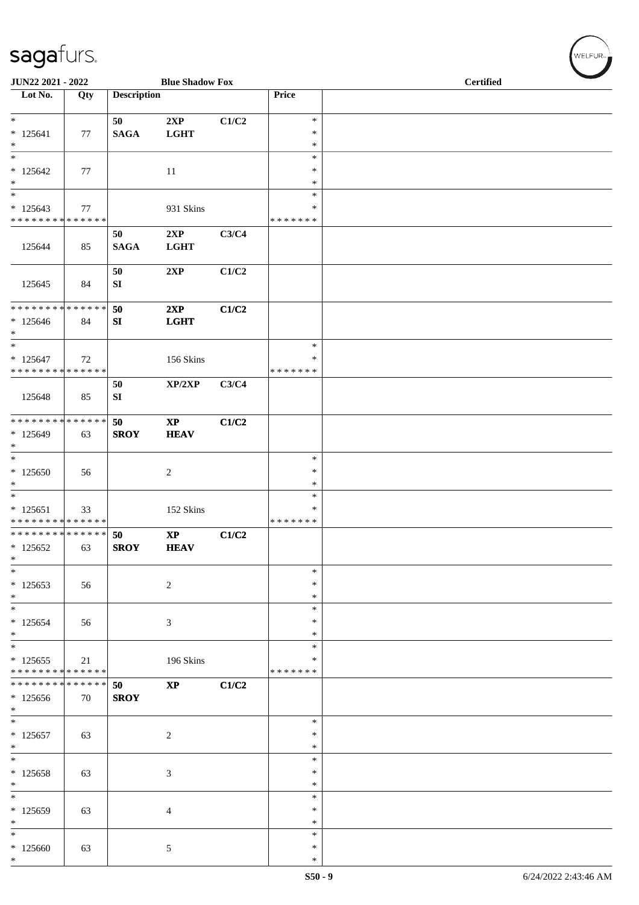| JUN22 2021 - 2022                                                                      |     |                        | <b>Blue Shadow Fox</b>                |       |                              | Certified |  |
|----------------------------------------------------------------------------------------|-----|------------------------|---------------------------------------|-------|------------------------------|-----------|--|
| Lot No.                                                                                | Qty | <b>Description</b>     |                                       |       | Price                        |           |  |
| $\ast$<br>$* 125641$<br>$\ast$                                                         | 77  | 50<br><b>SAGA</b>      | 2XP<br><b>LGHT</b>                    | C1/C2 | $\ast$<br>$\ast$<br>$\ast$   |           |  |
| $\overline{\ast}$<br>$*125642$<br>$\ast$                                               | 77  |                        | 11                                    |       | $\ast$<br>$\ast$<br>$\ast$   |           |  |
| $\ast$<br>$*125643$<br>* * * * * * * * * * * * * *                                     | 77  |                        | 931 Skins                             |       | $\ast$<br>*<br>* * * * * * * |           |  |
| 125644                                                                                 | 85  | 50<br><b>SAGA</b>      | 2XP<br><b>LGHT</b>                    | C3/C4 |                              |           |  |
| 125645                                                                                 | 84  | 50<br>SI               | 2XP                                   | C1/C2 |                              |           |  |
| * * * * * * * * * * * * * *<br>$*125646$<br>$\ast$                                     | 84  | 50<br>SI               | 2XP<br><b>LGHT</b>                    | C1/C2 |                              |           |  |
| $\overline{\phantom{a}^*}$<br>$* 125647$<br>* * * * * * * * <mark>* * * * * * *</mark> | 72  |                        | 156 Skins                             |       | $\ast$<br>∗<br>* * * * * * * |           |  |
| 125648                                                                                 | 85  | 50<br>${\bf S}{\bf I}$ | XP/2XP                                | C3/C4 |                              |           |  |
| **************<br>$*125649$<br>$\ast$                                                  | 63  | 50<br><b>SROY</b>      | $\bold{XP}$<br><b>HEAV</b>            | C1/C2 |                              |           |  |
| $\ast$<br>$*125650$<br>$\ast$                                                          | 56  |                        | $\overline{2}$                        |       | $\ast$<br>$\ast$<br>$\ast$   |           |  |
| $\overline{\phantom{1}}$<br>$* 125651$<br>******** <mark>******</mark>                 | 33  |                        | 152 Skins                             |       | $\ast$<br>∗<br>* * * * * * * |           |  |
| ************** 50<br>$*125652$<br>$\ast$                                               | 63  | <b>SROY</b>            | $\mathbf{X}\mathbf{P}$<br><b>HEAV</b> | C1/C2 |                              |           |  |
| $\ast$<br>$*125653$<br>$\ast$                                                          | 56  |                        | $\overline{c}$                        |       | $\ast$<br>∗<br>$\ast$        |           |  |
| $\frac{1}{1}$<br>$*125654$<br>$*$                                                      | 56  |                        | 3                                     |       | $\ast$<br>*<br>∗             |           |  |
| $\ast$<br>$*125655$<br>* * * * * * * * <mark>* * * * * * *</mark>                      | 21  |                        | 196 Skins                             |       | $\ast$<br>*<br>* * * * * * * |           |  |
| * * * * * * * * * * * * * * *<br>$*125656$<br>$*$                                      | 70  | 50<br><b>SROY</b>      | $\bold{XP}$                           | C1/C2 |                              |           |  |
| $\overline{\phantom{0}}$<br>$* 125657$<br>$\ast$                                       | 63  |                        | $\overline{c}$                        |       | $\ast$<br>∗<br>$\ast$        |           |  |
| $\ast$<br>$*125658$<br>$\ast$                                                          | 63  |                        | 3                                     |       | $\ast$<br>*<br>*             |           |  |
| $\ast$<br>* 125659<br>$\ast$                                                           | 63  |                        | 4                                     |       | $\ast$<br>$\ast$<br>$\ast$   |           |  |
| $\overline{\phantom{0}}$<br>$*125660$<br>$\ast$                                        | 63  |                        | $\sqrt{5}$                            |       | $\ast$<br>*<br>$\ast$        |           |  |

WELFUR<sub>"</sub>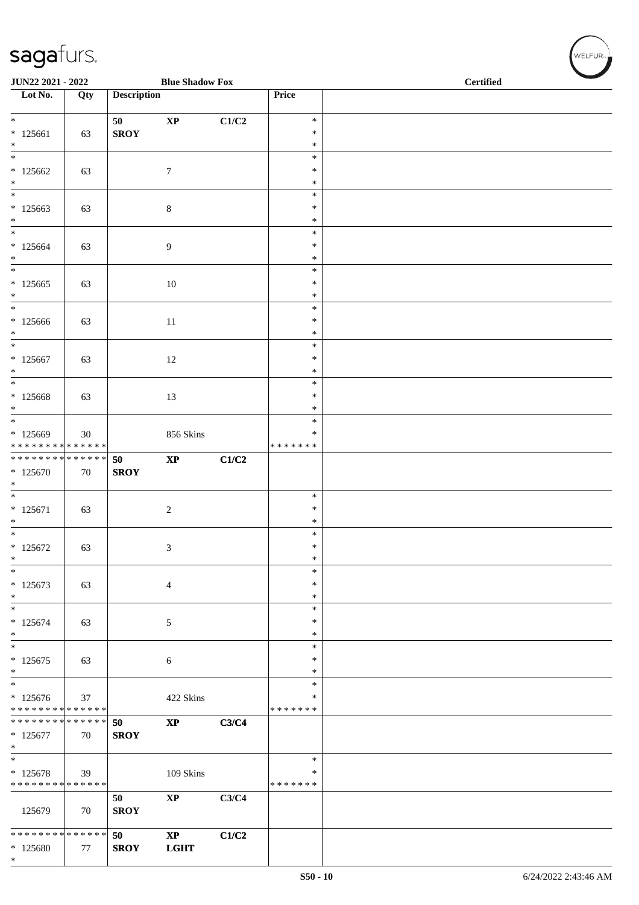| JUN22 2021 - 2022<br><b>Blue Shadow Fox</b> |     |                    |                        |       |                         | <b>Certified</b> |
|---------------------------------------------|-----|--------------------|------------------------|-------|-------------------------|------------------|
| Lot No.                                     | Qty | <b>Description</b> |                        |       | Price                   |                  |
| $*$                                         |     | 50                 | $\mathbf{X}\mathbf{P}$ | C1/C2 | $\ast$                  |                  |
| $* 125661$                                  | 63  | <b>SROY</b>        |                        |       | $\ast$<br>$\ast$        |                  |
| $\ast$<br>$\ast$                            |     |                    |                        |       | $\ast$                  |                  |
| $*125662$                                   | 63  |                    | $\tau$                 |       | ∗                       |                  |
| $\ast$<br>$\overline{\phantom{0}}$          |     |                    |                        |       | $\ast$<br>$\ast$        |                  |
| $*125663$                                   | 63  |                    | $\,8\,$                |       | $\ast$                  |                  |
| $\ast$<br>$\ast$                            |     |                    |                        |       | $\ast$<br>$\ast$        |                  |
| $*125664$                                   | 63  |                    | 9                      |       | $\ast$                  |                  |
| $\ast$<br>$\frac{1}{*}$                     |     |                    |                        |       | $\ast$<br>$\ast$        |                  |
| $*125665$                                   | 63  |                    | $10\,$                 |       | $\ast$                  |                  |
| $\ast$<br>$\overline{\phantom{0}}$          |     |                    |                        |       | $\ast$                  |                  |
| $*125666$                                   | 63  |                    | $11\,$                 |       | $\ast$<br>$\ast$        |                  |
| $*$                                         |     |                    |                        |       | $\ast$                  |                  |
| $\ast$<br>$*125667$                         |     |                    |                        |       | $\ast$<br>$\ast$        |                  |
| $\ast$                                      | 63  |                    | 12                     |       | $\ast$                  |                  |
| $*$                                         |     |                    |                        |       | $\ast$                  |                  |
| $*125668$<br>$\ast$                         | 63  |                    | 13                     |       | $\ast$<br>$\ast$        |                  |
| $\overline{\phantom{0}}$                    |     |                    |                        |       | $\ast$                  |                  |
| $*125669$<br>* * * * * * * * * * * * * *    | 30  |                    | 856 Skins              |       | $\ast$<br>* * * * * * * |                  |
| * * * * * * * * * * * * * *                 |     | 50                 | $\bold{XP}$            | C1/C2 |                         |                  |
| $*125670$                                   | 70  | <b>SROY</b>        |                        |       |                         |                  |
| $\ast$<br>$\overline{\phantom{0}}$          |     |                    |                        |       | $\ast$                  |                  |
| $* 125671$                                  | 63  |                    | $\boldsymbol{2}$       |       | $\ast$                  |                  |
| $\ast$<br>$\overline{\phantom{0}}$          |     |                    |                        |       | $\ast$<br>$\ast$        |                  |
| $*125672$                                   | 63  |                    | $\mathfrak{Z}$         |       | $\ast$                  |                  |
| $\ast$<br>$\ast$                            |     |                    |                        |       | $\ast$<br>$\ast$        |                  |
| $*125673$                                   | 63  |                    | $\overline{4}$         |       | $\ast$                  |                  |
| $\ast$                                      |     |                    |                        |       | $\ast$                  |                  |
| $\ast$<br>$*125674$                         | 63  |                    | 5                      |       | $\ast$<br>$\ast$        |                  |
| $\ast$                                      |     |                    |                        |       | ∗                       |                  |
| $\overline{\ast}$<br>$*125675$              | 63  |                    | 6                      |       | $\ast$<br>$\ast$        |                  |
| $\ast$                                      |     |                    |                        |       | $\ast$                  |                  |
| $\overline{\ast}$                           |     |                    |                        |       | $\ast$                  |                  |
| $*125676$<br>* * * * * * * * * * * * * *    | 37  |                    | 422 Skins              |       | ∗<br>* * * * * * *      |                  |
| * * * * * * * * * * * * * *                 |     | 50                 | $\mathbf{X}\mathbf{P}$ | C3/C4 |                         |                  |
| $*125677$<br>$\ast$                         | 70  | <b>SROY</b>        |                        |       |                         |                  |
| $*$                                         |     |                    |                        |       | $\ast$                  |                  |
| $* 125678$<br>* * * * * * * * * * * * * *   | 39  |                    | $109$ Skins            |       | ∗<br>* * * * * * *      |                  |
|                                             |     | 50                 | $\bold{XP}$            | C3/C4 |                         |                  |
| 125679                                      | 70  | <b>SROY</b>        |                        |       |                         |                  |
| ******** <mark>******</mark>                |     | 50                 | $\bold{XP}$            | C1/C2 |                         |                  |
| * 125680<br>$\ast$                          | 77  | <b>SROY</b>        | <b>LGHT</b>            |       |                         |                  |
|                                             |     |                    |                        |       |                         |                  |

WELFUR<sub>"</sub>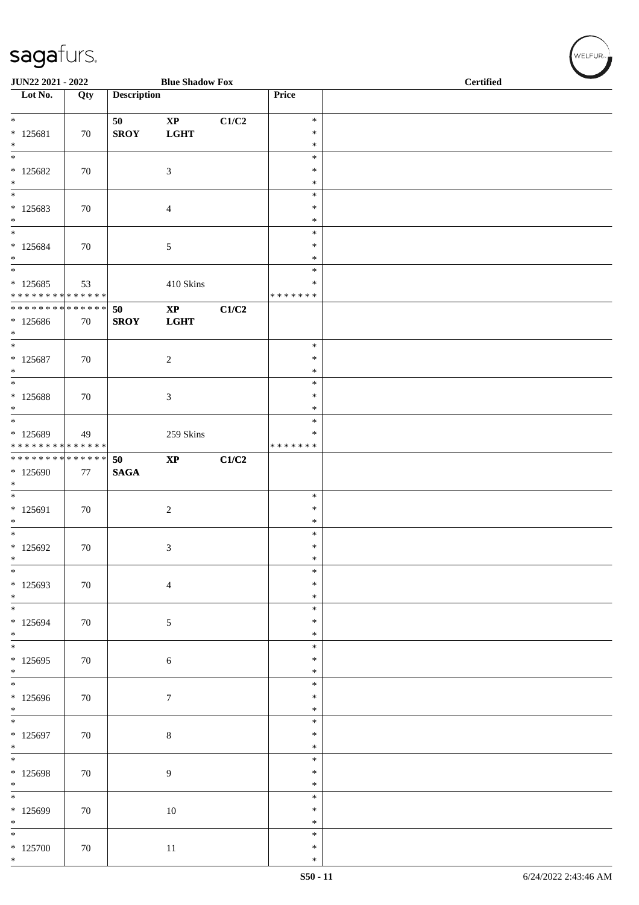| JUN22 2021 - 2022                                           |        |                    | <b>Blue Shadow Fox</b>      |       | <b>Certified</b>   |  |  |
|-------------------------------------------------------------|--------|--------------------|-----------------------------|-------|--------------------|--|--|
| Lot No.                                                     | Qty    | <b>Description</b> |                             |       | Price              |  |  |
| $\overline{\ast}$                                           |        |                    |                             |       |                    |  |  |
| $* 125681$                                                  | 70     | 50<br><b>SROY</b>  | $\bold{XP}$<br><b>LGHT</b>  | C1/C2 | $\ast$<br>$\ast$   |  |  |
| $\ast$                                                      |        |                    |                             |       | $\ast$             |  |  |
| $\overline{\phantom{0}}$                                    |        |                    |                             |       | $\ast$             |  |  |
| $*125682$<br>$\ast$                                         | 70     |                    | $\mathfrak{Z}$              |       | $\ast$<br>$\ast$   |  |  |
| $\ast$                                                      |        |                    |                             |       | $\ast$             |  |  |
| $*125683$                                                   | 70     |                    | $\overline{4}$              |       | $\ast$             |  |  |
| $\ast$<br>$\ast$                                            |        |                    |                             |       | $\ast$<br>$\ast$   |  |  |
| $* 125684$                                                  | 70     |                    | 5                           |       | $\ast$             |  |  |
| $\ast$                                                      |        |                    |                             |       | $\ast$             |  |  |
| $\overline{\phantom{a}^*}$                                  |        |                    |                             |       | $\ast$             |  |  |
| $*125685$<br>* * * * * * * * * * * * * *                    | 53     |                    | 410 Skins                   |       | ∗<br>* * * * * * * |  |  |
| * * * * * * * * * * * * * *                                 |        | 50                 | $\bold{XP}$                 | C1/C2 |                    |  |  |
| $*125686$                                                   | 70     | <b>SROY</b>        | <b>LGHT</b>                 |       |                    |  |  |
| $\ast$<br>$\ast$                                            |        |                    |                             |       | $\ast$             |  |  |
| $* 125687$                                                  | 70     |                    | $\sqrt{2}$                  |       | $\ast$             |  |  |
| $*$                                                         |        |                    |                             |       | $\ast$             |  |  |
| $\overline{\phantom{a}^*}$                                  |        |                    |                             |       | $\ast$<br>$\ast$   |  |  |
| $* 125688$<br>$*$                                           | $70\,$ |                    | $\ensuremath{\mathfrak{Z}}$ |       | $\ast$             |  |  |
| $*$                                                         |        |                    |                             |       | $\ast$             |  |  |
| $*125689$                                                   | 49     |                    | 259 Skins                   |       | $\ast$             |  |  |
| * * * * * * * * * * * * * *<br>******** <mark>******</mark> |        | 50                 | $\bold{XP}$                 | C1/C2 | * * * * * * *      |  |  |
| $*125690$                                                   | 77     | <b>SAGA</b>        |                             |       |                    |  |  |
| $\ast$<br>$\overline{\phantom{0}}$                          |        |                    |                             |       |                    |  |  |
| $* 125691$                                                  | 70     |                    | $\sqrt{2}$                  |       | $\ast$<br>$\ast$   |  |  |
| $\ast$                                                      |        |                    |                             |       | $\ast$             |  |  |
| $\overline{\phantom{0}}$                                    |        |                    |                             |       | $\ast$             |  |  |
| $*125692$<br>$\ast$                                         | 70     |                    | $\mathfrak{Z}$              |       | $\ast$<br>$\ast$   |  |  |
| $\ast$                                                      |        |                    |                             |       | $\ast$             |  |  |
| $*125693$                                                   | 70     |                    | $\overline{4}$              |       | ∗                  |  |  |
| $*$<br>$\overline{\phantom{0}}$                             |        |                    |                             |       | $\ast$             |  |  |
| $* 125694$                                                  | 70     |                    | $\sqrt{5}$                  |       | $\ast$<br>$\ast$   |  |  |
| $*$                                                         |        |                    |                             |       | $\ast$             |  |  |
| $\overline{\ast}$                                           |        |                    |                             |       | $\ast$             |  |  |
| $*125695$<br>$*$                                            | 70     |                    | $\sqrt{6}$                  |       | $\ast$<br>$\ast$   |  |  |
| $\overline{\phantom{0}}$                                    |        |                    |                             |       | $\ast$             |  |  |
| $*125696$                                                   | 70     |                    | $\boldsymbol{7}$            |       | $\ast$             |  |  |
| $*$<br>$\overline{\ast}$                                    |        |                    |                             |       | $\ast$<br>$\ast$   |  |  |
| $* 125697$                                                  | 70     |                    | $8\,$                       |       | $\ast$             |  |  |
| $*$                                                         |        |                    |                             |       | $\ast$             |  |  |
| $\overline{\phantom{0}}$                                    |        |                    |                             |       | $\ast$             |  |  |
| $* 125698$<br>$\ast$                                        | 70     |                    | $\overline{9}$              |       | $\ast$<br>$\ast$   |  |  |
| $\overline{\phantom{0}}$                                    |        |                    |                             |       | $\ast$             |  |  |
| $*125699$                                                   | 70     |                    | $10\,$                      |       | $\ast$             |  |  |
| $\ast$<br>$\overline{\phantom{0}}$                          |        |                    |                             |       | $\ast$<br>$\ast$   |  |  |
| $*125700$                                                   | 70     |                    | $11\,$                      |       | $\ast$             |  |  |
| $*$                                                         |        |                    |                             |       | $\ast$             |  |  |

 $(\overbrace{\text{WELFUR}_{\text{tr}}})$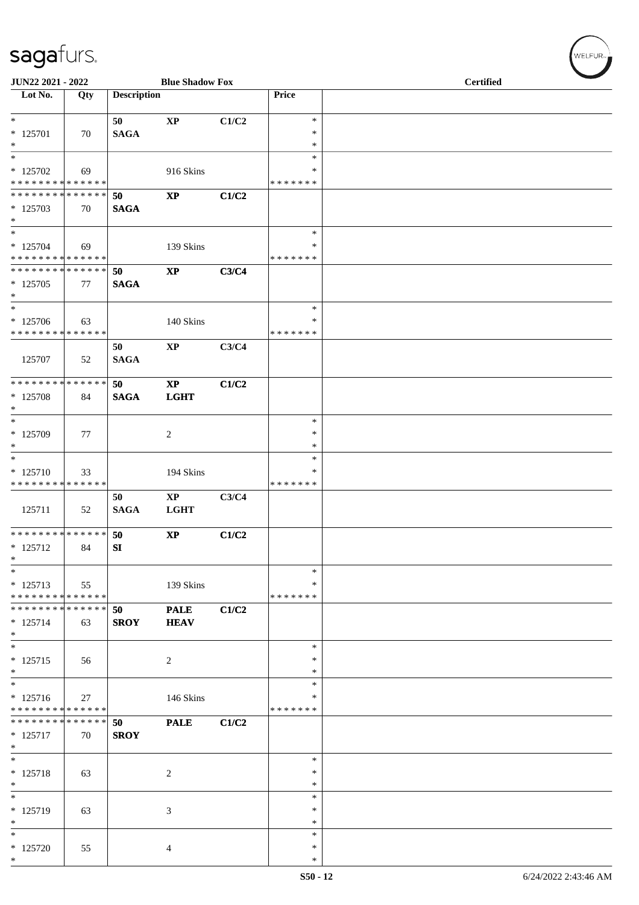| JUN22 2021 - 2022                                                       |     |                        | <b>Blue Shadow Fox</b>                |       |                              | <b>Certified</b> |
|-------------------------------------------------------------------------|-----|------------------------|---------------------------------------|-------|------------------------------|------------------|
| Lot No.                                                                 | Qty | <b>Description</b>     |                                       |       | Price                        |                  |
| $*$<br>$* 125701$<br>$\ast$                                             | 70  | 50<br><b>SAGA</b>      | $\mathbf{X}\mathbf{P}$                | C1/C2 | $\ast$<br>*<br>*             |                  |
| $\overline{\ast}$<br>$*125702$<br>* * * * * * * * * * * * * *           | 69  |                        | 916 Skins                             |       | $\ast$<br>*<br>* * * * * * * |                  |
| * * * * * * * * * * * * * *<br>* 125703<br>$*$                          | 70  | 50<br><b>SAGA</b>      | $\bold{XP}$                           | C1/C2 |                              |                  |
| $\ast$<br>$* 125704$<br>* * * * * * * * * * * * * *                     | 69  |                        | 139 Skins                             |       | $\ast$<br>*<br>* * * * * * * |                  |
| * * * * * * * * * * * * * *<br>$*125705$<br>$*$                         | 77  | 50<br><b>SAGA</b>      | $\bold{XP}$                           | C3/C4 |                              |                  |
| $\ast$<br>* 125706<br>* * * * * * * * * * * * * *                       | 63  |                        | 140 Skins                             |       | $\ast$<br>∗<br>* * * * * * * |                  |
| 125707                                                                  | 52  | 50<br><b>SAGA</b>      | $\bold{XP}$                           | C3/C4 |                              |                  |
| * * * * * * * * * * * * * *<br>* 125708<br>$\ast$                       | 84  | 50<br><b>SAGA</b>      | $\mathbf{XP}$<br><b>LGHT</b>          | C1/C2 |                              |                  |
| $\overline{\phantom{0}}$<br>$* 125709$<br>$*$                           | 77  |                        | $\overline{c}$                        |       | $\ast$<br>*<br>$\ast$        |                  |
| $\ast$<br>$* 125710$<br>* * * * * * * * * * * * * *                     | 33  |                        | 194 Skins                             |       | $\ast$<br>*<br>* * * * * * * |                  |
| 125711                                                                  | 52  | 50<br><b>SAGA</b>      | $\mathbf{X}\mathbf{P}$<br><b>LGHT</b> | C3/C4 |                              |                  |
| ******** <mark>******</mark><br>* 125712<br>$*$                         | 84  | 50<br>${\bf S}{\bf I}$ | $\mathbf{X}\mathbf{P}$                | C1/C2 |                              |                  |
| $\ast$<br>$* 125713$<br>* * * * * * * * * * * * * *                     | 55  |                        | 139 Skins                             |       | $\ast$<br>∗<br>* * * * * * * |                  |
| * * * * * * * * * * * * * *<br>$* 125714$<br>$*$                        | 63  | 50<br><b>SROY</b>      | <b>PALE</b><br><b>HEAV</b>            | C1/C2 |                              |                  |
| $\ast$<br>$* 125715$<br>$*$                                             | 56  |                        | 2                                     |       | $\ast$<br>∗<br>∗             |                  |
| $\overline{\phantom{a}^*}$<br>$* 125716$<br>* * * * * * * * * * * * * * | 27  |                        | 146 Skins                             |       | $\ast$<br>∗<br>* * * * * * * |                  |
| * * * * * * * * * * * * * * *<br>$* 125717$<br>$*$                      | 70  | 50<br><b>SROY</b>      | <b>PALE</b>                           | C1/C2 |                              |                  |
| $\ast$<br>* 125718<br>$\ast$                                            | 63  |                        | 2                                     |       | $\ast$<br>∗<br>$\ast$        |                  |
| $\overline{\phantom{0}}$<br>* 125719<br>$\ast$                          | 63  |                        | 3                                     |       | $\ast$<br>∗<br>$\ast$        |                  |
| $\ast$<br>$*125720$<br>$*$                                              | 55  |                        | 4                                     |       | $\ast$<br>$\ast$<br>$\ast$   |                  |

 $(w$ elfur<sub>m</sub>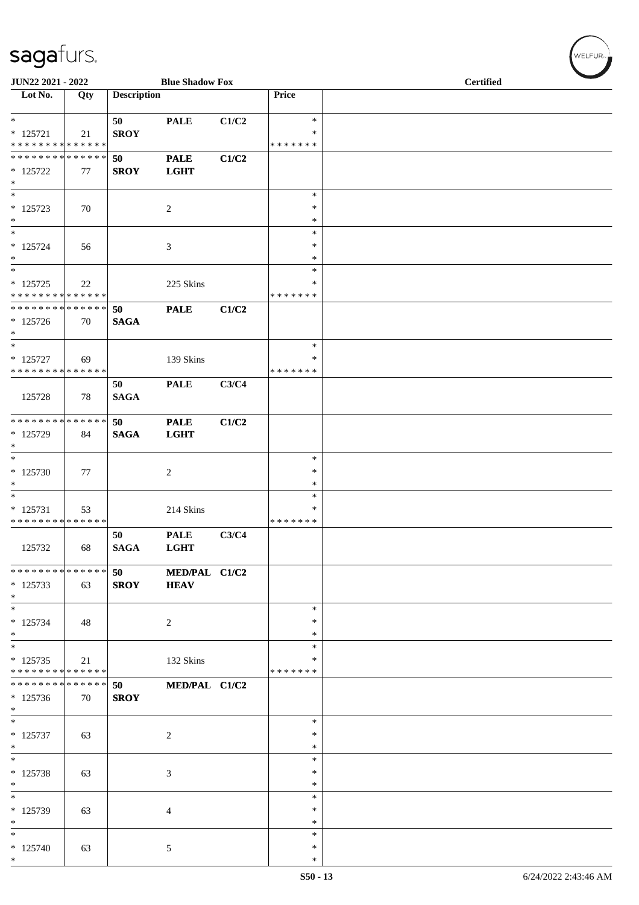| JUN22 2021 - 2022                                   |     |                    | <b>Blue Shadow Fox</b>       |       |                            | <b>Certified</b> |
|-----------------------------------------------------|-----|--------------------|------------------------------|-------|----------------------------|------------------|
| Lot No.                                             | Qty | <b>Description</b> |                              |       | Price                      |                  |
| $*$<br>$* 125721$                                   | 21  | 50<br><b>SROY</b>  | <b>PALE</b>                  | C1/C2 | $\ast$<br>$\ast$           |                  |
| * * * * * * * * * * * * * *                         |     |                    |                              |       | * * * * * * *              |                  |
| * * * * * * * * * * * * * *<br>$* 125722$<br>$\ast$ | 77  | 50<br><b>SROY</b>  | <b>PALE</b><br><b>LGHT</b>   | C1/C2 |                            |                  |
| $\overline{\phantom{0}}$                            |     |                    |                              |       | $\ast$                     |                  |
| $* 125723$<br>$\ast$                                | 70  |                    | $\overline{c}$               |       | $\ast$<br>$\ast$           |                  |
| $\overline{\phantom{a}^*}$                          |     |                    |                              |       | $\ast$                     |                  |
| $* 125724$<br>$\ast$                                | 56  |                    | $\mathfrak{Z}$               |       | $\ast$<br>$\ast$           |                  |
| $\ast$                                              |     |                    |                              |       | $\ast$                     |                  |
| $* 125725$<br>* * * * * * * * * * * * * * *         | 22  |                    | 225 Skins                    |       | ∗<br>* * * * * * *         |                  |
| **************                                      |     | 50                 | <b>PALE</b>                  | C1/C2 |                            |                  |
| $*125726$<br>$*$                                    | 70  | <b>SAGA</b>        |                              |       |                            |                  |
| $\overline{\phantom{a}^*}$                          |     |                    |                              |       | $\ast$                     |                  |
| $* 125727$<br>* * * * * * * * * * * * * *           | 69  |                    | 139 Skins                    |       | *<br>* * * * * * *         |                  |
|                                                     |     | 50                 | <b>PALE</b>                  | C3/C4 |                            |                  |
| 125728                                              | 78  | <b>SAGA</b>        |                              |       |                            |                  |
| ******** <mark>******</mark>                        |     | 50                 | <b>PALE</b>                  | C1/C2 |                            |                  |
| * 125729<br>$\ast$                                  | 84  | <b>SAGA</b>        | <b>LGHT</b>                  |       |                            |                  |
| $\ast$                                              |     |                    |                              |       | $\ast$                     |                  |
| $*125730$                                           | 77  |                    | $\overline{c}$               |       | $\ast$                     |                  |
| $*$                                                 |     |                    |                              |       | $\ast$                     |                  |
| $\ast$<br>$* 125731$                                |     |                    | 214 Skins                    |       | $\ast$<br>$\ast$           |                  |
| * * * * * * * * * * * * * * *                       | 53  |                    |                              |       | * * * * * * *              |                  |
| 125732                                              | 68  | 50<br>SAGA         | <b>PALE</b><br><b>LGHT</b>   | C3/C4 |                            |                  |
| * * * * * * * * * * * * * *<br>$* 125733$           | 63  | 50<br><b>SROY</b>  | MED/PAL C1/C2<br><b>HEAV</b> |       |                            |                  |
| $*$<br>$\ast$                                       |     |                    |                              |       |                            |                  |
| $* 125734$<br>$*$                                   | 48  |                    | $\overline{c}$               |       | $\ast$<br>$\ast$<br>$\ast$ |                  |
| $\ast$                                              |     |                    |                              |       | $\ast$                     |                  |
| $* 125735$<br>* * * * * * * * * * * * * *           | 21  |                    | 132 Skins                    |       | ∗<br>* * * * * * *         |                  |
| * * * * * * * * * * * * * *                         |     | 50                 | MED/PAL C1/C2                |       |                            |                  |
| $* 125736$<br>$*$                                   | 70  | <b>SROY</b>        |                              |       |                            |                  |
| $\ast$                                              |     |                    |                              |       | ∗                          |                  |
| $* 125737$<br>$\ast$                                | 63  |                    | 2                            |       | $\ast$<br>$\ast$           |                  |
| $*$                                                 |     |                    |                              |       | $\ast$                     |                  |
| * 125738<br>$\ast$                                  | 63  |                    | 3                            |       | $\ast$<br>$\ast$           |                  |
| $\overline{\phantom{a}^*}$                          |     |                    |                              |       | $\ast$                     |                  |
| * 125739<br>$\ast$                                  | 63  |                    | $\overline{4}$               |       | $\ast$<br>$\ast$           |                  |
| $\ast$                                              |     |                    |                              |       | $\ast$                     |                  |
| $*125740$                                           | 63  |                    | $\sqrt{5}$                   |       | $\ast$                     |                  |
| $*$                                                 |     |                    |                              |       | $\ast$                     |                  |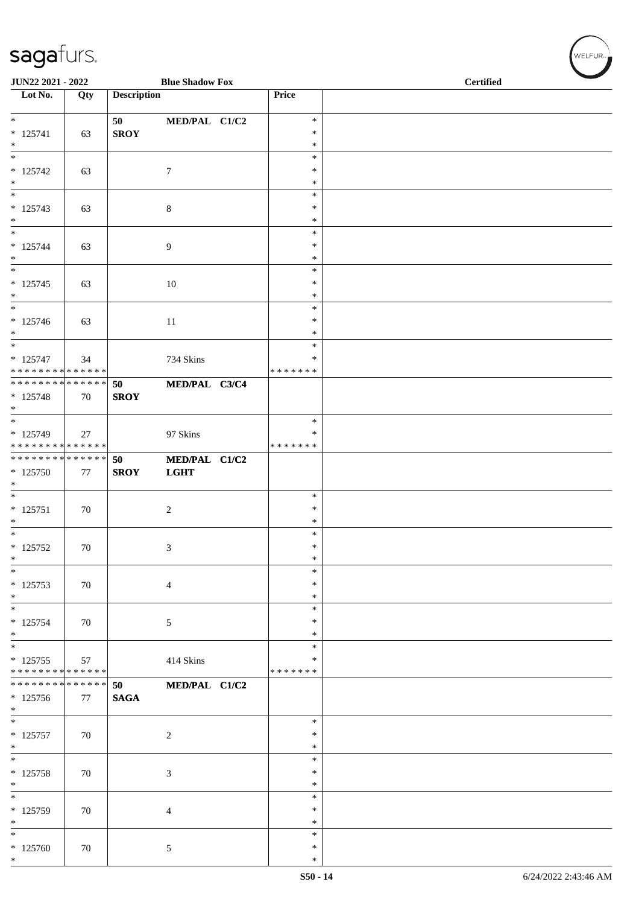| JUN22 2021 - 2022<br><b>Blue Shadow Fox</b> |        |                    |                |                         | <b>Certified</b> |
|---------------------------------------------|--------|--------------------|----------------|-------------------------|------------------|
| Lot No.                                     | Qty    | <b>Description</b> |                | Price                   |                  |
| $\overline{\phantom{0}}$                    |        | 50                 | MED/PAL C1/C2  | $\ast$                  |                  |
| $* 125741$                                  | 63     | <b>SROY</b>        |                | $\ast$                  |                  |
| $\ast$<br>$\ast$                            |        |                    |                | $\ast$<br>$\ast$        |                  |
| $* 125742$                                  | 63     |                    | $\tau$         | $\ast$                  |                  |
| $\ast$<br>$\ast$                            |        |                    |                | $\ast$<br>$\ast$        |                  |
| $* 125743$                                  | 63     |                    | $\,8\,$        | $\ast$                  |                  |
| $*$<br>$\ast$                               |        |                    |                | ∗<br>$\ast$             |                  |
| $* 125744$                                  | 63     |                    | 9              | $\ast$                  |                  |
| $\ast$<br>$\ast$                            |        |                    |                | $\ast$                  |                  |
| $* 125745$                                  | 63     |                    | 10             | $\ast$<br>∗             |                  |
| $\ast$                                      |        |                    |                | $\ast$                  |                  |
| $\ast$<br>$* 125746$                        | 63     |                    | $11\,$         | $\ast$<br>$\ast$        |                  |
| $\ast$                                      |        |                    |                | $\ast$                  |                  |
| $\ast$                                      |        |                    |                | $\ast$<br>$\ast$        |                  |
| $* 125747$<br>* * * * * * * * * * * * * *   | 34     |                    | 734 Skins      | * * * * * * *           |                  |
| **************                              |        | 50                 | MED/PAL C3/C4  |                         |                  |
| $* 125748$<br>$*$                           | 70     | <b>SROY</b>        |                |                         |                  |
| $\ast$                                      |        |                    |                | $\ast$                  |                  |
| $*125749$<br>* * * * * * * * * * * * * *    | 27     |                    | 97 Skins       | $\ast$<br>* * * * * * * |                  |
| ******** <mark>******</mark>                |        | 50                 | MED/PAL C1/C2  |                         |                  |
| $*125750$                                   | 77     | <b>SROY</b>        | <b>LGHT</b>    |                         |                  |
| $\ast$<br>$\overline{\phantom{0}}$          |        |                    |                | $\ast$                  |                  |
| $* 125751$                                  | 70     |                    | $\overline{2}$ | $\ast$                  |                  |
| $\ast$<br>$\overline{\phantom{0}}$          |        |                    |                | $\ast$<br>$\ast$        |                  |
| $* 125752$                                  | 70     |                    | $\mathfrak{Z}$ | $\ast$                  |                  |
| $\ast$                                      |        |                    |                | $\ast$                  |                  |
| $\ast$<br>$* 125753$                        | $70\,$ |                    | $\overline{4}$ | $\ast$<br>$\ast$        |                  |
| $*$                                         |        |                    |                | $\ast$                  |                  |
| $\ast$<br>$* 125754$                        | 70     |                    | 5              | $\ast$<br>∗             |                  |
| $*$                                         |        |                    |                | $\ast$                  |                  |
| $*$                                         |        |                    |                | $\ast$                  |                  |
| $*125755$<br>* * * * * * * * * * * * * *    | 57     |                    | 414 Skins      | ∗<br>* * * * * * *      |                  |
| * * * * * * * * * * * * * * *               |        | 50                 | MED/PAL C1/C2  |                         |                  |
| $*125756$<br>$*$                            | 77     | <b>SAGA</b>        |                |                         |                  |
| $\ast$                                      |        |                    |                | $\ast$                  |                  |
| $* 125757$<br>$\ast$                        | 70     |                    | $\overline{2}$ | ∗<br>$\ast$             |                  |
| $\ast$                                      |        |                    |                | $\ast$                  |                  |
| $* 125758$                                  | 70     |                    | $\mathfrak{Z}$ | $\ast$                  |                  |
| $\ast$<br>$\overline{\phantom{0}}$          |        |                    |                | ∗<br>$\ast$             |                  |
| $* 125759$                                  | 70     |                    | $\overline{4}$ | $\ast$                  |                  |
| $\ast$<br>$\ast$                            |        |                    |                | $\ast$<br>$\ast$        |                  |
| $*125760$                                   | 70     |                    | $\mathfrak{S}$ | ∗                       |                  |
| $*$                                         |        |                    |                | $\ast$                  |                  |

WELFUR-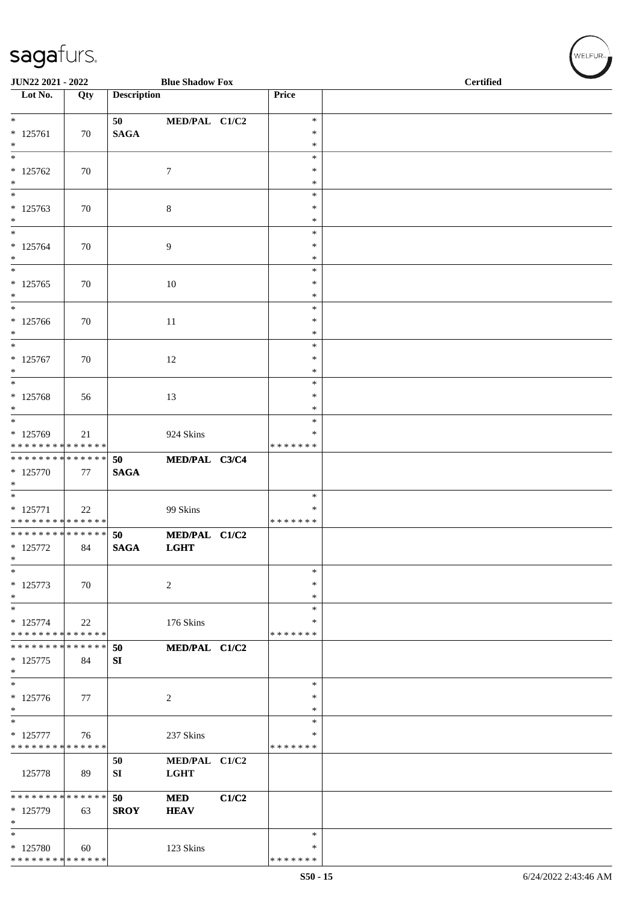| JUN22 2021 - 2022                                          |     |                    | <b>Blue Shadow Fox</b> |       |                    | <b>Certified</b> |  |  |
|------------------------------------------------------------|-----|--------------------|------------------------|-------|--------------------|------------------|--|--|
| Lot No.                                                    | Qty | <b>Description</b> |                        |       | Price              |                  |  |  |
| $*$                                                        |     | 50                 | MED/PAL C1/C2          |       | $\ast$             |                  |  |  |
| $* 125761$                                                 | 70  | <b>SAGA</b>        |                        |       | $\ast$             |                  |  |  |
| $\ast$<br>$\ast$                                           |     |                    |                        |       | $\ast$<br>$\ast$   |                  |  |  |
| $*125762$                                                  | 70  |                    | $\tau$                 |       | $\ast$             |                  |  |  |
| $\ast$                                                     |     |                    |                        |       | $\ast$             |                  |  |  |
| $\overline{\ast}$<br>$* 125763$                            | 70  |                    | $\,8\,$                |       | $\ast$<br>$\ast$   |                  |  |  |
| $\ast$                                                     |     |                    |                        |       | *                  |                  |  |  |
| $\ast$                                                     |     |                    |                        |       | $\ast$             |                  |  |  |
| $* 125764$<br>$\ast$                                       | 70  |                    | 9                      |       | $\ast$<br>$\ast$   |                  |  |  |
| $\ast$                                                     |     |                    |                        |       | $\ast$             |                  |  |  |
| $* 125765$<br>$\ast$                                       | 70  |                    | 10                     |       | ∗<br>$\ast$        |                  |  |  |
| $\ast$                                                     |     |                    |                        |       | $\ast$             |                  |  |  |
| $*125766$                                                  | 70  |                    | $11\,$                 |       | $\ast$             |                  |  |  |
| $\ast$<br>$\ast$                                           |     |                    |                        |       | $\ast$<br>$\ast$   |                  |  |  |
| $* 125767$                                                 | 70  |                    | 12                     |       | $\ast$             |                  |  |  |
| $\ast$<br>$\ast$                                           |     |                    |                        |       | $\ast$<br>$\ast$   |                  |  |  |
| * 125768                                                   | 56  |                    | 13                     |       | $\ast$             |                  |  |  |
| $*$                                                        |     |                    |                        |       | $\ast$             |                  |  |  |
| $*$<br>* 125769                                            | 21  |                    | 924 Skins              |       | $\ast$<br>*        |                  |  |  |
| * * * * * * * * * * * * * *                                |     |                    |                        |       | * * * * * * *      |                  |  |  |
| ******** <mark>******</mark>                               |     | 50                 | MED/PAL C3/C4          |       |                    |                  |  |  |
| $* 125770$<br>$\ast$                                       | 77  | <b>SAGA</b>        |                        |       |                    |                  |  |  |
| $\overline{\phantom{0}}$                                   |     |                    |                        |       | $\ast$             |                  |  |  |
| $* 125771$<br>* * * * * * * * * * * * * *                  | 22  |                    | 99 Skins               |       | ∗<br>* * * * * * * |                  |  |  |
| * * * * * * * * * * * * * * *                              |     | 50                 | MED/PAL C1/C2          |       |                    |                  |  |  |
| $* 125772$<br>$\ast$                                       | 84  | $\mathbf{SAGA}$    | <b>LGHT</b>            |       |                    |                  |  |  |
| $\ast$                                                     |     |                    |                        |       | $\ast$             |                  |  |  |
| $* 125773$                                                 | 70  |                    | $\sqrt{2}$             |       | $\ast$             |                  |  |  |
| $\ast$<br>$\ast$                                           |     |                    |                        |       | $\ast$<br>$\ast$   |                  |  |  |
| $* 125774$                                                 | 22  |                    | 176 Skins              |       | ∗                  |                  |  |  |
| * * * * * * * * * * * * * *<br>* * * * * * * * * * * * * * |     |                    |                        |       | * * * * * * *      |                  |  |  |
| $* 125775$                                                 | 84  | 50<br>SI           | MED/PAL C1/C2          |       |                    |                  |  |  |
| $\ast$                                                     |     |                    |                        |       |                    |                  |  |  |
| $\ast$<br>$* 125776$                                       | 77  |                    | $\overline{c}$         |       | $\ast$<br>∗        |                  |  |  |
| $\ast$                                                     |     |                    |                        |       | ∗                  |                  |  |  |
| $\ast$                                                     |     |                    |                        |       | *<br>∗             |                  |  |  |
| $* 125777$<br>* * * * * * * * * * * * * *                  | 76  |                    | 237 Skins              |       | * * * * * * *      |                  |  |  |
|                                                            |     | 50                 | MED/PAL C1/C2          |       |                    |                  |  |  |
| 125778                                                     | 89  | SI                 | <b>LGHT</b>            |       |                    |                  |  |  |
| * * * * * * * * * * * * * *                                |     | 50                 | <b>MED</b>             | C1/C2 |                    |                  |  |  |
| * 125779                                                   | 63  | <b>SROY</b>        | <b>HEAV</b>            |       |                    |                  |  |  |
| $\ast$<br>$\ast$                                           |     |                    |                        |       | *                  |                  |  |  |
| * 125780                                                   | 60  |                    | 123 Skins              |       | ∗                  |                  |  |  |
| * * * * * * * * * * * * * *                                |     |                    |                        |       | * * * * * * *      |                  |  |  |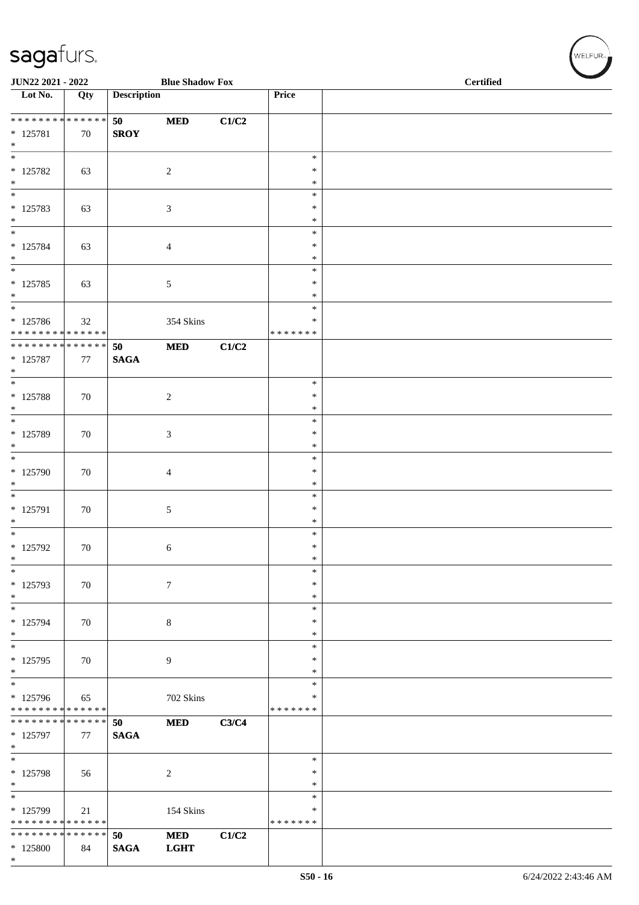| JUN22 2021 - 2022                                          |     |                       | <b>Blue Shadow Fox</b> |       |                         | <b>Certified</b> |  |  |
|------------------------------------------------------------|-----|-----------------------|------------------------|-------|-------------------------|------------------|--|--|
| Lot No.                                                    | Qty | <b>Description</b>    |                        |       | Price                   |                  |  |  |
| ******** <mark>******</mark>                               |     | 50                    | $\bf MED$              | C1/C2 |                         |                  |  |  |
| $* 125781$<br>$\ast$                                       | 70  | <b>SROY</b>           |                        |       |                         |                  |  |  |
| $\overline{\ast}$                                          |     |                       |                        |       | $\ast$                  |                  |  |  |
| $* 125782$<br>$*$                                          | 63  |                       | $\sqrt{2}$             |       | $\ast$<br>$\ast$        |                  |  |  |
| $*$                                                        |     |                       |                        |       | $\ast$                  |                  |  |  |
| $* 125783$<br>$\ast$                                       | 63  |                       | 3                      |       | $\ast$<br>$\ast$        |                  |  |  |
| $\overline{\ast}$                                          |     |                       |                        |       | $\ast$                  |                  |  |  |
| $* 125784$<br>$*$                                          | 63  |                       | 4                      |       | $\ast$<br>$\ast$        |                  |  |  |
| $\overline{\phantom{0}}$                                   |     |                       |                        |       | $\ast$<br>$\ast$        |                  |  |  |
| $* 125785$<br>$\ast$                                       | 63  |                       | 5                      |       | $\ast$                  |                  |  |  |
| $*$<br>* 125786                                            | 32  |                       | 354 Skins              |       | $\ast$<br>∗             |                  |  |  |
| * * * * * * * * * * * * * *                                |     |                       |                        |       | * * * * * * *           |                  |  |  |
| * * * * * * * * * * * * * * *<br>$* 125787$<br>$*$         | 77  | 50<br>$\mathbf{SAGA}$ | $\bf MED$              | C1/C2 |                         |                  |  |  |
| $\overline{\ast}$                                          |     |                       |                        |       | $\ast$                  |                  |  |  |
| $*$ 125788<br>$*$                                          | 70  |                       | $\sqrt{2}$             |       | $\ast$<br>$\ast$        |                  |  |  |
| $*$                                                        |     |                       |                        |       | $\ast$                  |                  |  |  |
| $* 125789$<br>$*$                                          | 70  |                       | 3                      |       | $\ast$<br>$\ast$        |                  |  |  |
| $\overline{\phantom{0}}$<br>$*125790$                      | 70  |                       | 4                      |       | $\ast$<br>$\ast$        |                  |  |  |
| $\ast$                                                     |     |                       |                        |       | $\ast$                  |                  |  |  |
| $\overline{\phantom{0}}$<br>$* 125791$                     | 70  |                       | 5                      |       | $\ast$<br>$\ast$        |                  |  |  |
| $\ast$<br>$*$                                              |     |                       |                        |       | $\ast$                  |                  |  |  |
| $* 125792$                                                 | 70  |                       | 6                      |       | $\ast$<br>$\ast$        |                  |  |  |
| $\ast$<br>$\ast$                                           |     |                       |                        |       | $\ast$<br>$\ast$        |                  |  |  |
| * 125793                                                   | 70  |                       | $\tau$                 |       | ∗                       |                  |  |  |
| $*$<br>$\overline{\phantom{0}}$                            |     |                       |                        |       | ∗<br>$\ast$             |                  |  |  |
| * 125794<br>$*$                                            | 70  |                       | $\,8\,$                |       | $\ast$<br>$\ast$        |                  |  |  |
| $*$                                                        |     |                       |                        |       | $\ast$                  |                  |  |  |
| $* 125795$<br>$*$                                          | 70  |                       | 9                      |       | $\ast$<br>$\ast$        |                  |  |  |
| $\overline{\phantom{0}}$                                   |     |                       |                        |       | $\ast$                  |                  |  |  |
| * 125796<br>* * * * * * * * * * * * * *                    | 65  |                       | 702 Skins              |       | $\ast$<br>* * * * * * * |                  |  |  |
| * * * * * * * * * * * * * * *<br>* 125797                  | 77  | 50<br><b>SAGA</b>     | <b>MED</b>             | C3/C4 |                         |                  |  |  |
| $\ast$<br>$*$                                              |     |                       |                        |       | ∗                       |                  |  |  |
| * 125798                                                   | 56  |                       | $\overline{c}$         |       | $\ast$                  |                  |  |  |
| $*$<br>$\overline{\phantom{0}}$                            |     |                       |                        |       | $\ast$<br>$\ast$        |                  |  |  |
| $* 125799$                                                 | 21  |                       | 154 Skins              |       | $\ast$                  |                  |  |  |
| * * * * * * * * * * * * * *<br>* * * * * * * * * * * * * * |     | 50                    | $\bf MED$              | C1/C2 | * * * * * * *           |                  |  |  |
| $*125800$<br>$*$                                           | 84  | $\mathbf{SAGA}$       | <b>LGHT</b>            |       |                         |                  |  |  |

 $(\forall ELFUR_{\text{max}})$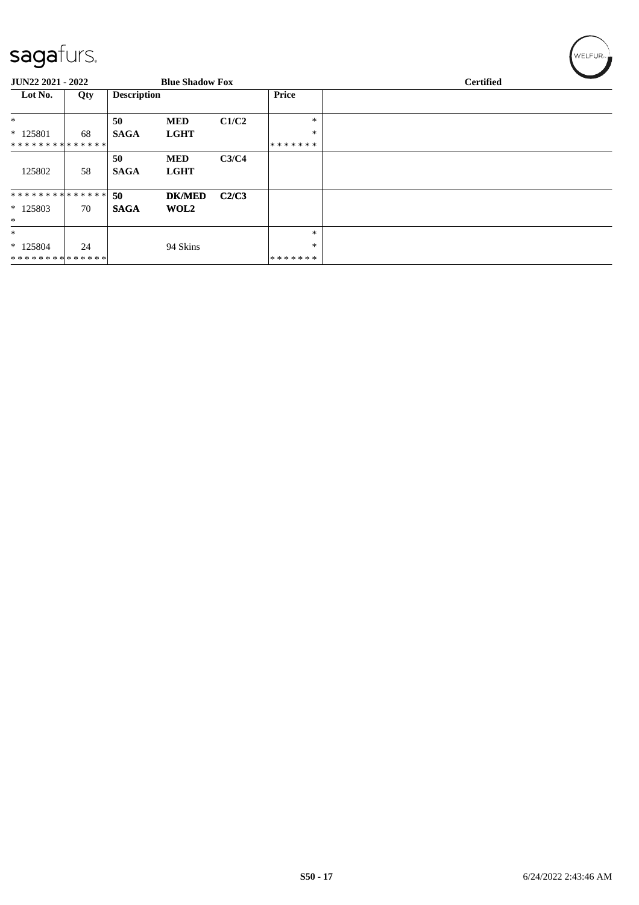| - - J             |     |                    |                        |       |         |                  |  |
|-------------------|-----|--------------------|------------------------|-------|---------|------------------|--|
| JUN22 2021 - 2022 |     |                    | <b>Blue Shadow Fox</b> |       |         | <b>Certified</b> |  |
| Lot No.           | Qty | <b>Description</b> |                        |       | Price   |                  |  |
| $*$               |     | 50                 | <b>MED</b>             | C1/C2 | $\ast$  |                  |  |
| $*125801$         | 68  | <b>SAGA</b>        | <b>LGHT</b>            |       | $\ast$  |                  |  |
| **************    |     |                    |                        |       | ******* |                  |  |
|                   |     | 50                 | <b>MED</b>             | C3/C4 |         |                  |  |
| 125802            | 58  | <b>SAGA</b>        | <b>LGHT</b>            |       |         |                  |  |
| **************    |     | 50                 | <b>DK/MED</b>          | C2/C3 |         |                  |  |
| $*125803$         | 70  | <b>SAGA</b>        | WOL2                   |       |         |                  |  |
| $\ast$            |     |                    |                        |       |         |                  |  |
| $\ast$            |     |                    |                        |       | $\ast$  |                  |  |
| $*125804$         | 24  |                    | 94 Skins               |       | $\ast$  |                  |  |
| **************    |     |                    |                        |       | ******* |                  |  |

WELFUR-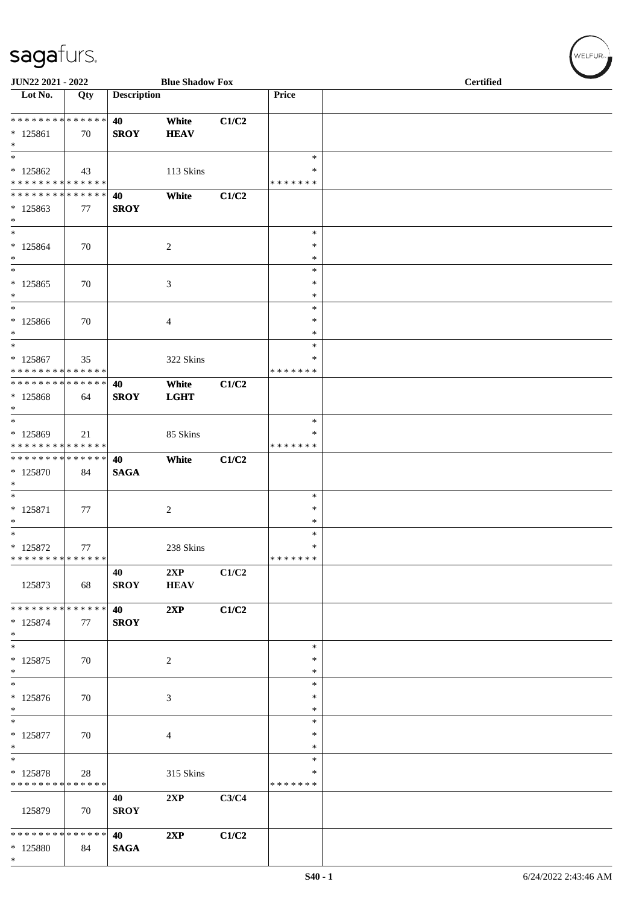| JUN22 2021 - 2022                                                          |     |                    | <b>Blue Shadow Fox</b> |       |                                 | <b>Certified</b> |  |  |
|----------------------------------------------------------------------------|-----|--------------------|------------------------|-------|---------------------------------|------------------|--|--|
| $\overline{\text{Lot No.}}$                                                | Qty | <b>Description</b> |                        |       | Price                           |                  |  |  |
| ******** <mark>******</mark><br>$* 125861$<br>$*$                          | 70  | 40<br><b>SROY</b>  | White<br><b>HEAV</b>   | C1/C2 |                                 |                  |  |  |
| $\overline{\ast}$<br>$*125862$<br>* * * * * * * * * * * * * *              | 43  |                    | 113 Skins              |       | $\ast$<br>∗<br>* * * * * * *    |                  |  |  |
| * * * * * * * * * * * * * *<br>$*125863$<br>$*$                            | 77  | 40<br><b>SROY</b>  | White                  | C1/C2 |                                 |                  |  |  |
| $\ast$<br>$* 125864$<br>$*$<br>$\overline{\phantom{0}}$                    | 70  |                    | 2                      |       | $\ast$<br>$\ast$<br>$\ast$      |                  |  |  |
| $*125865$<br>$*$                                                           | 70  |                    | 3                      |       | $\ast$<br>∗<br>$\ast$           |                  |  |  |
| $*$<br>$*125866$<br>$\ast$<br>$*$                                          | 70  |                    | 4                      |       | $\ast$<br>$\ast$<br>∗<br>$\ast$ |                  |  |  |
| $* 125867$<br>* * * * * * * * * * * * * *<br>* * * * * * * * * * * * * * * | 35  | 40                 | 322 Skins<br>White     | C1/C2 | ∗<br>* * * * * * *              |                  |  |  |
| * 125868<br>$*$<br>$*$                                                     | 64  | <b>SROY</b>        | <b>LGHT</b>            |       | $\ast$                          |                  |  |  |
| * 125869<br>* * * * * * * * * * * * * *<br>* * * * * * * * * * * * * * *   | 21  | 40                 | 85 Skins<br>White      | C1/C2 | ∗<br>* * * * * * *              |                  |  |  |
| * 125870<br>$\ast$<br>$*$                                                  | 84  | <b>SAGA</b>        |                        |       | $\ast$                          |                  |  |  |
| $* 125871$<br>$*$<br>$*$                                                   | 77  |                    | $\overline{c}$         |       | ∗<br>$\ast$<br>$\ast$           |                  |  |  |
| * 125872<br>* * * * * * * * * * * * * *                                    | 77  | 40                 | 238 Skins<br>2XP       | C1/C2 | $\ast$<br>*******               |                  |  |  |
| 125873<br>* * * * * * * * * * * * * * *                                    | 68  | <b>SROY</b>        | <b>HEAV</b>            |       |                                 |                  |  |  |
| $* 125874$<br>$*$<br>$*$                                                   | 77  | 40<br><b>SROY</b>  | 2XP                    | C1/C2 | $\ast$                          |                  |  |  |
| $* 125875$<br>$*$<br>$*$                                                   | 70  |                    | $\boldsymbol{2}$       |       | $\ast$<br>$\ast$<br>$\ast$      |                  |  |  |
| $* 125876$<br>$*$<br>$\overline{\phantom{0}}$                              | 70  |                    | 3                      |       | $\ast$<br>$\ast$<br>$\ast$      |                  |  |  |
| $* 125877$<br>$*$<br>$*$                                                   | 70  |                    | 4                      |       | $\ast$<br>$\ast$<br>$\ast$      |                  |  |  |
| * 125878<br>* * * * * * * * * * * * * *                                    | 28  |                    | 315 Skins              |       | ∗<br>* * * * * * *              |                  |  |  |
| 125879                                                                     | 70  | 40<br><b>SROY</b>  | 2XP                    | C3/C4 |                                 |                  |  |  |
| * * * * * * * * * * * * * * *<br>* 125880<br>$*$                           | 84  | 40<br><b>SAGA</b>  | 2XP                    | C1/C2 |                                 |                  |  |  |

 $(w$ elfur $_{\approx}$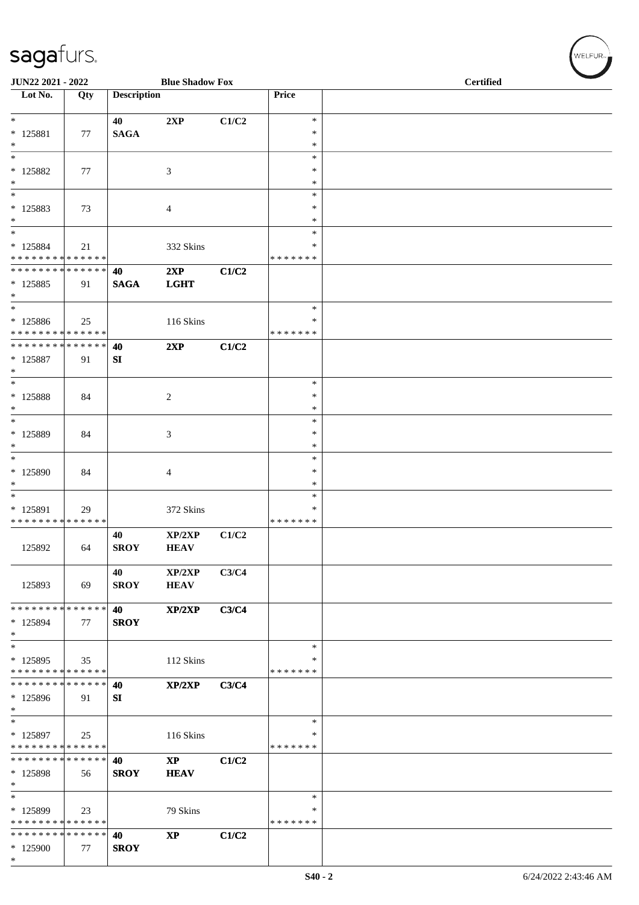| JUN22 2021 - 2022                           |     |                    | <b>Blue Shadow Fox</b>   |       |                    | Certified |  |  |
|---------------------------------------------|-----|--------------------|--------------------------|-------|--------------------|-----------|--|--|
| Lot No.                                     | Qty | <b>Description</b> |                          |       | Price              |           |  |  |
| $\overline{\phantom{0}}$                    |     |                    |                          |       | $\ast$             |           |  |  |
| * 125881                                    | 77  | 40<br><b>SAGA</b>  | 2XP                      | C1/C2 | $\ast$             |           |  |  |
| $\ast$                                      |     |                    |                          |       | $\ast$             |           |  |  |
| $\overline{\phantom{a}^*}$                  |     |                    |                          |       | $\ast$<br>$\ast$   |           |  |  |
| $* 125882$<br>$\ast$                        | 77  |                    | $\mathfrak{Z}$           |       | $\ast$             |           |  |  |
| $\ast$                                      |     |                    |                          |       | $\ast$             |           |  |  |
| $* 125883$                                  | 73  |                    | $\overline{4}$           |       | $\ast$             |           |  |  |
| $\ast$<br>$\ast$                            |     |                    |                          |       | $\ast$<br>$\ast$   |           |  |  |
| * 125884                                    | 21  |                    | 332 Skins                |       | ∗                  |           |  |  |
| * * * * * * * * * * * * * *                 |     |                    |                          |       | * * * * * * *      |           |  |  |
| * * * * * * * * * * * * * * *<br>$* 125885$ | 91  | 40<br><b>SAGA</b>  | 2XP<br><b>LGHT</b>       | C1/C2 |                    |           |  |  |
| $\ast$                                      |     |                    |                          |       |                    |           |  |  |
| $\ast$                                      |     |                    |                          |       | $\ast$             |           |  |  |
| * 125886<br>* * * * * * * * * * * * * *     | 25  |                    | 116 Skins                |       | ∗<br>* * * * * * * |           |  |  |
| ******** <mark>******</mark>                |     | 40                 | 2XP                      | C1/C2 |                    |           |  |  |
| * 125887                                    | 91  | SI                 |                          |       |                    |           |  |  |
| $\ast$<br>$\ast$                            |     |                    |                          |       |                    |           |  |  |
| * 125888                                    | 84  |                    | $\sqrt{2}$               |       | $\ast$<br>$\ast$   |           |  |  |
| $*$                                         |     |                    |                          |       | $\ast$             |           |  |  |
| $\ast$                                      |     |                    |                          |       | $\ast$             |           |  |  |
| * 125889<br>$\ast$                          | 84  |                    | 3                        |       | $\ast$<br>$\ast$   |           |  |  |
| $\ast$                                      |     |                    |                          |       | $\ast$             |           |  |  |
| $*125890$                                   | 84  |                    | $\overline{4}$           |       | ∗                  |           |  |  |
| $\ast$<br>$\ast$                            |     |                    |                          |       | ∗<br>$\ast$        |           |  |  |
| * 125891                                    | 29  |                    | 372 Skins                |       | ∗                  |           |  |  |
| * * * * * * * * * * * * * *                 |     |                    |                          |       | * * * * * * *      |           |  |  |
|                                             |     | 40                 | XP/2XP                   | C1/C2 |                    |           |  |  |
| 125892                                      | 64  | <b>SROY</b>        | <b>HEAV</b>              |       |                    |           |  |  |
|                                             |     | 40                 | XP/2XP                   | C3/C4 |                    |           |  |  |
| 125893                                      | 69  | <b>SROY</b>        | <b>HEAV</b>              |       |                    |           |  |  |
| * * * * * * * * * * * * * *                 |     | 40                 | XP/2XP                   | C3/C4 |                    |           |  |  |
| * 125894                                    | 77  | <b>SROY</b>        |                          |       |                    |           |  |  |
| $\ast$                                      |     |                    |                          |       |                    |           |  |  |
| $\ast$<br>* 125895                          |     |                    | 112 Skins                |       | $\ast$<br>∗        |           |  |  |
| * * * * * * * * * * * * * *                 | 35  |                    |                          |       | * * * * * * *      |           |  |  |
| * * * * * * * * * * * * * *                 |     | 40                 | XP/2XP                   | C3/C4 |                    |           |  |  |
| * 125896                                    | 91  | SI                 |                          |       |                    |           |  |  |
| $\ast$<br>$\ast$                            |     |                    |                          |       | $\ast$             |           |  |  |
| $*125897$                                   | 25  |                    | 116 Skins                |       | ∗                  |           |  |  |
| * * * * * * * * * * * * * *                 |     |                    |                          |       | * * * * * * *      |           |  |  |
| * * * * * * * * * * * * * *<br>* 125898     | 56  | 40<br><b>SROY</b>  | <b>XP</b><br><b>HEAV</b> | C1/C2 |                    |           |  |  |
| $\ast$                                      |     |                    |                          |       |                    |           |  |  |
| $\ast$                                      |     |                    |                          |       | $\ast$             |           |  |  |
| * 125899<br>* * * * * * * * * * * * * *     | 23  |                    | 79 Skins                 |       | *<br>* * * * * * * |           |  |  |
| * * * * * * * * * * * * * *                 |     | 40                 | $\mathbf{X}\mathbf{P}$   | C1/C2 |                    |           |  |  |
| $*125900$                                   | 77  | <b>SROY</b>        |                          |       |                    |           |  |  |
| $*$                                         |     |                    |                          |       |                    |           |  |  |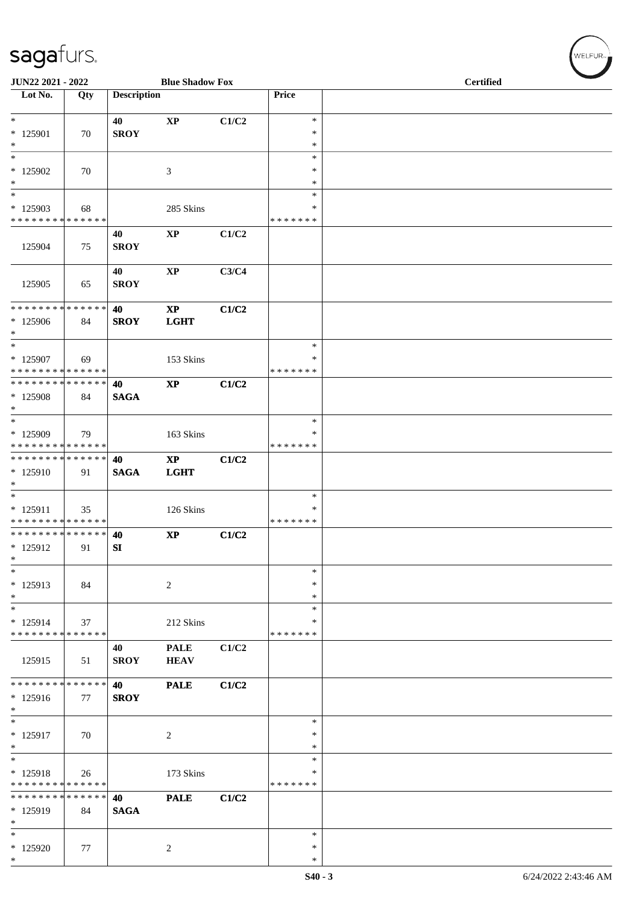| JUN22 2021 - 2022                                   |                   |                    | <b>Blue Shadow Fox</b>       |       |                                   | <b>Certified</b> |
|-----------------------------------------------------|-------------------|--------------------|------------------------------|-------|-----------------------------------|------------------|
| Lot No.                                             | Qty               | <b>Description</b> |                              |       | Price                             |                  |
| $*$<br>$* 125901$<br>$\ast$                         | 70                | 40<br><b>SROY</b>  | $\mathbf{X}\mathbf{P}$       | C1/C2 | $\ast$<br>$\ast$<br>$\ast$        |                  |
| $\ast$<br>* 125902<br>$\ast$                        | 70                |                    | $\mathfrak{Z}$               |       | $\ast$<br>$\ast$<br>$\ast$        |                  |
| $\ast$<br>$*125903$<br>* * * * * * * * * * * * * *  | 68                |                    | 285 Skins                    |       | $\ast$<br>$\ast$<br>* * * * * * * |                  |
| 125904                                              | 75                | 40<br><b>SROY</b>  | $\bold{XP}$                  | C1/C2 |                                   |                  |
| 125905                                              | 65                | 40<br><b>SROY</b>  | $\bold{XP}$                  | C3/C4 |                                   |                  |
| * * * * * * * * * * * * * *<br>* 125906<br>$\ast$   | 84                | 40<br><b>SROY</b>  | $\mathbf{XP}$<br><b>LGHT</b> | C1/C2 |                                   |                  |
| $\ast$<br>* 125907<br>* * * * * * * * * * * * * *   | 69                |                    | 153 Skins                    |       | $\ast$<br>*<br>* * * * * * *      |                  |
| * * * * * * * * * * * * * * *<br>* 125908<br>$\ast$ | 84                | 40<br><b>SAGA</b>  | $\mathbf{X}\mathbf{P}$       | C1/C2 |                                   |                  |
| $\ast$<br>* 125909<br>* * * * * * * * * * * * * *   | 79                |                    | 163 Skins                    |       | $\ast$<br>∗<br>* * * * * * *      |                  |
| **************<br>$*125910$<br>$*$                  | 91                | 40<br><b>SAGA</b>  | $\mathbf{XP}$<br><b>LGHT</b> | C1/C2 |                                   |                  |
| $\ast$<br>* 125911<br>* * * * * * * * * * * * * * * | 35                |                    | 126 Skins                    |       | $\ast$<br>∗<br>* * * * * * *      |                  |
| *************** 40<br>$* 125912$<br>$\ast$          | 91                | SI                 | $\mathbf{X}\mathbf{P}$       | C1/C2 |                                   |                  |
| $\ast$<br>* 125913<br>$\ast$                        | 84                |                    | $\sqrt{2}$                   |       | $\ast$<br>∗<br>$\ast$             |                  |
| $\ast$<br>$* 125914$<br>* * * * * * * * * * * * * * | 37                |                    | 212 Skins                    |       | ∗<br>∗<br>* * * * * * *           |                  |
| 125915                                              | 51                | 40<br><b>SROY</b>  | <b>PALE</b><br><b>HEAV</b>   | C1/C2 |                                   |                  |
| * * * * * * * * * * * * * *<br>$* 125916$<br>$\ast$ | 77                | 40<br><b>SROY</b>  | <b>PALE</b>                  | C1/C2 |                                   |                  |
| $\ast$<br>$* 125917$<br>$\ast$                      | 70                |                    | $\overline{2}$               |       | ∗<br>$\ast$<br>$\ast$             |                  |
| $\ast$<br>* 125918<br>* * * * * * * *               | 26<br>* * * * * * |                    | 173 Skins                    |       | $\ast$<br>∗<br>* * * * * * *      |                  |
| * * * * * * * * * * * * * *<br>* 125919<br>$\ast$   | 84                | 40<br><b>SAGA</b>  | <b>PALE</b>                  | C1/C2 |                                   |                  |
| $\ast$<br>* 125920<br>$*$                           | 77                |                    | $\sqrt{2}$                   |       | ∗<br>$\ast$<br>$\ast$             |                  |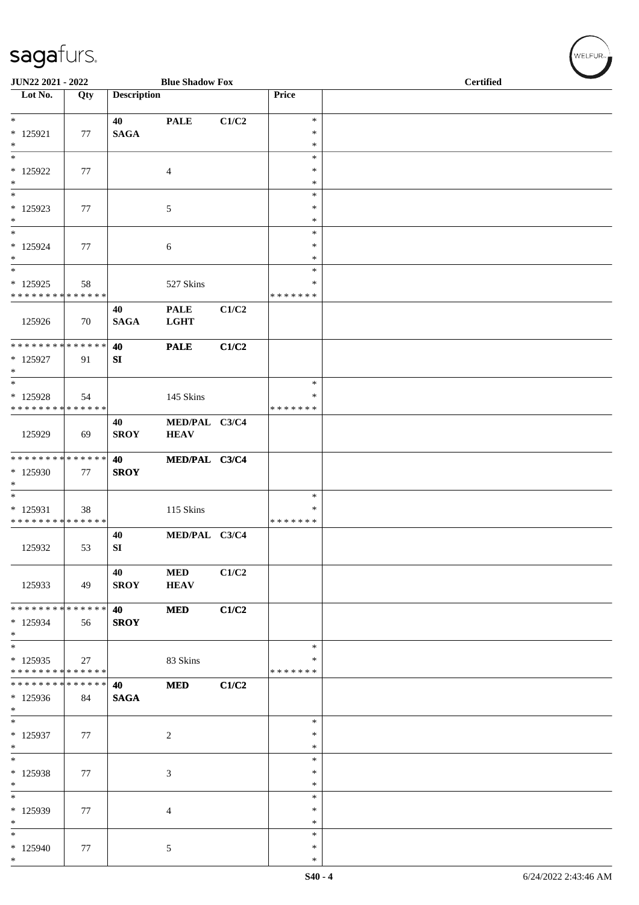| JUN22 2021 - 2022                       |     |                    | <b>Blue Shadow Fox</b> |       |                    | <b>Certified</b> |
|-----------------------------------------|-----|--------------------|------------------------|-------|--------------------|------------------|
| Lot No.                                 | Qty | <b>Description</b> |                        |       | Price              |                  |
| $\ast$                                  |     | 40                 | <b>PALE</b>            | C1/C2 | $\ast$             |                  |
| $* 125921$                              | 77  | <b>SAGA</b>        |                        |       | $\ast$             |                  |
| $\ast$                                  |     |                    |                        |       | $\ast$             |                  |
| $\overline{\ast}$                       |     |                    |                        |       | $\ast$             |                  |
| $*125922$                               | 77  |                    | $\overline{4}$         |       | $\ast$             |                  |
| $\ast$<br>$\overline{\phantom{1}}$      |     |                    |                        |       | $\ast$             |                  |
| $*125923$                               | 77  |                    | $\mathfrak{S}$         |       | $\ast$<br>$\ast$   |                  |
| $\ast$                                  |     |                    |                        |       | $\ast$             |                  |
| $\ast$                                  |     |                    |                        |       | $\ast$             |                  |
| * 125924                                | 77  |                    | 6                      |       | $\ast$             |                  |
| $\ast$                                  |     |                    |                        |       | $\ast$             |                  |
| $\ast$                                  |     |                    |                        |       | $\ast$             |                  |
| * 125925<br>* * * * * * * * * * * * * * | 58  |                    | 527 Skins              |       | *<br>* * * * * * * |                  |
|                                         |     | 40                 | <b>PALE</b>            | C1/C2 |                    |                  |
| 125926                                  | 70  | <b>SAGA</b>        | <b>LGHT</b>            |       |                    |                  |
|                                         |     |                    |                        |       |                    |                  |
| **************                          |     | 40                 | <b>PALE</b>            | C1/C2 |                    |                  |
| $*125927$<br>$\ast$                     | 91  | SI                 |                        |       |                    |                  |
| $\ast$                                  |     |                    |                        |       | $\ast$             |                  |
| $*125928$                               | 54  |                    | 145 Skins              |       | ∗                  |                  |
| **************                          |     |                    |                        |       | * * * * * * *      |                  |
|                                         |     | 40                 | MED/PAL C3/C4          |       |                    |                  |
| 125929                                  | 69  | <b>SROY</b>        | <b>HEAV</b>            |       |                    |                  |
| **************                          |     |                    |                        |       |                    |                  |
| * 125930                                | 77  | 40<br><b>SROY</b>  | MED/PAL C3/C4          |       |                    |                  |
| $\ast$                                  |     |                    |                        |       |                    |                  |
| $\ast$                                  |     |                    |                        |       | $\ast$             |                  |
| * 125931                                | 38  |                    | 115 Skins              |       | $\ast$             |                  |
| * * * * * * * * * * * * * *             |     |                    |                        |       | * * * * * * *      |                  |
|                                         |     | 40                 | MED/PAL C3/C4          |       |                    |                  |
| 125932                                  | 53  | SI                 |                        |       |                    |                  |
|                                         |     | 40                 | <b>MED</b>             | C1/C2 |                    |                  |
| 125933                                  | 49  | <b>SROY</b>        | <b>HEAV</b>            |       |                    |                  |
|                                         |     |                    |                        |       |                    |                  |
| * * * * * * * * * * * * * *             |     | 40                 | <b>MED</b>             | C1/C2 |                    |                  |
| $*125934$<br>$\ast$                     | 56  | <b>SROY</b>        |                        |       |                    |                  |
| $\ast$                                  |     |                    |                        |       | $\ast$             |                  |
| $*125935$                               | 27  |                    | 83 Skins               |       | ∗                  |                  |
| * * * * * * * * * * * * * *             |     |                    |                        |       | * * * * * * *      |                  |
| **************                          |     | 40                 | <b>MED</b>             | C1/C2 |                    |                  |
| $*125936$                               | 84  | <b>SAGA</b>        |                        |       |                    |                  |
| $\ast$<br>$\ast$                        |     |                    |                        |       | ∗                  |                  |
| $*125937$                               | 77  |                    | $\sqrt{2}$             |       | $\ast$             |                  |
| $\ast$                                  |     |                    |                        |       | $\ast$             |                  |
| $_{\ast}^{-}$                           |     |                    |                        |       | $\ast$             |                  |
| * 125938                                | 77  |                    | $\mathfrak{Z}$         |       | ∗                  |                  |
| $\ast$<br>$\overline{\phantom{1}}$      |     |                    |                        |       | $\ast$<br>$\ast$   |                  |
| * 125939                                | 77  |                    | $\overline{4}$         |       | $\ast$             |                  |
| $\ast$                                  |     |                    |                        |       | $\ast$             |                  |
| $\ast$                                  |     |                    |                        |       | $\ast$             |                  |
| $*125940$                               | 77  |                    | $\mathfrak{S}$         |       | $\ast$             |                  |
| $\ast$                                  |     |                    |                        |       | $\ast$             |                  |

WELFUR-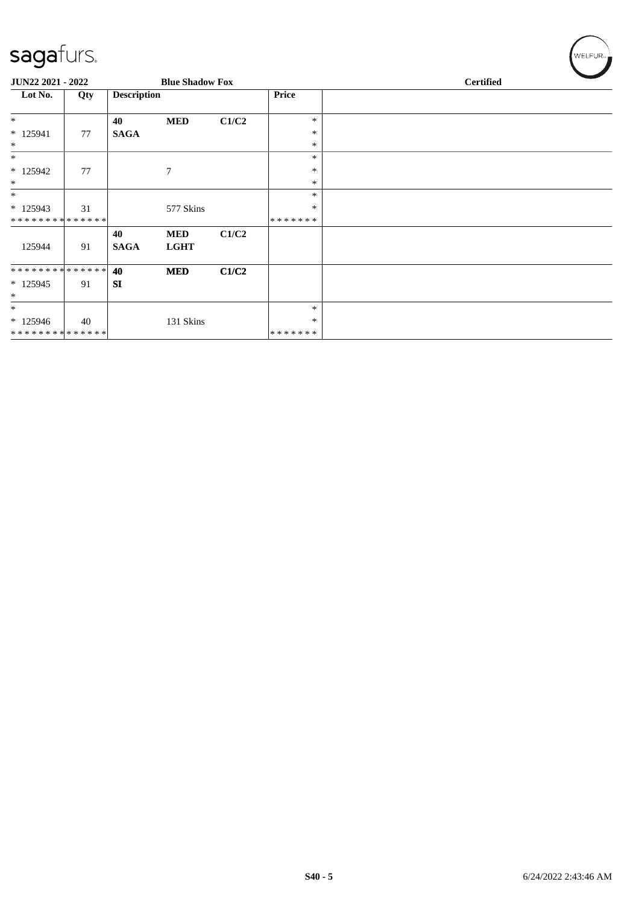| $-$ -g- $-$                                 |     |                    |                           |       |         |                  |
|---------------------------------------------|-----|--------------------|---------------------------|-------|---------|------------------|
| JUN22 2021 - 2022<br><b>Blue Shadow Fox</b> |     |                    |                           |       |         | <b>Certified</b> |
| Lot No.                                     | Qty | <b>Description</b> |                           |       | Price   |                  |
| $\ast$                                      |     | 40                 | <b>MED</b>                | C1/C2 | $\ast$  |                  |
| $* 125941$                                  | 77  | <b>SAGA</b>        |                           |       | $\ast$  |                  |
| $\ast$                                      |     |                    |                           |       | $\ast$  |                  |
| $\ast$                                      |     |                    |                           |       | $\ast$  |                  |
| $*125942$                                   | 77  |                    | $\tau$                    |       | $\ast$  |                  |
| $\ast$                                      |     |                    |                           |       | $\ast$  |                  |
| $\ast$                                      |     |                    |                           |       | $\ast$  |                  |
| $* 125943$                                  | 31  |                    | 577 Skins                 |       | $\ast$  |                  |
| **************                              |     |                    |                           |       | ******* |                  |
| 125944                                      | 91  | 40<br><b>SAGA</b>  | <b>MED</b><br><b>LGHT</b> | C1/C2 |         |                  |
| **************                              |     | 40                 | <b>MED</b>                | C1/C2 |         |                  |
| $*125945$<br>$*$                            | 91  | <b>SI</b>          |                           |       |         |                  |
| $\ast$                                      |     |                    |                           |       | $\ast$  |                  |
| $*125946$                                   | 40  |                    | 131 Skins                 |       | $\ast$  |                  |
| **************                              |     |                    |                           |       | ******* |                  |

 $\left(\mathsf{WELFUR}_{\approx}\right)$